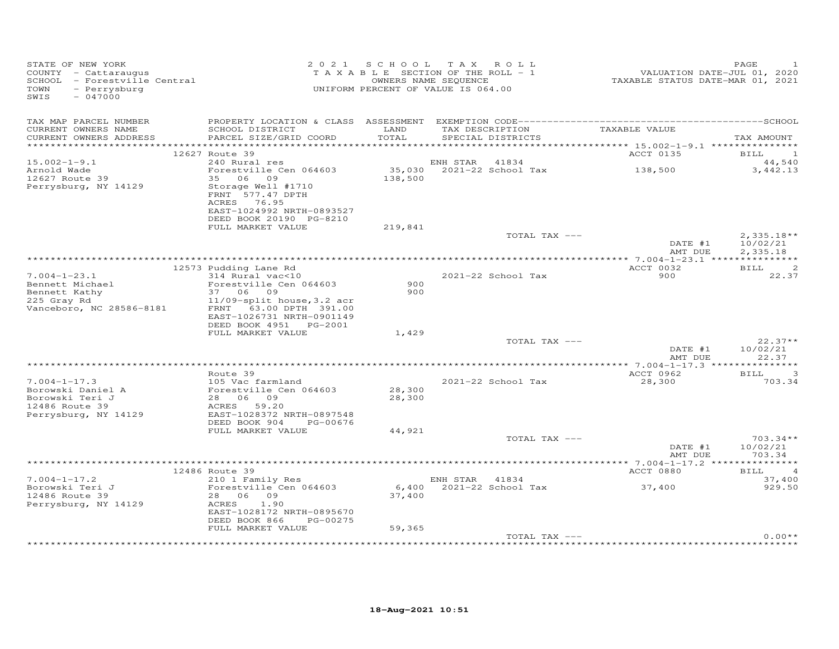| STATE OF NEW YORK<br>COUNTY - Cattaraugus<br>SCHOOL - Forestville Central<br>TOWN<br>- Perrysburg<br>SWIS<br>$-047000$ | 2 0 2 1                                                                                                                                     | SCHOOL TAX<br>TAXABLE SECTION OF THE ROLL - 1<br>UNIFORM PERCENT OF VALUE IS 064.00 | OWNERS NAME SEQUENCE | ROLL                     | VALUATION DATE-JUL 01, 2020<br>TAXABLE STATUS DATE-MAR 01, 2021 | PAGE                                 |
|------------------------------------------------------------------------------------------------------------------------|---------------------------------------------------------------------------------------------------------------------------------------------|-------------------------------------------------------------------------------------|----------------------|--------------------------|-----------------------------------------------------------------|--------------------------------------|
| TAX MAP PARCEL NUMBER<br>CURRENT OWNERS NAME<br>CURRENT OWNERS ADDRESS                                                 | SCHOOL DISTRICT<br>PARCEL SIZE/GRID COORD                                                                                                   | LAND<br>TOTAL                                                                       | TAX DESCRIPTION      | SPECIAL DISTRICTS        | TAXABLE VALUE                                                   | TAX AMOUNT                           |
|                                                                                                                        | 12627 Route 39                                                                                                                              |                                                                                     |                      |                          | ACCT 0135                                                       | $\overline{\phantom{1}}$<br>BILL     |
| $15.002 - 1 - 9.1$                                                                                                     | 240 Rural res                                                                                                                               |                                                                                     | ENH STAR             | 41834                    |                                                                 | 44,540                               |
| Arnold Wade<br>12627 Route 39                                                                                          | Forestville Cen 064603<br>35 06 09                                                                                                          | 35,030<br>138,500                                                                   |                      | 2021-22 School Tax       | 138,500                                                         | 3,442.13                             |
| Perrysburg, NY 14129                                                                                                   | Storage Well #1710<br>FRNT 577.47 DPTH<br>ACRES 76.95<br>EAST-1024992 NRTH-0893527<br>DEED BOOK 20190 PG-8210                               |                                                                                     |                      |                          |                                                                 |                                      |
|                                                                                                                        | FULL MARKET VALUE                                                                                                                           | 219,841                                                                             |                      |                          |                                                                 |                                      |
|                                                                                                                        |                                                                                                                                             |                                                                                     |                      | TOTAL TAX ---            | DATE #1<br>AMT DUE                                              | $2,335.18**$<br>10/02/21<br>2,335.18 |
|                                                                                                                        |                                                                                                                                             |                                                                                     |                      |                          |                                                                 |                                      |
|                                                                                                                        | 12573 Pudding Lane Rd                                                                                                                       |                                                                                     |                      |                          | ACCT 0032                                                       | $\overline{c}$<br>BILL               |
| $7.004 - 1 - 23.1$<br>Bennett Michael<br>Bennett Kathy<br>225 Gray Rd<br>Vanceboro, NC 28586-8181                      | 314 Rural vac<10<br>Forestville Cen 064603<br>37 06 09<br>11/09-split house, 3.2 acr<br>FRNT 63.00 DPTH 391.00<br>EAST-1026731 NRTH-0901149 | 900<br>900                                                                          |                      | 2021-22 School Tax       | 900                                                             | 22.37                                |
|                                                                                                                        | DEED BOOK 4951 PG-2001<br>FULL MARKET VALUE                                                                                                 | 1,429                                                                               |                      |                          |                                                                 |                                      |
|                                                                                                                        |                                                                                                                                             |                                                                                     |                      | TOTAL TAX ---            | DATE #1<br>AMT DUE                                              | $22.37**$<br>10/02/21<br>22.37       |
|                                                                                                                        | Route 39                                                                                                                                    |                                                                                     |                      |                          | ACCT 0962                                                       | 3<br>BILL                            |
| $7.004 - 1 - 17.3$<br>Borowski Daniel A<br>Borowski Teri J<br>12486 Route 39<br>Perrysburg, NY 14129                   | 105 Vac farmland<br>Forestville Cen 064603<br>28 06 09<br>ACRES<br>59.20<br>EAST-1028372 NRTH-0897548<br>DEED BOOK 904<br>PG-00676          | 28,300<br>28,300                                                                    |                      | 2021-22 School Tax       | 28,300                                                          | 703.34                               |
|                                                                                                                        | FULL MARKET VALUE                                                                                                                           | 44,921                                                                              |                      |                          |                                                                 |                                      |
|                                                                                                                        |                                                                                                                                             |                                                                                     |                      | TOTAL TAX ---            | DATE #1<br>AMT DUE                                              | $703.34**$<br>10/02/21<br>703.34     |
|                                                                                                                        |                                                                                                                                             |                                                                                     |                      |                          |                                                                 |                                      |
|                                                                                                                        | 12486 Route 39                                                                                                                              |                                                                                     |                      |                          | ACCT 0880                                                       | BILL<br>$\overline{4}$               |
| $7.004 - 1 - 17.2$<br>Borowski Teri J<br>12486 Route 39<br>Perrysburg, NY 14129                                        | 210 1 Family Res<br>Forestville Cen 064603<br>28 06 09<br>ACRES<br>1.90<br>EAST-1028172 NRTH-0895670<br>DEED BOOK 866<br>PG-00275           | 37,400                                                                              | ENH STAR 41834       | 6,400 2021-22 School Tax | 37,400                                                          | 37,400<br>929.50                     |
|                                                                                                                        | FULL MARKET VALUE                                                                                                                           | 59,365                                                                              |                      |                          |                                                                 |                                      |
|                                                                                                                        |                                                                                                                                             |                                                                                     |                      | TOTAL TAX ---            |                                                                 | $0.00**$                             |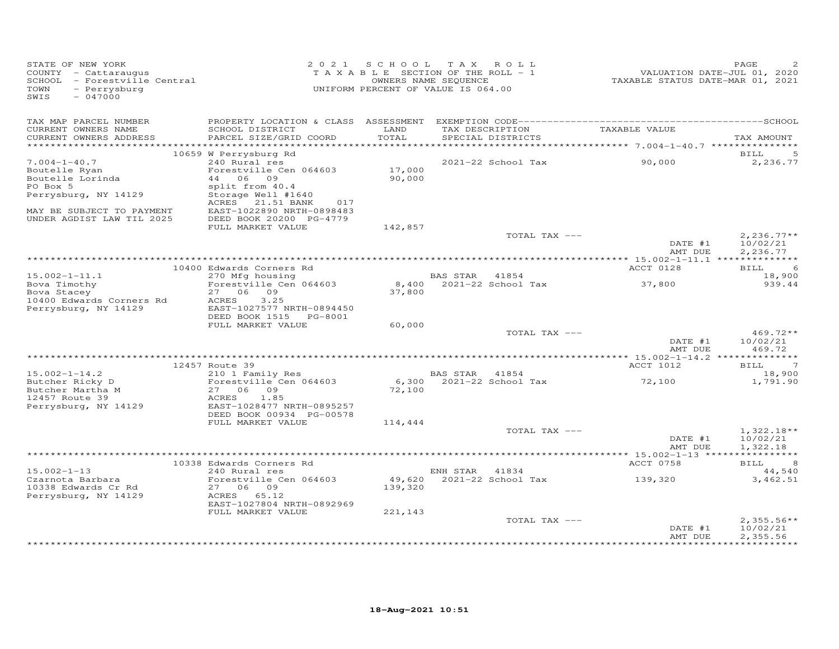| STATE OF NEW YORK<br>COUNTY - Cattaraugus<br>SCHOOL - Forestville Central<br>- Perrysburg<br>TOWN<br>SWIS<br>$-047000$ |                                                                                                              | 2021 SCHOOL TAX ROLL<br>TAXABLE SECTION OF THE ROLL - 1<br>UNIFORM PERCENT OF VALUE IS 064.00 | OWNERS NAME SEQUENCE      |                                      | VALUATION DATE-JUL 01, 2020<br>TAXABLE STATUS DATE-MAR 01, 2021 | PAGE                                 |
|------------------------------------------------------------------------------------------------------------------------|--------------------------------------------------------------------------------------------------------------|-----------------------------------------------------------------------------------------------|---------------------------|--------------------------------------|-----------------------------------------------------------------|--------------------------------------|
| TAX MAP PARCEL NUMBER<br>CURRENT OWNERS NAME<br>CURRENT OWNERS ADDRESS                                                 | SCHOOL DISTRICT<br>PARCEL SIZE/GRID COORD                                                                    | LAND<br>TOTAL                                                                                 |                           | TAX DESCRIPTION<br>SPECIAL DISTRICTS | TAXABLE VALUE                                                   | TAX AMOUNT                           |
|                                                                                                                        |                                                                                                              |                                                                                               |                           |                                      |                                                                 |                                      |
| $7.004 - 1 - 40.7$                                                                                                     | 10659 W Perrysburg Rd<br>240 Rural res                                                                       |                                                                                               |                           | 2021-22 School Tax                   | 90,000                                                          | BILL<br>2,236.77                     |
| Boutelle Ryan<br>Boutelle Lorinda<br>PO Box 5                                                                          | Forestville Cen 064603<br>44 06 09<br>split from 40.4                                                        | 17,000<br>90,000                                                                              |                           |                                      |                                                                 |                                      |
| Perrysburg, NY 14129                                                                                                   | Storage Well #1640<br>ACRES 21.51 BANK<br>017                                                                |                                                                                               |                           |                                      |                                                                 |                                      |
| MAY BE SUBJECT TO PAYMENT<br>UNDER AGDIST LAW TIL 2025                                                                 | EAST-1022890 NRTH-0898483<br>DEED BOOK 20200 PG-4779<br>FULL MARKET VALUE                                    | 142,857                                                                                       |                           |                                      |                                                                 |                                      |
|                                                                                                                        |                                                                                                              |                                                                                               |                           | TOTAL TAX ---                        | DATE #1<br>AMT DUE                                              | $2,236.77**$<br>10/02/21<br>2,236.77 |
|                                                                                                                        |                                                                                                              |                                                                                               |                           |                                      |                                                                 |                                      |
|                                                                                                                        | 10400 Edwards Corners Rd                                                                                     |                                                                                               |                           |                                      | ACCT 0128                                                       | 6<br>BILL                            |
| $15.002 - 1 - 11.1$<br>Bova Timothy                                                                                    | 270 Mfg housing<br>Forestville Cen 064603                                                                    |                                                                                               | BAS STAR 41854            | 8,400 2021-22 School Tax             | 37,800                                                          | 18,900<br>939.44                     |
| Bova Stacey<br>10400 Edwards Corners Rd<br>Perrysburg, NY 14129                                                        | 27 06 09<br>3.25<br>ACRES<br>EAST-1027577 NRTH-0894450<br>DEED BOOK 1515 PG-8001                             | 37,800                                                                                        |                           |                                      |                                                                 |                                      |
|                                                                                                                        | FULL MARKET VALUE                                                                                            | 60,000                                                                                        |                           |                                      |                                                                 |                                      |
|                                                                                                                        |                                                                                                              |                                                                                               |                           | TOTAL TAX ---                        | DATE #1<br>AMT DUE                                              | $469.72**$<br>10/02/21<br>469.72     |
|                                                                                                                        | 12457 Route 39                                                                                               |                                                                                               |                           |                                      |                                                                 | $\overline{7}$<br>BILL               |
| $15.002 - 1 - 14.2$                                                                                                    | 210 1 Family Res                                                                                             |                                                                                               | BAS STAR 41854            |                                      | ACCT 1012                                                       | 18,900                               |
| Butcher Ricky D<br>Butcher Martha M<br>12457 Route 39<br>Perrysburg, NY 14129                                          | Forestville Cen 064603<br>27 06 09<br>ACRES<br>1.85<br>EAST-1028477 NRTH-0895257<br>DEED BOOK 00934 PG-00578 | 72,100                                                                                        | 6,300 2021-22 School Tax  |                                      | 72,100                                                          | 1,791.90                             |
|                                                                                                                        | FULL MARKET VALUE                                                                                            | 114,444                                                                                       |                           |                                      |                                                                 |                                      |
|                                                                                                                        |                                                                                                              |                                                                                               |                           | TOTAL TAX ---                        | DATE #1<br>AMT DUE                                              | $1,322.18**$<br>10/02/21<br>1,322.18 |
|                                                                                                                        | 10338 Edwards Corners Rd                                                                                     |                                                                                               |                           |                                      | ACCT 0758                                                       | BILL 8                               |
| $15.002 - 1 - 13$                                                                                                      | 240 Rural res                                                                                                |                                                                                               | ENH STAR 41834            |                                      |                                                                 | 44,540                               |
| Czarnota Barbara<br>10338 Edwards Cr Rd<br>Perrysburg, NY 14129                                                        | Forestville Cen 064603<br>27 06 09<br>ACRES 65.12<br>EAST-1027804 NRTH-0892969                               | 139,320                                                                                       | 49,620 2021-22 School Tax |                                      | 139,320                                                         | 3,462.51                             |
|                                                                                                                        | FULL MARKET VALUE                                                                                            | 221,143                                                                                       |                           | TOTAL TAX ---                        | DATE #1<br>AMT DUE                                              | $2,355.56**$<br>10/02/21<br>2,355.56 |
|                                                                                                                        |                                                                                                              |                                                                                               |                           |                                      |                                                                 |                                      |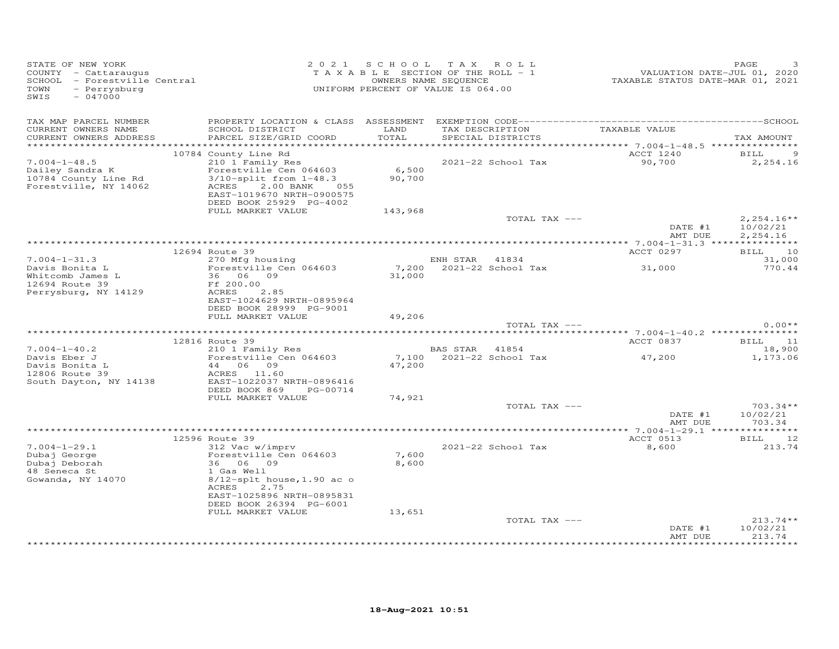| STATE OF NEW YORK<br>COUNTY - Cattaraugus<br>SCHOOL - Forestville Central<br>TOWN<br>- Perrysburg<br>SWIS<br>$-047000$ |                                                                                                                                       |                   | 2021 SCHOOL TAX ROLL<br>TAXABLE SECTION OF THE ROLL - 1<br>OWNERS NAME SEQUENCE<br>UNIFORM PERCENT OF VALUE IS 064.00 | VALUATION DATE-JUL 01, 2020<br>TAXABLE STATUS DATE-MAR 01, 2021 | PAGE                                 |
|------------------------------------------------------------------------------------------------------------------------|---------------------------------------------------------------------------------------------------------------------------------------|-------------------|-----------------------------------------------------------------------------------------------------------------------|-----------------------------------------------------------------|--------------------------------------|
| TAX MAP PARCEL NUMBER<br>CURRENT OWNERS NAME<br>CURRENT OWNERS ADDRESS                                                 | SCHOOL DISTRICT<br>PARCEL SIZE/GRID COORD                                                                                             | LAND<br>TOTAL     | TAX DESCRIPTION<br>SPECIAL DISTRICTS                                                                                  | TAXABLE VALUE                                                   | TAX AMOUNT                           |
| $7.004 - 1 - 48.5$<br>Dailey Sandra K                                                                                  | 10784 County Line Rd<br>210 1 Family Res<br>Forestville Cen 064603                                                                    | 6,500             | 2021-22 School Tax                                                                                                    | ACCT 1240<br>90,700                                             | 9<br>BILL<br>2,254.16                |
| 10784 County Line Rd<br>Forestville, NY 14062                                                                          | $3/10$ -split from $1-48.3$<br>ACRES<br>2.00 BANK<br>055<br>EAST-1019670 NRTH-0900575<br>DEED BOOK 25929 PG-4002<br>FULL MARKET VALUE | 90,700<br>143,968 |                                                                                                                       |                                                                 |                                      |
|                                                                                                                        |                                                                                                                                       |                   | TOTAL TAX ---                                                                                                         | DATE #1<br>AMT DUE                                              | $2,254.16**$<br>10/02/21<br>2,254.16 |
|                                                                                                                        |                                                                                                                                       |                   |                                                                                                                       |                                                                 |                                      |
| $7.004 - 1 - 31.3$                                                                                                     | 12694 Route 39<br>270 Mfg housing                                                                                                     |                   | ENH STAR 41834                                                                                                        | ACCT 0297                                                       | BILL 10<br>31,000                    |
| Davis Bonita L<br>Whitcomb James L                                                                                     | Forestville Cen 064603<br>36 06 09                                                                                                    | 31,000            | 7,200 2021-22 School Tax                                                                                              | 31,000                                                          | 770.44                               |
| 12694 Route 39                                                                                                         | Ff 200.00                                                                                                                             |                   |                                                                                                                       |                                                                 |                                      |
| Perrysburg, NY 14129                                                                                                   | ACRES<br>2.85<br>EAST-1024629 NRTH-0895964<br>DEED BOOK 28999 PG-9001                                                                 |                   |                                                                                                                       |                                                                 |                                      |
|                                                                                                                        | FULL MARKET VALUE                                                                                                                     | 49,206            | TOTAL TAX ---                                                                                                         |                                                                 | $0.00**$                             |
|                                                                                                                        |                                                                                                                                       |                   |                                                                                                                       |                                                                 |                                      |
|                                                                                                                        | 12816 Route 39                                                                                                                        |                   |                                                                                                                       | ACCT 0837                                                       | BILL 11                              |
| $7.004 - 1 - 40.2$<br>Davis Eber J                                                                                     | 210 1 Family Res<br>Forestville Cen 064603                                                                                            |                   | BAS STAR 41854<br>7,100 2021-22 School Tax                                                                            | 47,200                                                          | 18,900<br>1,173.06                   |
| Davis Bonita L<br>12806 Route 39<br>South Dayton, NY 14138                                                             | 44 06 09<br>ACRES 11.60<br>EAST-1022037 NRTH-0896416                                                                                  | 47,200            |                                                                                                                       |                                                                 |                                      |
|                                                                                                                        | DEED BOOK 869 PG-00714<br>FULL MARKET VALUE                                                                                           | 74,921            |                                                                                                                       |                                                                 |                                      |
|                                                                                                                        |                                                                                                                                       |                   | TOTAL TAX ---                                                                                                         | DATE #1<br>AMT DUE                                              | $703.34**$<br>10/02/21<br>703.34     |
|                                                                                                                        |                                                                                                                                       |                   |                                                                                                                       |                                                                 |                                      |
|                                                                                                                        | 12596 Route 39                                                                                                                        |                   |                                                                                                                       | ACCT 0513                                                       | BILL 12                              |
| $7.004 - 1 - 29.1$<br>Dubaj George<br>Dubaj Deborah<br>48 Seneca St<br>Gowanda, NY 14070                               | 312 Vac w/imprv<br>Forestville Cen 064603<br>36 06 09<br>1 Gas Well<br>$8/12$ -splt house, 1.90 ac o                                  | 7,600<br>8,600    | 2021-22 School Tax                                                                                                    | 8,600                                                           | 213.74                               |
|                                                                                                                        | 2.75<br>ACRES<br>EAST-1025896 NRTH-0895831<br>DEED BOOK 26394 PG-6001<br>FULL MARKET VALUE                                            | 13,651            |                                                                                                                       |                                                                 |                                      |
|                                                                                                                        |                                                                                                                                       |                   | TOTAL TAX ---                                                                                                         | DATE #1<br>AMT DUE                                              | $213.74**$<br>10/02/21<br>213.74     |
|                                                                                                                        |                                                                                                                                       |                   |                                                                                                                       |                                                                 |                                      |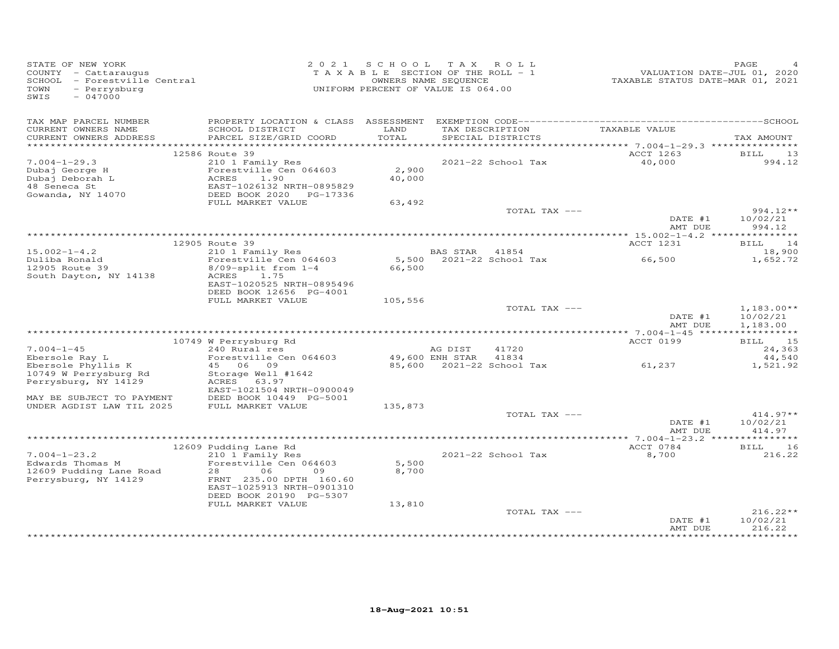| STATE OF NEW YORK<br>COUNTY - Cattaraugus<br>SCHOOL - Forestville Central<br>- Perrysburg<br>TOWN<br>$-047000$<br>SWIS |                                                                                                                                                 | 2021 SCHOOL     | TAX ROLL<br>TAXABLE SECTION OF THE ROLL - 1<br>OWNERS NAME SEQUENCE<br>UNIFORM PERCENT OF VALUE IS 064.00 |                 | VALUATION DATE-JUL 01, 2020<br>TAXABLE STATUS DATE-MAR 01, 2021 | PAGE                             |
|------------------------------------------------------------------------------------------------------------------------|-------------------------------------------------------------------------------------------------------------------------------------------------|-----------------|-----------------------------------------------------------------------------------------------------------|-----------------|-----------------------------------------------------------------|----------------------------------|
| TAX MAP PARCEL NUMBER<br>CURRENT OWNERS NAME                                                                           | SCHOOL DISTRICT                                                                                                                                 | LAND            |                                                                                                           | TAX DESCRIPTION | TAXABLE VALUE                                                   |                                  |
| CURRENT OWNERS ADDRESS                                                                                                 | PARCEL SIZE/GRID COORD                                                                                                                          | TOTAL           | SPECIAL DISTRICTS                                                                                         |                 |                                                                 | TAX AMOUNT                       |
|                                                                                                                        | 12586 Route 39                                                                                                                                  |                 |                                                                                                           |                 | ACCT 1263                                                       | BILL<br>13                       |
| $7.004 - 1 - 29.3$                                                                                                     | 210 1 Family Res                                                                                                                                |                 | 2021-22 School Tax                                                                                        |                 | 40,000                                                          | 994.12                           |
| Dubaj George H<br>Dubaj Deborah L<br>48 Seneca St<br>Gowanda, NY 14070                                                 | Forestville Cen 064603<br>ACRES<br>1.90<br>EAST-1026132 NRTH-0895829<br>DEED BOOK 2020 PG-17336                                                 | 2,900<br>40,000 |                                                                                                           |                 |                                                                 |                                  |
|                                                                                                                        | FULL MARKET VALUE                                                                                                                               | 63,492          |                                                                                                           |                 |                                                                 |                                  |
|                                                                                                                        |                                                                                                                                                 |                 |                                                                                                           | TOTAL TAX ---   | DATE #1<br>AMT DUE                                              | $994.12**$<br>10/02/21<br>994.12 |
|                                                                                                                        |                                                                                                                                                 |                 |                                                                                                           |                 |                                                                 |                                  |
|                                                                                                                        | 12905 Route 39                                                                                                                                  |                 |                                                                                                           |                 | ACCT 1231                                                       | BILL 14                          |
| $15.002 - 1 - 4.2$                                                                                                     | 210 1 Family Res                                                                                                                                |                 | BAS STAR 41854                                                                                            |                 |                                                                 | 18,900                           |
| Duliba Ronald<br>12905 Route 39<br>South Dayton, NY 14138                                                              | Forestville Cen 064603<br>8/09-split from 1-4<br>1.75<br>ACRES<br>EAST-1020525 NRTH-0895496                                                     | 66,500          | 5,500 2021-22 School Tax                                                                                  |                 | 66,500                                                          | 1,652.72                         |
|                                                                                                                        | DEED BOOK 12656 PG-4001                                                                                                                         |                 |                                                                                                           |                 |                                                                 |                                  |
|                                                                                                                        | FULL MARKET VALUE                                                                                                                               | 105,556         |                                                                                                           | TOTAL TAX ---   |                                                                 | $1,183.00**$                     |
|                                                                                                                        |                                                                                                                                                 |                 |                                                                                                           |                 | DATE #1<br>AMT DUE                                              | 10/02/21<br>1,183.00             |
|                                                                                                                        |                                                                                                                                                 |                 |                                                                                                           |                 |                                                                 |                                  |
| $7.004 - 1 - 45$                                                                                                       | 10749 W Perrysburg Rd<br>240 Rural res                                                                                                          |                 | AG DIST<br>41720                                                                                          |                 | ACCT 0199                                                       | BILL 15<br>24,363                |
| Ebersole Ray L                                                                                                         | Forestville Cen 064603                                                                                                                          |                 | 49,600 ENH STAR<br>41834                                                                                  |                 |                                                                 | 44,540                           |
| Ebersole Phyllis K                                                                                                     | 45 06 09                                                                                                                                        |                 | 85,600 2021-22 School Tax                                                                                 |                 | 61,237                                                          | 1,521.92                         |
| 10749 W Perrysburg Rd<br>Perrysburg, NY 14129                                                                          | Storage Well #1642<br>ACRES 63.97                                                                                                               |                 |                                                                                                           |                 |                                                                 |                                  |
| MAY BE SUBJECT TO PAYMENT                                                                                              | EAST-1021504 NRTH-0900049<br>DEED BOOK 10449 PG-5001                                                                                            |                 |                                                                                                           |                 |                                                                 |                                  |
| UNDER AGDIST LAW TIL 2025                                                                                              | FULL MARKET VALUE                                                                                                                               | 135,873         |                                                                                                           |                 |                                                                 |                                  |
|                                                                                                                        |                                                                                                                                                 |                 |                                                                                                           | TOTAL TAX ---   |                                                                 | $414.97**$                       |
|                                                                                                                        |                                                                                                                                                 |                 |                                                                                                           |                 | DATE #1<br>AMT DUE                                              | 10/02/21<br>414.97               |
|                                                                                                                        |                                                                                                                                                 |                 |                                                                                                           |                 |                                                                 |                                  |
|                                                                                                                        | 12609 Pudding Lane Rd                                                                                                                           |                 |                                                                                                           |                 | ACCT 0784                                                       | BILL<br>16                       |
| $7.004 - 1 - 23.2$<br>Edwards Thomas M<br>12609 Pudding Lane Road<br>Perrysburg, NY 14129                              | 210 1 Family Res<br>Forestville Cen 064603<br>28<br>06<br>09<br>FRNT 235.00 DPTH 160.60<br>EAST-1025913 NRTH-0901310<br>DEED BOOK 20190 PG-5307 | 5,500<br>8,700  | 2021-22 School Tax                                                                                        |                 | 8,700                                                           | 216.22                           |
|                                                                                                                        | FULL MARKET VALUE                                                                                                                               | 13,810          |                                                                                                           |                 |                                                                 |                                  |
|                                                                                                                        |                                                                                                                                                 |                 |                                                                                                           | TOTAL TAX ---   | DATE #1<br>AMT DUE                                              | $216.22**$<br>10/02/21<br>216.22 |
|                                                                                                                        |                                                                                                                                                 |                 |                                                                                                           |                 |                                                                 |                                  |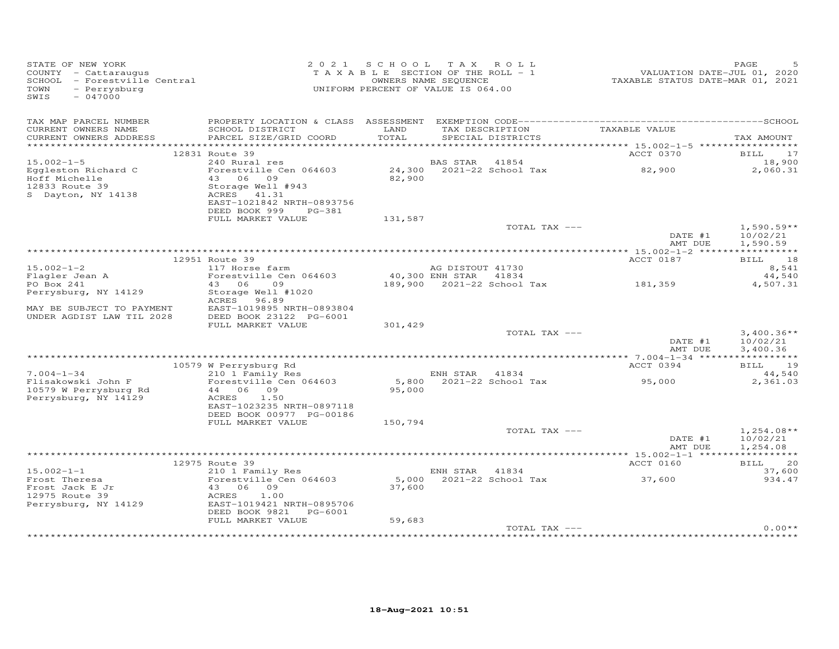| STATE OF NEW YORK<br>COUNTY - Cattaraugus<br>SCHOOL - Forestville Central<br>TOWN<br>- Perrysburg<br>SWIS<br>$-047000$ |                                                                                                            | 2021 SCHOOL TAX ROLL<br>TAXABLE SECTION OF THE ROLL - 1<br>UNIFORM PERCENT OF VALUE IS 064.00 | OWNERS NAME SEQUENCE |                            | VALUATION DATE-JUL V., -<br>TAXABLE STATUS DATE-MAR 01, 2021 | PAGE                                 |
|------------------------------------------------------------------------------------------------------------------------|------------------------------------------------------------------------------------------------------------|-----------------------------------------------------------------------------------------------|----------------------|----------------------------|--------------------------------------------------------------|--------------------------------------|
| TAX MAP PARCEL NUMBER<br>CURRENT OWNERS NAME                                                                           | SCHOOL DISTRICT                                                                                            | LAND                                                                                          |                      | TAX DESCRIPTION            | TAXABLE VALUE                                                |                                      |
| CURRENT OWNERS ADDRESS                                                                                                 | PARCEL SIZE/GRID COORD                                                                                     | TOTAL                                                                                         |                      | SPECIAL DISTRICTS          |                                                              | TAX AMOUNT                           |
|                                                                                                                        | 12831 Route 39                                                                                             |                                                                                               |                      |                            | ACCT 0370                                                    | BILL 17                              |
| $15.002 - 1 - 5$                                                                                                       | 240 Rural res                                                                                              |                                                                                               | BAS STAR 41854       |                            |                                                              | 18,900                               |
| Eggleston Richard C<br>Hoff Michelle<br>12833 Route 39<br>S Dayton, NY 14138                                           | Forestville Cen 064603<br>43 06 09<br>Storage Well #943<br>ACRES 41.31<br>EAST-1021842 NRTH-0893756        | 82,900                                                                                        |                      | 24,300 2021-22 School Tax  | 82,900                                                       | 2,060.31                             |
|                                                                                                                        | DEED BOOK 999<br>PG-381                                                                                    |                                                                                               |                      |                            |                                                              |                                      |
|                                                                                                                        | FULL MARKET VALUE                                                                                          | 131,587                                                                                       |                      |                            |                                                              |                                      |
|                                                                                                                        |                                                                                                            |                                                                                               |                      | TOTAL TAX ---              | DATE #1<br>AMT DUE                                           | $1,590.59**$<br>10/02/21<br>1,590.59 |
|                                                                                                                        |                                                                                                            |                                                                                               |                      |                            |                                                              |                                      |
|                                                                                                                        | 12951 Route 39                                                                                             |                                                                                               |                      |                            | ACCT 0187                                                    | BILL 18                              |
| $15.002 - 1 - 2$<br>rs.s<br>Flagler Jean A                                                                             | 117 Horse farm<br>Forestville Cen 064603                                                                   | 40,300 ENH STAR                                                                               | AG DISTOUT 41730     | 41834                      |                                                              | 8,541<br>44,540                      |
| PO Box 241                                                                                                             | 43 06<br>09                                                                                                |                                                                                               |                      | 189,900 2021-22 School Tax | 181, 359                                                     | 4,507.31                             |
| Perrysburg, NY 14129                                                                                                   | Storage Well #1020<br>ACRES 96.89                                                                          |                                                                                               |                      |                            |                                                              |                                      |
| MAY BE SUBJECT TO PAYMENT<br>UNDER AGDIST LAW TIL 2028                                                                 | EAST-1019895 NRTH-0893804<br>DEED BOOK 23122 PG-6001                                                       |                                                                                               |                      |                            |                                                              |                                      |
|                                                                                                                        | FULL MARKET VALUE                                                                                          | 301,429                                                                                       |                      | TOTAL TAX ---              |                                                              | $3,400.36**$                         |
|                                                                                                                        |                                                                                                            |                                                                                               |                      |                            | DATE #1<br>AMT DUE                                           | 10/02/21<br>3,400.36                 |
|                                                                                                                        |                                                                                                            |                                                                                               |                      |                            |                                                              |                                      |
|                                                                                                                        | 10579 W Perrysburg Rd<br>$210$ 1 Family Res                                                                |                                                                                               |                      |                            | ACCT 0394                                                    | BILL 19                              |
| $7.004 - 1 - 34$<br>Flisakowski John F<br>10579 W Perrysburg Rd                                                        | Forestville Cen 064603<br>44 06 09                                                                         | 95,000                                                                                        | ENH STAR 41834       | 5,800 $2021-22$ School Tax | 95,000                                                       | 44,540<br>2,361.03                   |
| Perrysburg, NY 14129                                                                                                   | ACRES<br>1.50<br>EAST-1023235 NRTH-0897118<br>DEED BOOK 00977 PG-00186<br>FULL MARKET VALUE                | 150,794                                                                                       |                      |                            |                                                              |                                      |
|                                                                                                                        |                                                                                                            |                                                                                               |                      | TOTAL TAX ---              |                                                              | $1,254.08**$                         |
|                                                                                                                        |                                                                                                            |                                                                                               |                      |                            | DATE #1<br>AMT DUE                                           | 10/02/21<br>1,254.08                 |
|                                                                                                                        |                                                                                                            |                                                                                               |                      |                            |                                                              |                                      |
| $15.002 - 1 - 1$                                                                                                       | 12975 Route 39<br>210 1 Family Res                                                                         |                                                                                               | ENH STAR 41834       |                            | ACCT 0160                                                    | <b>BILL</b><br>20<br>37,600          |
| Frost Theresa<br>Frost Jack E Jr<br>12975 Route 39<br>Perrysburg, NY 14129                                             | Forestville Cen 064603<br>43 06 09<br>ACRES<br>1.00<br>EAST-1019421 NRTH-0895706<br>DEED BOOK 9821 PG-6001 | 37,600                                                                                        |                      | 5,000 2021-22 School Tax   | 37,600                                                       | 934.47                               |
|                                                                                                                        | FULL MARKET VALUE                                                                                          | 59,683                                                                                        |                      |                            |                                                              |                                      |
|                                                                                                                        |                                                                                                            |                                                                                               |                      | TOTAL TAX ---              |                                                              | $0.00**$                             |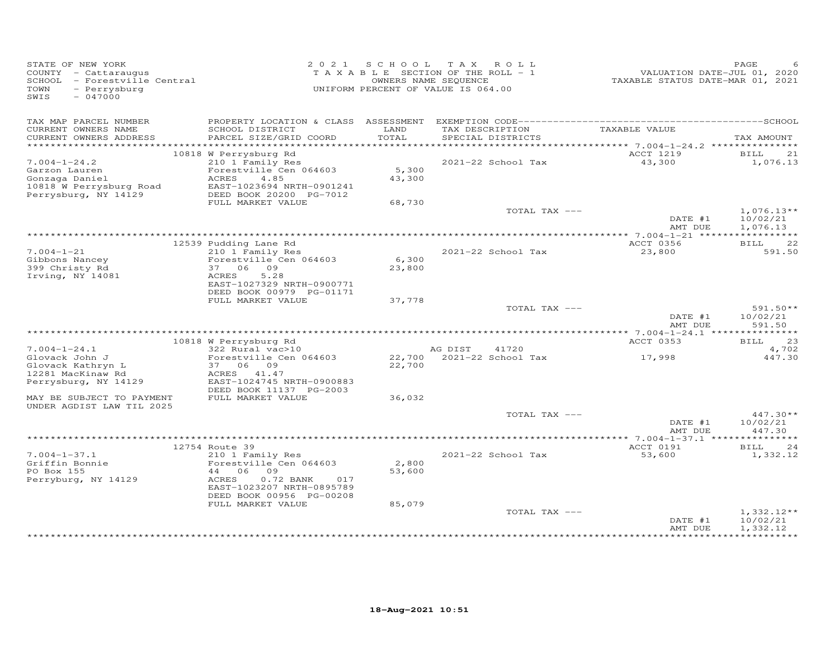| STATE OF NEW YORK<br>COUNTY - Cattaraugus<br>SCHOOL - Forestville Central<br>- Perrysburg<br>TOWN<br>$-047000$<br>SWIS |                                                                                                                                                                     | 2021 SCHOOL               | TAX ROLL<br>TAXABLE SECTION OF THE ROLL - 1<br>OWNERS NAME SEQUENCE<br>UNIFORM PERCENT OF VALUE IS 064.00 | VALUATION DATE-JUL 01, 2020<br>TAXABLE STATUS DATE-MAR 01, 2021 | PAGE                                 |
|------------------------------------------------------------------------------------------------------------------------|---------------------------------------------------------------------------------------------------------------------------------------------------------------------|---------------------------|-----------------------------------------------------------------------------------------------------------|-----------------------------------------------------------------|--------------------------------------|
| TAX MAP PARCEL NUMBER<br>CURRENT OWNERS NAME<br>CURRENT OWNERS ADDRESS                                                 | SCHOOL DISTRICT<br>PARCEL SIZE/GRID COORD                                                                                                                           | LAND<br>TOTAL             | TAX DESCRIPTION<br>SPECIAL DISTRICTS                                                                      | TAXABLE VALUE                                                   | TAX AMOUNT                           |
|                                                                                                                        |                                                                                                                                                                     |                           |                                                                                                           |                                                                 |                                      |
| $7.004 - 1 - 24.2$<br>Garzon Lauren<br>Gonzaga Daniel<br>10818 W Perrysburg Road<br>Perrysburg, NY 14129               | 10818 W Perrysburg Rd<br>210 1 Family Res<br>Forestville Cen 064603<br>ACRES<br>4.85<br>EAST-1023694 NRTH-0901241<br>DEED BOOK 20200 PG-7012<br>FULL MARKET VALUE   | 5,300<br>43,300<br>68,730 | 2021-22 School Tax                                                                                        | ACCT 1219<br>43,300                                             | BILL<br>21<br>1,076.13               |
|                                                                                                                        |                                                                                                                                                                     |                           | TOTAL TAX ---                                                                                             | DATE #1<br>AMT DUE                                              | $1,076.13**$<br>10/02/21<br>1,076.13 |
|                                                                                                                        |                                                                                                                                                                     |                           |                                                                                                           |                                                                 |                                      |
| $7.004 - 1 - 21$<br>Gibbons Nancey<br>399 Christy Rd<br>Irving, NY 14081                                               | 12539 Pudding Lane Rd<br>210 1 Family Res<br>Forestville Cen 064603<br>37 06 09<br>5.28<br>ACRES<br>EAST-1027329 NRTH-0900771<br>DEED BOOK 00979 PG-01171           | 6,300<br>23,800           | 2021-22 School Tax                                                                                        | ACCT 0356<br>23,800                                             | BILL<br>22<br>591.50                 |
|                                                                                                                        | FULL MARKET VALUE                                                                                                                                                   | 37,778                    | TOTAL TAX ---                                                                                             | DATE #1<br>AMT DUE                                              | $591.50**$<br>10/02/21<br>591.50     |
|                                                                                                                        | 10818 W Perrysburg Rd                                                                                                                                               |                           |                                                                                                           | ACCT 0353                                                       | 23<br>BILL                           |
| $7.004 - 1 - 24.1$<br>Glovack John J<br>Glovack Kathryn L<br>12281 MacKinaw Rd<br>Perrysburg, NY 14129                 | 322 Rural vac>10<br>Forestville Cen 064603<br>37 06 09<br>ACRES 41.47<br>EAST-1024745 NRTH-0900883<br>DEED BOOK 11137 PG-2003                                       | 22,700                    | AG DIST<br>41720<br>22,700 2021-22 School Tax                                                             | 17,998                                                          | 4,702<br>447.30                      |
| MAY BE SUBJECT TO PAYMENT                                                                                              | FULL MARKET VALUE                                                                                                                                                   | 36,032                    |                                                                                                           |                                                                 |                                      |
| UNDER AGDIST LAW TIL 2025                                                                                              |                                                                                                                                                                     |                           | TOTAL TAX ---                                                                                             | DATE #1<br>AMT DUE                                              | 447.30**<br>10/02/21<br>447.30       |
|                                                                                                                        |                                                                                                                                                                     |                           |                                                                                                           |                                                                 | *********                            |
| $7.004 - 1 - 37.1$<br>Griffin Bonnie<br>PO Box 155<br>Perryburg, NY 14129                                              | 12754 Route 39<br>210 1 Family Res<br>Forestville Cen 064603<br>44 06<br>09<br>ACRES<br>$0.72$ BANK<br>017<br>EAST-1023207 NRTH-0895789<br>DEED BOOK 00956 PG-00208 | 2,800<br>53,600           | 2021-22 School Tax                                                                                        | ACCT 0191<br>53,600                                             | 24<br><b>BILL</b><br>1,332.12        |
|                                                                                                                        | FULL MARKET VALUE                                                                                                                                                   | 85,079                    | TOTAL TAX ---                                                                                             | DATE #1<br>AMT DUE                                              | $1,332.12**$<br>10/02/21<br>1,332.12 |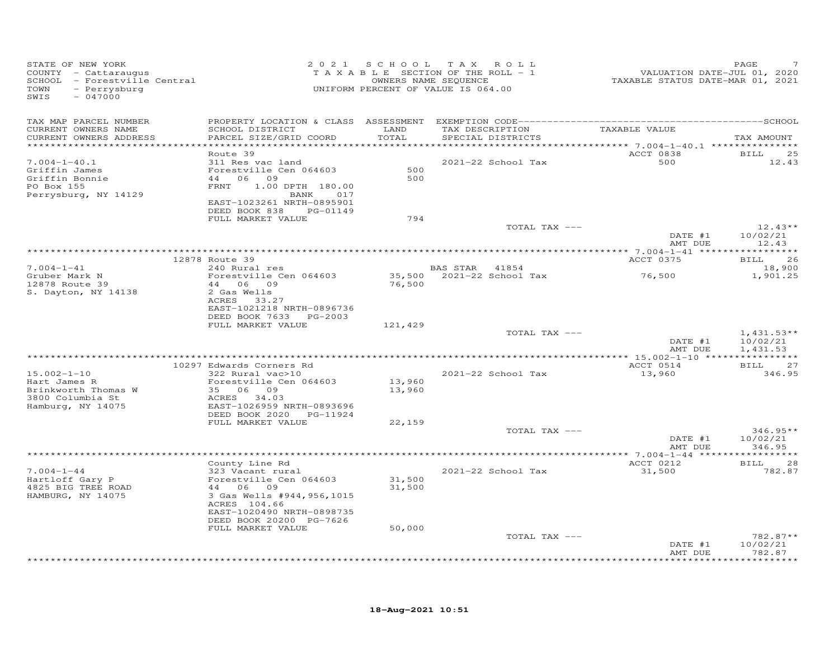| STATE OF NEW YORK<br>COUNTY - Cattaraugus<br>SCHOOL - Forestville Central<br>TOWN<br>- Perrysburg<br>SWIS<br>$-047000$ |                                                                                                                                                                                                      |                            | 2021 SCHOOL TAX ROLL<br>TAXABLE SECTION OF THE ROLL - 1<br>OWNERS NAME SEQUENCE<br>UNIFORM PERCENT OF VALUE IS 064.00 | VALUATION DATE-JUL 01, 2020<br>TAXABLE STATUS DATE-MAR 01, 2021 | PAGE                                 |
|------------------------------------------------------------------------------------------------------------------------|------------------------------------------------------------------------------------------------------------------------------------------------------------------------------------------------------|----------------------------|-----------------------------------------------------------------------------------------------------------------------|-----------------------------------------------------------------|--------------------------------------|
| TAX MAP PARCEL NUMBER<br>CURRENT OWNERS NAME<br>CURRENT OWNERS ADDRESS                                                 | SCHOOL DISTRICT<br>PARCEL SIZE/GRID COORD                                                                                                                                                            | LAND<br>TOTAL              | TAX DESCRIPTION<br>SPECIAL DISTRICTS                                                                                  | TAXABLE VALUE                                                   | TAX AMOUNT                           |
|                                                                                                                        | Route 39                                                                                                                                                                                             |                            |                                                                                                                       | ACCT 0838                                                       | BILL<br>25                           |
| $7.004 - 1 - 40.1$<br>Griffin James<br>Griffin Bonnie<br>PO Box 155<br>Perrysburg, NY 14129                            | 311 Res vac land<br>Forestville Cen 064603<br>44 06 09<br>FRNT 1.00 DPTH 180.00<br>BANK 017<br>EAST-1023261 NRTH-0895901<br>DEED BOOK 838 PG-01149                                                   | 500<br>500                 | 2021-22 School Tax                                                                                                    | 500                                                             | 12.43                                |
|                                                                                                                        | FULL MARKET VALUE                                                                                                                                                                                    | 794                        |                                                                                                                       |                                                                 |                                      |
|                                                                                                                        |                                                                                                                                                                                                      |                            | TOTAL TAX ---                                                                                                         | DATE #1<br>AMT DUE                                              | $12.43**$<br>10/02/21<br>12.43       |
|                                                                                                                        |                                                                                                                                                                                                      |                            |                                                                                                                       |                                                                 |                                      |
| $7.004 - 1 - 41$                                                                                                       | 12878 Route 39<br>240 Rural res                                                                                                                                                                      |                            | BAS STAR 41854                                                                                                        | ACCT 0375                                                       | 26<br>BILL<br>18,900                 |
| Gruber Mark N<br>12878 Route 39<br>S. Dayton, NY 14138                                                                 | Forestville Cen 064603<br>44 06 09<br>2 Gas Wells<br>ACRES 33.27<br>EAST-1021218 NRTH-0896736<br>DEED BOOK 7633 PG-2003                                                                              | 76,500                     | 35,500 2021-22 School Tax                                                                                             | 76,500                                                          | 1,901.25                             |
|                                                                                                                        | FULL MARKET VALUE                                                                                                                                                                                    | 121,429                    |                                                                                                                       |                                                                 |                                      |
|                                                                                                                        |                                                                                                                                                                                                      |                            | TOTAL TAX ---                                                                                                         | DATE #1<br>AMT DUE                                              | $1,431.53**$<br>10/02/21<br>1,431.53 |
|                                                                                                                        | 10297 Edwards Corners Rd                                                                                                                                                                             |                            |                                                                                                                       | ACCT 0514                                                       | BILL 27                              |
| $15.002 - 1 - 10$<br>Hart James R<br>Brinkworth Thomas W<br>3800 Columbia St<br>Hamburg, NY 14075                      | 322 Rural vac>10<br>Forestville Cen 064603<br>35 06 09<br>ACRES 34.03<br>EAST-1026959 NRTH-0893696<br>DEED BOOK 2020 PG-11924                                                                        | 13,960<br>13,960           | 2021-22 School Tax                                                                                                    | 13,960                                                          | 346.95                               |
|                                                                                                                        | FULL MARKET VALUE                                                                                                                                                                                    | 22,159                     | TOTAL TAX ---                                                                                                         |                                                                 | $346.95**$                           |
|                                                                                                                        |                                                                                                                                                                                                      |                            |                                                                                                                       | DATE #1<br>AMT DUE                                              | 10/02/21<br>346.95                   |
|                                                                                                                        |                                                                                                                                                                                                      |                            |                                                                                                                       | ACCT 0212                                                       |                                      |
| $7.004 - 1 - 44$<br>Hartloff Gary P<br>4825 BIG TREE ROAD<br>HAMBURG, NY 14075                                         | County Line Rd<br>323 Vacant rural<br>Forestville Cen 064603<br>44 06 09<br>3 Gas Wells #944, 956, 1015<br>ACRES 104.66<br>EAST-1020490 NRTH-0898735<br>DEED BOOK 20200 PG-7626<br>FULL MARKET VALUE | 31,500<br>31,500<br>50,000 | 2021-22 School Tax                                                                                                    | 31,500                                                          | <b>BILL</b><br>28<br>782.87          |
|                                                                                                                        |                                                                                                                                                                                                      |                            | TOTAL TAX ---                                                                                                         |                                                                 | $782.87**$                           |
|                                                                                                                        |                                                                                                                                                                                                      |                            |                                                                                                                       | DATE #1<br>AMT DUE                                              | 10/02/21<br>782.87<br>.              |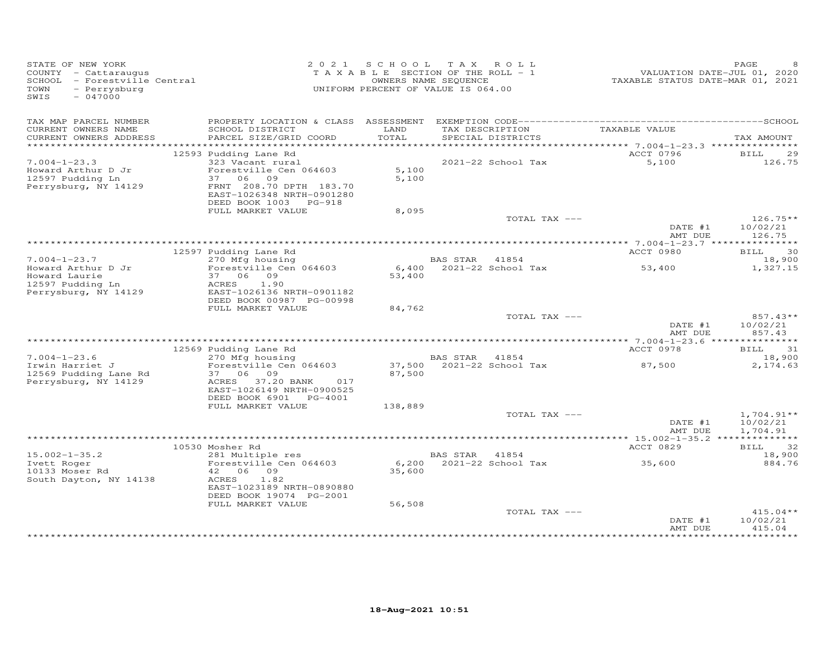| - Perrysburg<br>TOWN<br>SWIS<br>$-047000$                                            | SCHOOL - Forestville Central                                                                                   | OWNERS NAME SEQUENCE<br>UNIFORM PERCENT OF VALUE IS 064.00 |                | T A X A B L E SECTION OF THE ROLL - 1              | VALUATION DATE-JUL 01, 2020<br>TAXABLE STATUS DATE-MAR 01, 2021 |                                  |
|--------------------------------------------------------------------------------------|----------------------------------------------------------------------------------------------------------------|------------------------------------------------------------|----------------|----------------------------------------------------|-----------------------------------------------------------------|----------------------------------|
| TAX MAP PARCEL NUMBER<br>CURRENT OWNERS NAME<br>CURRENT OWNERS ADDRESS               | SCHOOL DISTRICT<br>PARCEL SIZE/GRID COORD                                                                      | LAND<br>TOTAL                                              |                | TAX DESCRIPTION TAXABLE VALUE<br>SPECIAL DISTRICTS |                                                                 | TAX AMOUNT                       |
|                                                                                      |                                                                                                                |                                                            |                |                                                    |                                                                 |                                  |
|                                                                                      | 12593 Pudding Lane Rd                                                                                          |                                                            |                |                                                    | ACCT 0796                                                       | BILL<br>29                       |
| $7.004 - 1 - 23.3$<br>Howard Arthur D Jr<br>12597 Pudding Ln<br>Perrysburg, NY 14129 | 323 Vacant rural<br>Forestville Cen 064603<br>37 06 09<br>FRNT 208.70 DPTH 183.70<br>EAST-1026348 NRTH-0901280 | 5,100<br>5,100                                             |                | 2021-22 School Tax                                 | 5,100                                                           | 126.75                           |
|                                                                                      | DEED BOOK 1003 PG-918                                                                                          |                                                            |                |                                                    |                                                                 |                                  |
|                                                                                      | FULL MARKET VALUE                                                                                              | 8,095                                                      |                | TOTAL TAX ---                                      | DATE #1                                                         | $126.75**$<br>10/02/21           |
|                                                                                      |                                                                                                                |                                                            |                |                                                    | AMT DUE                                                         | 126.75                           |
|                                                                                      |                                                                                                                |                                                            |                |                                                    |                                                                 |                                  |
| $7.004 - 1 - 23.7$                                                                   | 12597 Pudding Lane Rd<br>270 Mfg housing                                                                       |                                                            |                |                                                    | ACCT 0980                                                       | 30<br>BILL<br>18,900             |
| Howard Arthur D Jr<br>Howard Laurie<br>12597 Pudding Ln<br>Perrysburg, NY 14129      | Forestville Cen 064603<br>37 06 09<br>ACRES 1.90<br>EAST-1026136 NRTH-0901182                                  | 53,400                                                     |                | BAS STAR 41854<br>6,400 2021-22 School Tax 53,400  |                                                                 | 1,327.15                         |
|                                                                                      | DEED BOOK 00987 PG-00998<br>FULL MARKET VALUE                                                                  | 84,762                                                     |                |                                                    |                                                                 |                                  |
|                                                                                      |                                                                                                                |                                                            |                | TOTAL TAX ---                                      | DATE #1<br>AMT DUE                                              | $857.43**$<br>10/02/21<br>857.43 |
|                                                                                      |                                                                                                                |                                                            |                |                                                    |                                                                 |                                  |
| $7.004 - 1 - 23.6$                                                                   | 12569 Pudding Lane Rd<br>Nowway Lane Rd<br>270 Mfg housing<br>Forested L                                       |                                                            |                |                                                    | ACCT 0978                                                       | BILL 31                          |
| Irwin Harriet J<br>12569 Pudding Lane Rd<br>Perrysburg, NY 14129                     | Forestville Cen 064603<br>37 06 09<br>ACRES 37.20 BANK 017                                                     | 87,500                                                     | BAS STAR 41854 | 37,500 2021-22 School Tax                          | 87,500                                                          | 18,900<br>2,174.63               |
|                                                                                      | EAST-1026149 NRTH-0900525<br>DEED BOOK 6901 PG-4001                                                            |                                                            |                |                                                    |                                                                 |                                  |
|                                                                                      | FULL MARKET VALUE                                                                                              | 138,889                                                    |                | TOTAL TAX ---                                      |                                                                 | $1,704.91**$                     |
|                                                                                      |                                                                                                                |                                                            |                |                                                    | DATE #1<br>AMT DUE                                              | 10/02/21<br>1,704.91             |
|                                                                                      |                                                                                                                |                                                            |                |                                                    | ACCT 0829                                                       | BILL 32                          |
| $15.002 - 1 - 35.2$                                                                  | 10530 Mosher Rd<br>281 Multiple res                                                                            |                                                            | BAS STAR 41854 |                                                    |                                                                 | 18,900                           |
| Ivett Roger<br>10133 Moser Rd<br>South Dayton, NY 14138                              | Forestville Cen 064603<br>42 06 09<br>ACRES<br>1.82<br>EAST-1023189 NRTH-0890880                               | 35,600                                                     |                | 6,200 2021-22 School Tax 35,600                    |                                                                 | 884.76                           |
|                                                                                      | DEED BOOK 19074 PG-2001                                                                                        |                                                            |                |                                                    |                                                                 |                                  |
|                                                                                      | FULL MARKET VALUE                                                                                              | 56,508                                                     |                | TOTAL TAX ---                                      | DATE #1<br>AMT DUE                                              | $415.04**$<br>10/02/21<br>415.04 |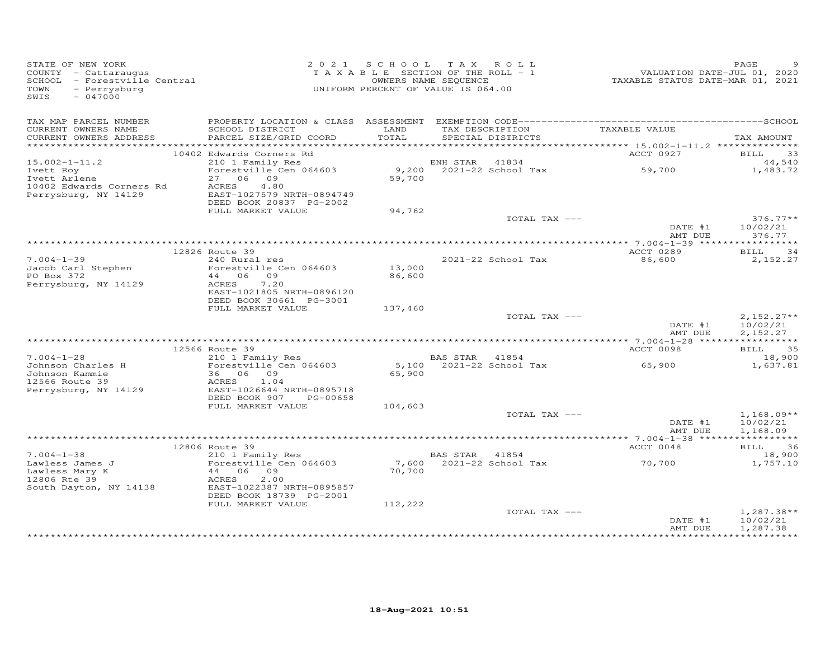| STATE OF NEW YORK<br>COUNTY - Cattaraugus<br>SCHOOL - Forestville Central<br>- Perrysburg<br>TOWN<br>SWIS<br>$-047000$ |                                              | 2021 SCHOOL TAX ROLL<br>TAXABLE SECTION OF THE ROLL - 1<br>UNIFORM PERCENT OF VALUE IS 064.00 | OWNERS NAME SEQUENCE |                                      | VALUATION DATE-JUL 01, 2020<br>TAXABLE STATUS DATE-MAR 01, 2021 | PAGE                    |
|------------------------------------------------------------------------------------------------------------------------|----------------------------------------------|-----------------------------------------------------------------------------------------------|----------------------|--------------------------------------|-----------------------------------------------------------------|-------------------------|
| TAX MAP PARCEL NUMBER                                                                                                  |                                              |                                                                                               |                      |                                      |                                                                 |                         |
| CURRENT OWNERS NAME<br>CURRENT OWNERS ADDRESS                                                                          | SCHOOL DISTRICT<br>PARCEL SIZE/GRID COORD    | LAND<br>TOTAL                                                                                 |                      | TAX DESCRIPTION<br>SPECIAL DISTRICTS | TAXABLE VALUE                                                   | TAX AMOUNT              |
|                                                                                                                        |                                              |                                                                                               |                      |                                      |                                                                 |                         |
| $15.002 - 1 - 11.2$                                                                                                    | 10402 Edwards Corners Rd                     |                                                                                               |                      |                                      | ACCT 0927                                                       | BILL 33<br>44,540       |
| Ivett Roy                                                                                                              | 210 1 Family Res<br>Forestville Cen 064603   |                                                                                               |                      |                                      |                                                                 | 1,483.72                |
| Ivett Roy<br>Ivett Arlene                                                                                              | 27 06 09                                     | 59,700                                                                                        |                      |                                      |                                                                 |                         |
| 10402 Edwards Corners Rd<br>Perrysburg, NY 14129                                                                       | 4.80<br>ACRES                                |                                                                                               |                      |                                      |                                                                 |                         |
| Perrysburg, NY 14129                                                                                                   | EAST-1027579 NRTH-0894749                    |                                                                                               |                      |                                      |                                                                 |                         |
|                                                                                                                        | DEED BOOK 20837 PG-2002<br>FULL MARKET VALUE | 94,762                                                                                        |                      |                                      |                                                                 |                         |
|                                                                                                                        |                                              |                                                                                               |                      | TOTAL TAX ---                        |                                                                 | $376.77**$              |
|                                                                                                                        |                                              |                                                                                               |                      |                                      | DATE #1<br>AMT DUE                                              | 10/02/21<br>376.77      |
|                                                                                                                        |                                              |                                                                                               |                      |                                      |                                                                 |                         |
|                                                                                                                        | 12826 Route 39                               |                                                                                               |                      |                                      | ACCT 0289                                                       | BILL<br>34              |
| $7.004 - 1 - 39$                                                                                                       | 240 Rural res<br>Forestville Cen 064603      | 13,000                                                                                        |                      | 2021-22 School Tax                   | 86,600                                                          | 2,152.27                |
| Jacob Carl Stephen<br>PO Box 372                                                                                       | 44 06 09                                     | 86,600                                                                                        |                      |                                      |                                                                 |                         |
| Perrysburg, NY 14129                                                                                                   | ACRES<br>7.20                                |                                                                                               |                      |                                      |                                                                 |                         |
|                                                                                                                        | EAST-1021805 NRTH-0896120                    |                                                                                               |                      |                                      |                                                                 |                         |
|                                                                                                                        | DEED BOOK 30661 PG-3001                      |                                                                                               |                      |                                      |                                                                 |                         |
|                                                                                                                        | FULL MARKET VALUE                            | 137,460                                                                                       |                      | TOTAL TAX ---                        |                                                                 | $2,152.27**$            |
|                                                                                                                        |                                              |                                                                                               |                      |                                      | DATE #1                                                         | 10/02/21                |
|                                                                                                                        |                                              |                                                                                               |                      |                                      | AMT DUE                                                         | 2,152.27                |
|                                                                                                                        |                                              |                                                                                               |                      |                                      |                                                                 |                         |
| $7.004 - 1 - 28$                                                                                                       | 12566 Route 39<br>210 1 Family Res           |                                                                                               | BAS STAR 41854       |                                      | ACCT 0098                                                       | BILL 35<br>18,900       |
|                                                                                                                        | Forestville Cen 064603                       |                                                                                               |                      | 5,100 2021-22 School Tax             | 65,900                                                          | 1,637.81                |
| Johnson Charles H<br>Johnson Kammie<br>12566 Route 39                                                                  | 36 06 09                                     | 65,900                                                                                        |                      |                                      |                                                                 |                         |
|                                                                                                                        | 1.04<br>ACRES                                |                                                                                               |                      |                                      |                                                                 |                         |
| Perrysburg, NY 14129                                                                                                   | EAST-1026644 NRTH-0895718                    |                                                                                               |                      |                                      |                                                                 |                         |
|                                                                                                                        | DEED BOOK 907 PG-00658<br>FULL MARKET VALUE  | 104,603                                                                                       |                      |                                      |                                                                 |                         |
|                                                                                                                        |                                              |                                                                                               |                      | TOTAL TAX ---                        |                                                                 | $1,168.09**$            |
|                                                                                                                        |                                              |                                                                                               |                      |                                      | DATE #1                                                         | 10/02/21                |
|                                                                                                                        |                                              |                                                                                               |                      |                                      | AMT DUE                                                         | 1,168.09                |
|                                                                                                                        |                                              |                                                                                               |                      |                                      |                                                                 |                         |
| $7.004 - 1 - 38$                                                                                                       | 12806 Route 39<br>210 1 Family Res           |                                                                                               | BAS STAR 41854       |                                      | ACCT 0048                                                       | BILL 36<br>18,900       |
| Lawless James J                                                                                                        | Forestville Cen 064603                       |                                                                                               |                      |                                      | 7,600 2021-22 School Tax 70,700                                 | 1,757.10                |
| Lawless Mary K                                                                                                         | 44 06 09                                     | 70,700                                                                                        |                      |                                      |                                                                 |                         |
| 12806 Rte 39                                                                                                           | 2.00<br>ACRES                                |                                                                                               |                      |                                      |                                                                 |                         |
| South Dayton, NY 14138                                                                                                 | EAST-1022387 NRTH-0895857                    |                                                                                               |                      |                                      |                                                                 |                         |
|                                                                                                                        | DEED BOOK 18739 PG-2001<br>FULL MARKET VALUE | 112,222                                                                                       |                      |                                      |                                                                 |                         |
|                                                                                                                        |                                              |                                                                                               |                      | TOTAL TAX ---                        |                                                                 | $1,287.38**$            |
|                                                                                                                        |                                              |                                                                                               |                      |                                      | DATE #1                                                         | 10/02/21                |
|                                                                                                                        |                                              |                                                                                               |                      |                                      | AMT DUE                                                         | 1,287.38<br>*********** |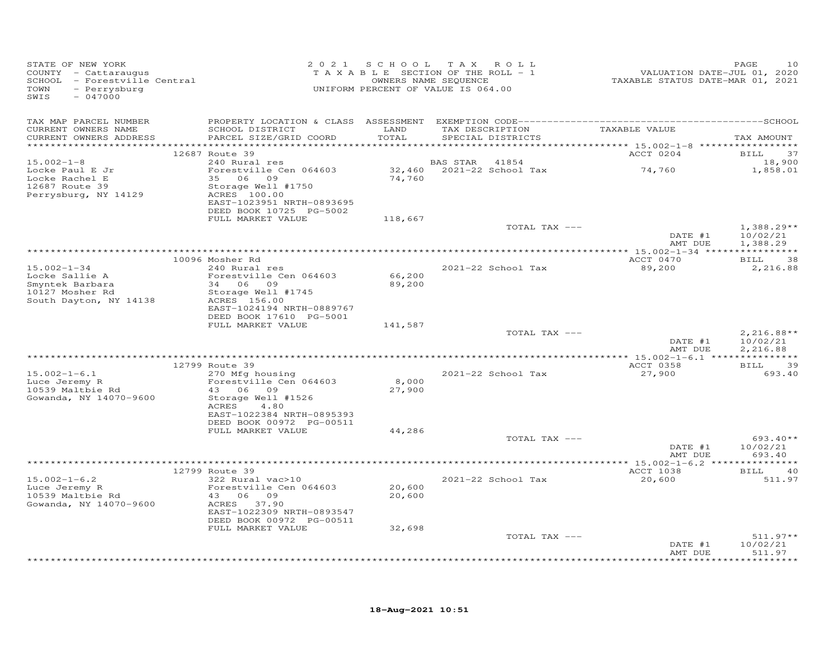| STATE OF NEW YORK<br>COUNTY - Cattaraugus<br>SCHOOL - Forestville Central<br>TOWN<br>- Perrysburg<br>SWIS<br>$-047000$ |                                                                                                                                                                      |                  | 2021 SCHOOL TAX ROLL<br>TAXABLE SECTION OF THE ROLL - 1<br>OWNERS NAME SEQUENCE<br>UNIFORM PERCENT OF VALUE IS 064.00 | valuation DATE-JUL 01, 2020<br>TAXABLE STATUS DATE-MAR 01, 2021 | PAGE<br>10                           |
|------------------------------------------------------------------------------------------------------------------------|----------------------------------------------------------------------------------------------------------------------------------------------------------------------|------------------|-----------------------------------------------------------------------------------------------------------------------|-----------------------------------------------------------------|--------------------------------------|
| TAX MAP PARCEL NUMBER<br>CURRENT OWNERS NAME<br>CURRENT OWNERS ADDRESS                                                 | SCHOOL DISTRICT<br>PARCEL SIZE/GRID COORD                                                                                                                            | LAND<br>TOTAL    | TAX DESCRIPTION<br>SPECIAL DISTRICTS                                                                                  | TAXABLE VALUE                                                   | TAX AMOUNT                           |
|                                                                                                                        | 12687 Route 39                                                                                                                                                       |                  |                                                                                                                       | ACCT 0204                                                       | 37                                   |
| $15.002 - 1 - 8$                                                                                                       | 240 Rural res                                                                                                                                                        |                  | 41854<br>BAS STAR                                                                                                     |                                                                 | <b>BILL</b><br>18,900                |
| Locke Paul E Jr<br>Locke Rachel E<br>12687 Route 39<br>Perrysburg, NY 14129                                            | Forestville Cen 064603<br>35 06 09<br>Storage Well #1750<br>ACRES 100.00<br>EAST-1023951 NRTH-0893695<br>DEED BOOK 10725 PG-5002                                     | 74,760           | 32,460 2021-22 School Tax                                                                                             | 74,760                                                          | 1,858.01                             |
|                                                                                                                        | FULL MARKET VALUE                                                                                                                                                    | 118,667          |                                                                                                                       |                                                                 |                                      |
|                                                                                                                        |                                                                                                                                                                      |                  | TOTAL TAX ---                                                                                                         | DATE #1<br>AMT DUE                                              | $1,388.29**$<br>10/02/21<br>1,388.29 |
|                                                                                                                        |                                                                                                                                                                      |                  |                                                                                                                       |                                                                 |                                      |
| $15.002 - 1 - 34$<br>Locke Sallie A<br>Smyntek Barbara<br>10127 Mosher Rd<br>South Dayton, NY 14138                    | 10096 Mosher Rd<br>240 Rural res<br>Forestville Cen 064603<br>34 06 09<br>Storage Well #1745<br>ACRES 156.00<br>EAST-1024194 NRTH-0889767<br>DEED BOOK 17610 PG-5001 | 66,200<br>89,200 | 2021-22 School Tax                                                                                                    | ACCT 0470<br>89,200                                             | <b>BILL</b><br>38<br>2,216.88        |
|                                                                                                                        | FULL MARKET VALUE                                                                                                                                                    | 141,587          |                                                                                                                       |                                                                 |                                      |
|                                                                                                                        |                                                                                                                                                                      |                  | TOTAL TAX ---                                                                                                         | DATE #1<br>AMT DUE                                              | $2,216.88**$<br>10/02/21<br>2,216.88 |
|                                                                                                                        |                                                                                                                                                                      |                  |                                                                                                                       |                                                                 |                                      |
| $15.002 - 1 - 6.1$<br>Luce Jeremy R<br>10539 Maltbie Rd<br>Gowanda, NY 14070-9600                                      | 12799 Route 39<br>270 Mfg housing<br>Forestville Cen 064603<br>43 06 09<br>Storage Well #1526<br>ACRES<br>4.80<br>EAST-1022384 NRTH-0895393                          | 8,000<br>27,900  | 2021-22 School Tax                                                                                                    | ACCT 0358<br>27,900                                             | BILL 39<br>693.40                    |
|                                                                                                                        | DEED BOOK 00972 PG-00511<br>FULL MARKET VALUE                                                                                                                        | 44,286           |                                                                                                                       |                                                                 |                                      |
|                                                                                                                        |                                                                                                                                                                      |                  | TOTAL TAX ---                                                                                                         | DATE #1<br>AMT DUE                                              | $693.40**$<br>10/02/21<br>693.40     |
|                                                                                                                        |                                                                                                                                                                      |                  |                                                                                                                       |                                                                 |                                      |
| $15.002 - 1 - 6.2$<br>Luce Jeremy R<br>10539 Maltbie Rd<br>10539 Maltbie Rd                                            | 12799 Route 39<br>322 Rural vac>10<br>Forestville Cen 064603<br>43 06 09<br>ACRES 37.90                                                                              | 20,600<br>20,600 | 2021-22 School Tax                                                                                                    | ACCT 1038<br>20,600                                             | <b>BILL</b><br>40<br>511.97          |
| Gowanda, NY 14070-9600                                                                                                 | EAST-1022309 NRTH-0893547<br>DEED BOOK 00972 PG-00511<br>FULL MARKET VALUE                                                                                           | 32,698           |                                                                                                                       |                                                                 |                                      |
|                                                                                                                        |                                                                                                                                                                      |                  | TOTAL TAX ---                                                                                                         |                                                                 | $511.97**$                           |
|                                                                                                                        |                                                                                                                                                                      |                  |                                                                                                                       | DATE #1<br>AMT DUE                                              | 10/02/21<br>511.97<br>********       |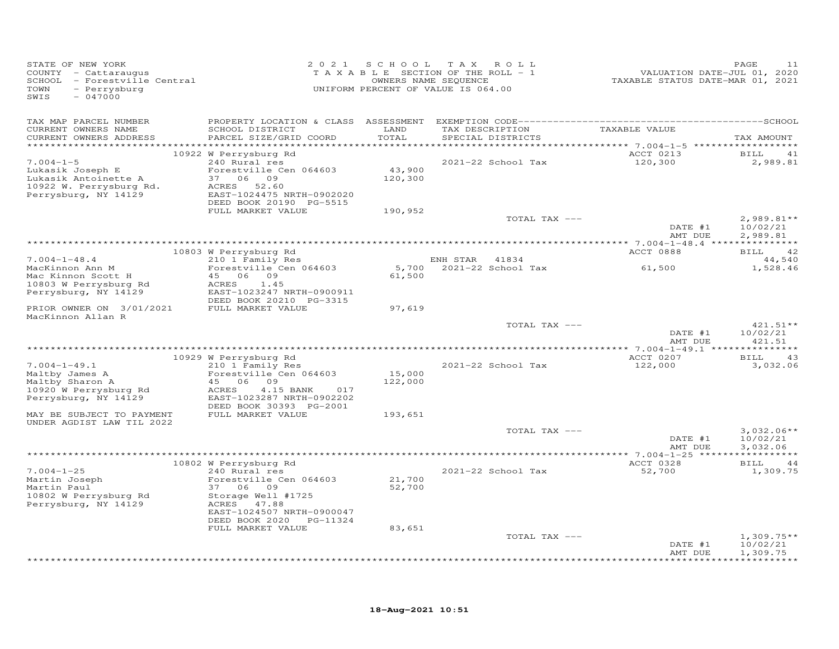| STATE OF NEW YORK<br>COUNTY - Cattaraugus<br>SCHOOL - Forestville Central<br>TOWN<br>- Perrysburg<br>SWIS<br>$-047000$ | 2 0 2 1                                                 | SCHOOL  | T A X<br>ROLL<br>TAXABLE SECTION OF THE ROLL - 1<br>OWNERS NAME SEQUENCE<br>UNIFORM PERCENT OF VALUE IS 064.00 | VALUATION DATE-JUL 01, 2020<br>TAXABLE STATUS DATE-MAR 01, 2021 | PAGE<br>11                    |
|------------------------------------------------------------------------------------------------------------------------|---------------------------------------------------------|---------|----------------------------------------------------------------------------------------------------------------|-----------------------------------------------------------------|-------------------------------|
| TAX MAP PARCEL NUMBER<br>CURRENT OWNERS NAME                                                                           | SCHOOL DISTRICT                                         | LAND    | TAX DESCRIPTION                                                                                                | TAXABLE VALUE                                                   |                               |
| CURRENT OWNERS ADDRESS                                                                                                 | PARCEL SIZE/GRID COORD                                  | TOTAL   | SPECIAL DISTRICTS                                                                                              |                                                                 | TAX AMOUNT                    |
| ************************                                                                                               |                                                         |         |                                                                                                                |                                                                 |                               |
| $7.004 - 1 - 5$                                                                                                        | 10922 W Perrysburg Rd<br>240 Rural res                  |         | 2021-22 School Tax                                                                                             | ACCT 0213<br>120,300                                            | BILL<br>41<br>2,989.81        |
| Lukasik Joseph E                                                                                                       | Forestville Cen 064603                                  | 43,900  |                                                                                                                |                                                                 |                               |
| Lukasik Antoinette A                                                                                                   | 37 06 09                                                | 120,300 |                                                                                                                |                                                                 |                               |
| 10922 W. Perrysburg Rd.                                                                                                | 52.60<br>ACRES                                          |         |                                                                                                                |                                                                 |                               |
| Perrysburg, NY 14129                                                                                                   | EAST-1024475 NRTH-0902020<br>DEED BOOK 20190 PG-5515    |         |                                                                                                                |                                                                 |                               |
|                                                                                                                        | FULL MARKET VALUE                                       | 190,952 |                                                                                                                |                                                                 |                               |
|                                                                                                                        |                                                         |         | TOTAL TAX ---                                                                                                  |                                                                 | $2,989.81**$                  |
|                                                                                                                        |                                                         |         |                                                                                                                | DATE #1                                                         | 10/02/21                      |
|                                                                                                                        |                                                         |         |                                                                                                                | AMT DUE                                                         | 2,989.81                      |
|                                                                                                                        | 10803 W Perrysburg Rd                                   |         |                                                                                                                | ACCT 0888                                                       | 42<br>BILL                    |
| $7.004 - 1 - 48.4$                                                                                                     | 210 1 Family Res                                        |         | 41834<br>ENH STAR                                                                                              |                                                                 | 44,540                        |
| MacKinnon Ann M                                                                                                        | Forestville Cen 064603                                  | 5,700   | 2021-22 School Tax                                                                                             | 61,500                                                          | 1,528.46                      |
| Mac Kinnon Scott H                                                                                                     | 45<br>06 09                                             | 61,500  |                                                                                                                |                                                                 |                               |
| 10803 W Perrysburg Rd                                                                                                  | ACRES<br>1.45<br>EAST-1023247 NRTH-0900911              |         |                                                                                                                |                                                                 |                               |
| Perrysburg, NY 14129                                                                                                   | DEED BOOK 20210 PG-3315                                 |         |                                                                                                                |                                                                 |                               |
| PRIOR OWNER ON 3/01/2021                                                                                               | FULL MARKET VALUE                                       | 97,619  |                                                                                                                |                                                                 |                               |
| MacKinnon Allan R                                                                                                      |                                                         |         |                                                                                                                |                                                                 |                               |
|                                                                                                                        |                                                         |         | TOTAL TAX ---                                                                                                  |                                                                 | 421.51**                      |
|                                                                                                                        |                                                         |         |                                                                                                                | DATE #1<br>AMT DUE                                              | 10/02/21<br>421.51            |
|                                                                                                                        |                                                         |         |                                                                                                                |                                                                 |                               |
|                                                                                                                        | 10929 W Perrysburg Rd                                   |         |                                                                                                                | ACCT 0207                                                       | <b>BILL</b><br>43             |
| $7.004 - 1 - 49.1$                                                                                                     | 210 1 Family Res                                        |         | 2021-22 School Tax                                                                                             | 122,000                                                         | 3,032.06                      |
| Maltby James A                                                                                                         | Forestville Cen 064603<br>45<br>06<br>09                | 15,000  |                                                                                                                |                                                                 |                               |
| Maltby Sharon A<br>10920 W Perrysburg Rd                                                                               | ACRES<br>4.15 BANK<br>017                               | 122,000 |                                                                                                                |                                                                 |                               |
| Perrysburg, NY 14129                                                                                                   | EAST-1023287 NRTH-0902202                               |         |                                                                                                                |                                                                 |                               |
|                                                                                                                        | DEED BOOK 30393 PG-2001                                 |         |                                                                                                                |                                                                 |                               |
| MAY BE SUBJECT TO PAYMENT                                                                                              | FULL MARKET VALUE                                       | 193,651 |                                                                                                                |                                                                 |                               |
| UNDER AGDIST LAW TIL 2022                                                                                              |                                                         |         | TOTAL TAX ---                                                                                                  |                                                                 | $3,032.06**$                  |
|                                                                                                                        |                                                         |         |                                                                                                                | DATE #1                                                         | 10/02/21                      |
|                                                                                                                        |                                                         |         |                                                                                                                | AMT DUE                                                         | 3,032.06                      |
|                                                                                                                        |                                                         |         |                                                                                                                |                                                                 |                               |
| $7.004 - 1 - 25$                                                                                                       | 10802 W Perrysburg Rd<br>240 Rural res                  |         | 2021-22 School Tax                                                                                             | ACCT 0328<br>52,700                                             | 44<br><b>BILL</b><br>1,309.75 |
| Martin Joseph                                                                                                          | Forestville Cen 064603                                  | 21,700  |                                                                                                                |                                                                 |                               |
| Martin Paul                                                                                                            | 37 06 09                                                | 52,700  |                                                                                                                |                                                                 |                               |
| 10802 W Perrysburg Rd                                                                                                  | Storage Well #1725                                      |         |                                                                                                                |                                                                 |                               |
| Perrysburg, NY 14129                                                                                                   | ACRES<br>47.88                                          |         |                                                                                                                |                                                                 |                               |
|                                                                                                                        | EAST-1024507 NRTH-0900047<br>DEED BOOK 2020<br>PG-11324 |         |                                                                                                                |                                                                 |                               |
|                                                                                                                        | FULL MARKET VALUE                                       | 83,651  |                                                                                                                |                                                                 |                               |
|                                                                                                                        |                                                         |         | TOTAL TAX ---                                                                                                  |                                                                 | $1,309.75**$                  |
|                                                                                                                        |                                                         |         |                                                                                                                | DATE #1                                                         | 10/02/21                      |
|                                                                                                                        |                                                         |         |                                                                                                                | AMT DUE                                                         | 1,309.75<br>*********         |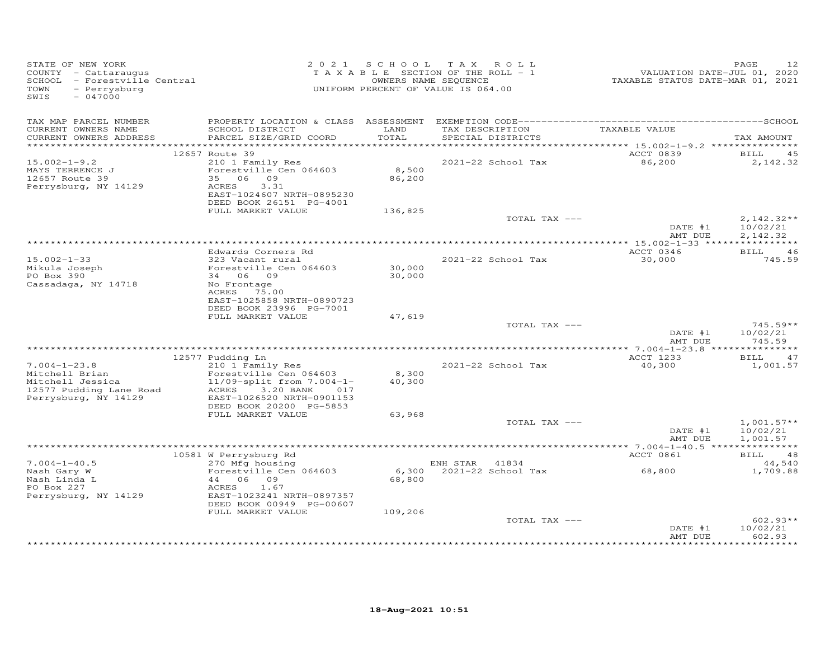| TAX MAP PARCEL NUMBER<br>TAXABLE VALUE<br>CURRENT OWNERS NAME<br>SCHOOL DISTRICT<br>LAND<br>TAX DESCRIPTION<br>TOTAL<br>CURRENT OWNERS ADDRESS<br>PARCEL SIZE/GRID COORD<br>SPECIAL DISTRICTS                                                                                                                                                                        |                                      |
|----------------------------------------------------------------------------------------------------------------------------------------------------------------------------------------------------------------------------------------------------------------------------------------------------------------------------------------------------------------------|--------------------------------------|
|                                                                                                                                                                                                                                                                                                                                                                      | TAX AMOUNT                           |
| ACCT 0839<br>12657 Route 39<br>210 1 Family Res<br>2021-22 School Tax<br>86,200<br>$15.002 - 1 - 9.2$<br>Forestville Cen 064603<br>8,500<br>MAYS TERRENCE J<br>12657 Route 39<br>35 06 09<br>86,200<br>Perrysburg, NY 14129<br>3.31<br>ACRES<br>EAST-1024607 NRTH-0895230<br>DEED BOOK 26151 PG-4001<br>FULL MARKET VALUE<br>136,825                                 | 45<br>BILL<br>2,142.32               |
| TOTAL TAX ---<br>DATE #1<br>AMT DUE                                                                                                                                                                                                                                                                                                                                  | $2,142.32**$<br>10/02/21<br>2,142.32 |
|                                                                                                                                                                                                                                                                                                                                                                      |                                      |
| ACCT 0346<br>Edwards Corners Rd<br>30,000<br>$15.002 - 1 - 33$<br>323 Vacant rural<br>2021-22 School Tax<br>Forestville Cen 064603<br>30,000<br>Mikula Joseph<br>34 06 09<br>PO Box 390<br>30,000<br>Cassadaga, NY 14718<br>No Frontage<br>ACRES 75.00<br>EAST-1025858 NRTH-0890723                                                                                  | <b>BILL</b><br>46<br>745.59          |
| DEED BOOK 23996 PG-7001<br>FULL MARKET VALUE<br>47,619<br>TOTAL TAX ---<br>DATE #1<br>AMT DUE                                                                                                                                                                                                                                                                        | $745.59**$<br>10/02/21<br>745.59     |
|                                                                                                                                                                                                                                                                                                                                                                      |                                      |
| ACCT 1233<br>12577 Pudding Ln<br>$7.004 - 1 - 23.8$<br>2021-22 School Tax<br>40,300<br>210 1 Family Res<br>Forestville Cen 064603<br>8,300<br>Mitchell Brian<br>$11/09$ -split from $7.004 - 1 -$<br>40,300<br>Mitchell Jessica<br>12577 Pudding Lane Road<br>ACRES 3.20 BANK<br>017<br>Perrysburg, NY 14129<br>EAST-1026520 NRTH-0901153<br>DEED BOOK 20200 PG-5853 | BILL 47<br>1,001.57                  |
| FULL MARKET VALUE<br>63,968                                                                                                                                                                                                                                                                                                                                          |                                      |
| TOTAL TAX ---<br>DATE #1<br>AMT DUE                                                                                                                                                                                                                                                                                                                                  | $1,001.57**$<br>10/02/21<br>1,001.57 |
|                                                                                                                                                                                                                                                                                                                                                                      |                                      |
| 10581 W Perrysburg Rd<br>ACCT 0861<br>$7.004 - 1 - 40.5$<br>270 Mfg housing<br>ENH STAR 41834                                                                                                                                                                                                                                                                        | BILL 48<br>44,540                    |
| 2021-22 School Tax<br>68,800<br>Nash Gary W<br>Forestville Cen 064603<br>6,300<br>Nash Linda L<br>44 06 09<br>68,800<br>PO Box 227<br>ACRES<br>1.67<br>Perrysburg, NY 14129<br>EAST-1023241 NRTH-0897357<br>DEED BOOK 00949 PG-00607                                                                                                                                 | 1,709.88                             |
| FULL MARKET VALUE<br>109,206<br>TOTAL TAX ---<br>DATE #1<br>AMT DUE                                                                                                                                                                                                                                                                                                  | $602.93**$<br>10/02/21<br>602.93     |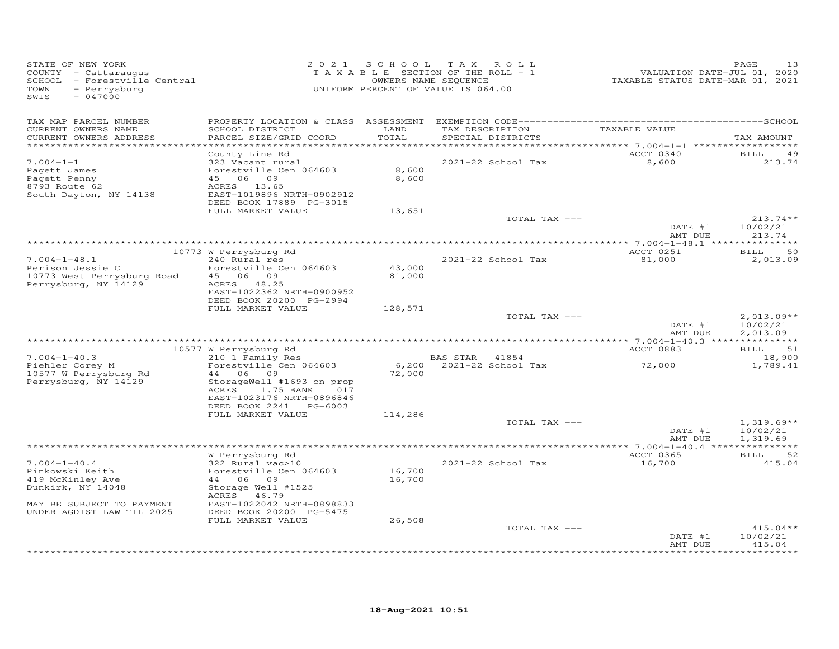| STATE OF NEW YORK<br>COUNTY - Cattaraugus<br>SCHOOL - Forestville Central<br>TOWN<br>- Perrysburg<br>SWIS<br>$-047000$                   | 2 0 2 1                                                                                                                                                                                           | S C H O O L                | T A X<br>ROLL<br>TAXABLE SECTION OF THE ROLL - 1<br>OWNERS NAME SEQUENCE<br>UNIFORM PERCENT OF VALUE IS 064.00 | VALUATION DATE-JUL 01, 2020<br>TAXABLE STATUS DATE-MAR 01, 2021 | PAGE<br>13                                   |
|------------------------------------------------------------------------------------------------------------------------------------------|---------------------------------------------------------------------------------------------------------------------------------------------------------------------------------------------------|----------------------------|----------------------------------------------------------------------------------------------------------------|-----------------------------------------------------------------|----------------------------------------------|
| TAX MAP PARCEL NUMBER<br>CURRENT OWNERS NAME<br>CURRENT OWNERS ADDRESS<br>***********************                                        | SCHOOL DISTRICT<br>PARCEL SIZE/GRID COORD<br>*************************                                                                                                                            | LAND<br>TOTAL              | TAX DESCRIPTION<br>SPECIAL DISTRICTS                                                                           | TAXABLE VALUE                                                   | TAX AMOUNT                                   |
| $7.004 - 1 - 1$<br>Pagett James<br>Pagett Penny<br>8793 Route 62<br>South Dayton, NY 14138                                               | County Line Rd<br>323 Vacant rural<br>Forestville Cen 064603<br>45 06 09<br>ACRES 13.65<br>EAST-1019896 NRTH-0902912<br>DEED BOOK 17889 PG-3015<br>FULL MARKET VALUE                              | 8,600<br>8,600<br>13,651   | 2021-22 School Tax                                                                                             | ACCT 0340<br>8,600                                              | <b>BILL</b><br>49<br>213.74                  |
|                                                                                                                                          |                                                                                                                                                                                                   |                            | TOTAL TAX ---                                                                                                  | DATE #1<br>AMT DUE                                              | $213.74**$<br>10/02/21<br>213.74             |
|                                                                                                                                          |                                                                                                                                                                                                   |                            |                                                                                                                |                                                                 |                                              |
| $7.004 - 1 - 48.1$<br>Perison Jessie C<br>10773 West Perrysburg Road<br>Perrysburg, NY 14129                                             | 10773 W Perrysburg Rd<br>240 Rural res<br>Forestville Cen 064603<br>45 06 09<br>ACRES 48.25<br>EAST-1022362 NRTH-0900952<br>DEED BOOK 20200 PG-2994                                               | 43,000<br>81,000           | 2021-22 School Tax                                                                                             | ACCT 0251<br>81,000                                             | 50<br>BILL<br>2,013.09                       |
|                                                                                                                                          | FULL MARKET VALUE                                                                                                                                                                                 | 128,571                    | TOTAL TAX ---                                                                                                  | DATE #1<br>AMT DUE                                              | $2,013.09**$<br>10/02/21<br>2,013.09         |
|                                                                                                                                          | 10577 W Perrysburg Rd                                                                                                                                                                             |                            |                                                                                                                | ACCT 0883                                                       | BILL<br>51                                   |
| $7.004 - 1 - 40.3$<br>Piehler Corey M<br>10577 W Perrysburg Rd<br>Perrysburg, NY 14129                                                   | 210 1 Family Res<br>Forestville Cen 064603<br>44 06 09<br>StorageWell #1693 on prop<br>ACRES<br>1.75 BANK<br>017<br>EAST-1023176 NRTH-0896846                                                     | 6,200<br>72,000            | 41854<br>BAS STAR<br>2021-22 School Tax                                                                        | 72,000                                                          | 18,900<br>1,789.41                           |
|                                                                                                                                          | DEED BOOK 2241 PG-6003<br>FULL MARKET VALUE                                                                                                                                                       | 114,286                    | TOTAL TAX ---                                                                                                  | DATE #1<br>AMT DUE                                              | $1,319.69**$<br>10/02/21<br>1,319.69         |
|                                                                                                                                          |                                                                                                                                                                                                   |                            |                                                                                                                |                                                                 |                                              |
| $7.004 - 1 - 40.4$<br>Pinkowski Keith<br>419 McKinley Ave<br>Dunkirk, NY 14048<br>MAY BE SUBJECT TO PAYMENT<br>UNDER AGDIST LAW TIL 2025 | W Perrysburg Rd<br>322 Rural vac>10<br>Forestville Cen 064603<br>44 06<br>09<br>Storage Well #1525<br>ACRES<br>46.79<br>EAST-1022042 NRTH-0898833<br>DEED BOOK 20200 PG-5475<br>FULL MARKET VALUE | 16,700<br>16,700<br>26,508 | 2021-22 School Tax                                                                                             | ACCT 0365<br>16,700                                             | 52<br>BILL<br>415.04                         |
|                                                                                                                                          |                                                                                                                                                                                                   |                            | TOTAL TAX ---                                                                                                  | DATE #1<br>AMT DUE                                              | $415.04**$<br>10/02/21<br>415.04<br>******** |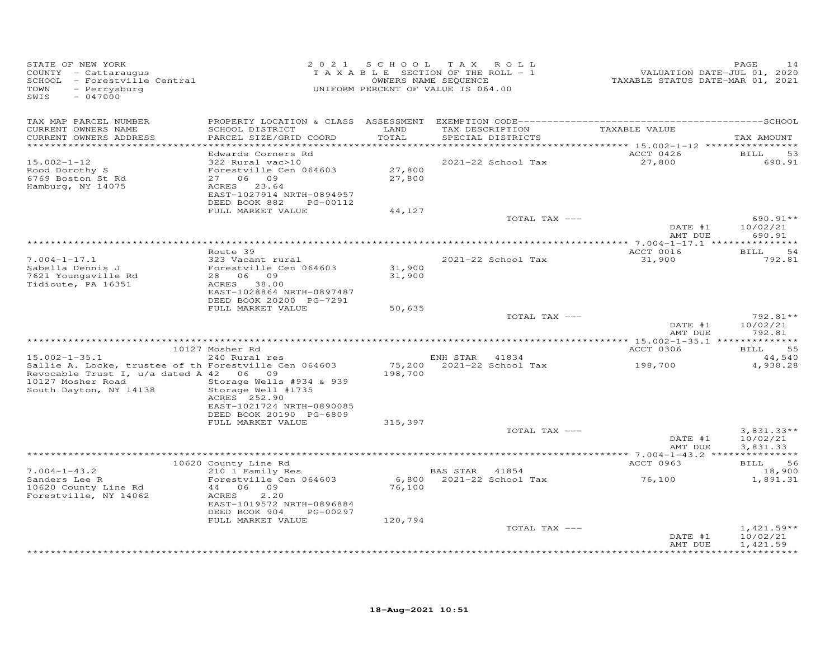| STATE OF NEW YORK<br>COUNTY - Cattaraugus<br>SCHOOL - Forestville Central<br>- Perrysburg<br>TOWN<br>SWIS<br>$-047000$                                                 | 2 0 2 1                                                                                                                                                                    |                             | SCHOOL TAX ROLL<br>TAXABLE SECTION OF THE ROLL - 1<br>OWNERS NAME SEQUENCE<br>UNIFORM PERCENT OF VALUE IS 064.00 | VALUATION DATE-JUL 01, 2020<br>TAXABLE STATUS DATE-MAR 01, 2021 | PAGE<br>14                           |
|------------------------------------------------------------------------------------------------------------------------------------------------------------------------|----------------------------------------------------------------------------------------------------------------------------------------------------------------------------|-----------------------------|------------------------------------------------------------------------------------------------------------------|-----------------------------------------------------------------|--------------------------------------|
| TAX MAP PARCEL NUMBER<br>CURRENT OWNERS NAME<br>CURRENT OWNERS ADDRESS                                                                                                 | SCHOOL DISTRICT<br>PARCEL SIZE/GRID COORD                                                                                                                                  | LAND<br>TOTAL<br>********** | TAX DESCRIPTION<br>SPECIAL DISTRICTS                                                                             | TAXABLE VALUE<br>*********** 15.002-1-12 *************          | TAX AMOUNT                           |
| $15.002 - 1 - 12$<br>Rood Dorothy S<br>6769 Boston St Rd<br>Hamburg, NY 14075                                                                                          | Edwards Corners Rd<br>322 Rural vac>10<br>Forestville Cen 064603<br>27 06 09<br>ACRES 23.64<br>EAST-1027914 NRTH-0894957<br>DEED BOOK 882<br>PG-00112<br>FULL MARKET VALUE | 27,800<br>27,800<br>44,127  | 2021-22 School Tax                                                                                               | ACCT 0426<br>27,800                                             | BILL<br>53<br>690.91                 |
|                                                                                                                                                                        |                                                                                                                                                                            |                             | TOTAL TAX ---                                                                                                    | DATE #1<br>AMT DUE                                              | 690.91**<br>10/02/21<br>690.91       |
|                                                                                                                                                                        |                                                                                                                                                                            |                             |                                                                                                                  |                                                                 |                                      |
| $7.004 - 1 - 17.1$<br>Sabella Dennis J<br>7621 Youngsville Rd                                                                                                          | Route 39<br>323 Vacant rural<br>Forestville Cen 064603<br>28 06 09                                                                                                         | 31,900<br>31,900            | 2021-22 School Tax                                                                                               | ACCT 0016<br>31,900                                             | <b>BILL</b><br>-54<br>792.81         |
| Tidioute, PA 16351                                                                                                                                                     | ACRES 38.00<br>EAST-1028864 NRTH-0897487<br>DEED BOOK 20200 PG-7291<br>FULL MARKET VALUE                                                                                   | 50,635                      |                                                                                                                  |                                                                 |                                      |
|                                                                                                                                                                        |                                                                                                                                                                            |                             | TOTAL TAX ---                                                                                                    | DATE #1<br>AMT DUE                                              | $792.81**$<br>10/02/21<br>792.81     |
|                                                                                                                                                                        |                                                                                                                                                                            |                             |                                                                                                                  |                                                                 |                                      |
|                                                                                                                                                                        | 10127 Mosher Rd                                                                                                                                                            |                             |                                                                                                                  | ACCT 0306                                                       | 55<br><b>BILL</b>                    |
| $15.002 - 1 - 35.1$<br>Sallie A. Locke, trustee of th Forestville Cen 064603<br>Revocable Trust I, u/a dated A 42 06 09<br>10127 Mosher Road<br>South Dayton, NY 14138 | 240 Rural res<br>Storage Wells #934 & 939<br>Storage Well #1735<br>ACRES 252.90                                                                                            | 75,200<br>198,700           | ENH STAR 41834<br>2021-22 School Tax                                                                             | 198,700                                                         | 44,540<br>4,938.28                   |
|                                                                                                                                                                        | EAST-1021724 NRTH-0890085<br>DEED BOOK 20190 PG-6809<br>FULL MARKET VALUE                                                                                                  | 315,397                     |                                                                                                                  |                                                                 |                                      |
|                                                                                                                                                                        |                                                                                                                                                                            |                             | TOTAL TAX ---                                                                                                    | DATE #1<br>AMT DUE                                              | $3,831.33**$<br>10/02/21<br>3,831.33 |
|                                                                                                                                                                        |                                                                                                                                                                            |                             |                                                                                                                  |                                                                 |                                      |
| $7.004 - 1 - 43.2$                                                                                                                                                     | 10620 County Line Rd<br>210 1 Family Res                                                                                                                                   |                             | BAS STAR 41854                                                                                                   | ACCT 0963                                                       | BILL<br>- 56<br>18,900               |
| Sanders Lee R<br>10620 County Line Rd<br>Forestville, NY 14062                                                                                                         | Forestville Cen 064603<br>44 06 09<br>ACRES<br>2,20<br>EAST-1019572 NRTH-0896884<br>PG-00297                                                                               | 6,800<br>76,100             | 2021-22 School Tax                                                                                               | 76,100                                                          | 1,891.31                             |
|                                                                                                                                                                        | DEED BOOK 904<br>FULL MARKET VALUE                                                                                                                                         | 120,794                     | TOTAL TAX ---                                                                                                    | DATE #1                                                         | $1,421.59**$<br>10/02/21             |
|                                                                                                                                                                        |                                                                                                                                                                            |                             |                                                                                                                  | AMT DUE                                                         | 1,421.59                             |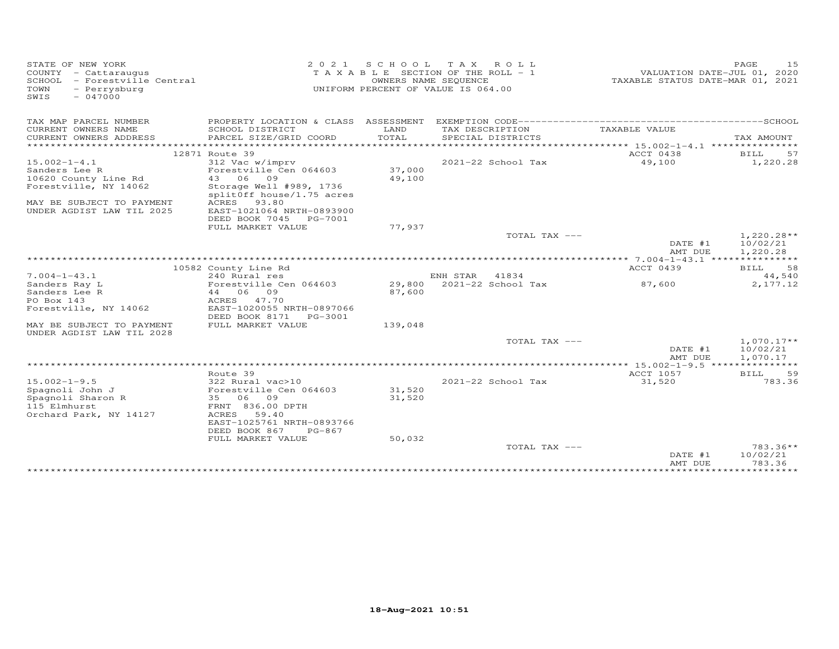| STATE OF NEW YORK<br>COUNTY - Cattaraugus<br>SCHOOL<br>- Forestville Central<br>TOWN<br>- Perrysburg<br>SWIS<br>$-047000$ | 2 0 2 1                                              | S C H O O L   | T A X<br>ROLL<br>T A X A B L E SECTION OF THE ROLL - 1<br>OWNERS NAME SEQUENCE<br>UNIFORM PERCENT OF VALUE IS 064.00 | VALUATION DATE-JUL 01, 2020<br>TAXABLE STATUS DATE-MAR 01, 2021 | 15<br>PAGE                           |
|---------------------------------------------------------------------------------------------------------------------------|------------------------------------------------------|---------------|----------------------------------------------------------------------------------------------------------------------|-----------------------------------------------------------------|--------------------------------------|
| TAX MAP PARCEL NUMBER                                                                                                     | PROPERTY LOCATION & CLASS ASSESSMENT                 |               |                                                                                                                      |                                                                 |                                      |
| CURRENT OWNERS NAME<br>CURRENT OWNERS ADDRESS<br>***********************                                                  | SCHOOL DISTRICT<br>PARCEL SIZE/GRID COORD            | LAND<br>TOTAL | TAX DESCRIPTION<br>SPECIAL DISTRICTS                                                                                 | TAXABLE VALUE                                                   | TAX AMOUNT                           |
|                                                                                                                           | 12871 Route 39                                       |               |                                                                                                                      | ACCT 0438                                                       | BILL<br>57                           |
| $15.002 - 1 - 4.1$                                                                                                        | 312 Vac w/imprv                                      |               | 2021-22 School Tax                                                                                                   | 49,100                                                          | 1,220.28                             |
| Sanders Lee R                                                                                                             | Forestville Cen 064603                               | 37,000        |                                                                                                                      |                                                                 |                                      |
| 10620 County Line Rd                                                                                                      | 43 06<br>09                                          | 49,100        |                                                                                                                      |                                                                 |                                      |
| Forestville, NY 14062                                                                                                     | Storage Well #989, 1736<br>splitOff house/1.75 acres |               |                                                                                                                      |                                                                 |                                      |
| MAY BE SUBJECT TO PAYMENT                                                                                                 | ACRES<br>93.80                                       |               |                                                                                                                      |                                                                 |                                      |
| UNDER AGDIST LAW TIL 2025                                                                                                 | EAST-1021064 NRTH-0893900                            |               |                                                                                                                      |                                                                 |                                      |
|                                                                                                                           | DEED BOOK 7045<br>PG-7001                            |               |                                                                                                                      |                                                                 |                                      |
|                                                                                                                           | FULL MARKET VALUE                                    | 77,937        |                                                                                                                      |                                                                 |                                      |
|                                                                                                                           |                                                      |               | TOTAL TAX ---                                                                                                        |                                                                 | $1,220.28**$                         |
|                                                                                                                           |                                                      |               |                                                                                                                      | DATE #1                                                         | 10/02/21                             |
|                                                                                                                           |                                                      |               |                                                                                                                      | AMT DUE                                                         | 1,220.28<br>***********              |
|                                                                                                                           | 10582 County Line Rd                                 |               |                                                                                                                      | ********* 7.004-1-43.1 ****<br>ACCT 0439                        | 58                                   |
| $7.004 - 1 - 43.1$                                                                                                        | 240 Rural res                                        |               | ENH STAR<br>41834                                                                                                    |                                                                 | BILL<br>44,540                       |
| Sanders Ray L                                                                                                             | Forestville Cen 064603                               | 29,800        | 2021-22 School Tax                                                                                                   | 87,600                                                          | 2,177.12                             |
| Sanders Lee R                                                                                                             | 06<br>09<br>44                                       | 87,600        |                                                                                                                      |                                                                 |                                      |
| PO Box 143                                                                                                                | 47.70<br>ACRES                                       |               |                                                                                                                      |                                                                 |                                      |
| Forestville, NY 14062                                                                                                     | EAST-1020055 NRTH-0897066                            |               |                                                                                                                      |                                                                 |                                      |
|                                                                                                                           | DEED BOOK 8171<br>PG-3001                            |               |                                                                                                                      |                                                                 |                                      |
| MAY BE SUBJECT TO PAYMENT<br>UNDER AGDIST LAW TIL 2028                                                                    | FULL MARKET VALUE                                    | 139,048       |                                                                                                                      |                                                                 |                                      |
|                                                                                                                           |                                                      |               | TOTAL TAX ---                                                                                                        | DATE #1<br>AMT DUE                                              | $1,070.17**$<br>10/02/21<br>1,070.17 |
|                                                                                                                           |                                                      |               |                                                                                                                      |                                                                 |                                      |
|                                                                                                                           | Route 39                                             |               |                                                                                                                      | <b>ACCT 1057</b>                                                | 59<br>BILL                           |
| $15.002 - 1 - 9.5$                                                                                                        | 322 Rural vac>10                                     |               | 2021-22 School Tax                                                                                                   | 31,520                                                          | 783.36                               |
| Spagnoli John J                                                                                                           | Forestville Cen 064603                               | 31,520        |                                                                                                                      |                                                                 |                                      |
| Spagnoli Sharon R                                                                                                         | 35<br>06<br>09                                       | 31,520        |                                                                                                                      |                                                                 |                                      |
| 115 Elmhurst                                                                                                              | FRNT 836.00 DPTH                                     |               |                                                                                                                      |                                                                 |                                      |
| Orchard Park, NY 14127                                                                                                    | <b>ACRES</b><br>59.40                                |               |                                                                                                                      |                                                                 |                                      |
|                                                                                                                           | EAST-1025761 NRTH-0893766                            |               |                                                                                                                      |                                                                 |                                      |
|                                                                                                                           | DEED BOOK 867<br>$PG-867$                            |               |                                                                                                                      |                                                                 |                                      |
|                                                                                                                           | FULL MARKET VALUE                                    | 50,032        |                                                                                                                      |                                                                 | $783.36**$                           |
|                                                                                                                           |                                                      |               | TOTAL TAX ---                                                                                                        | DATE #1<br>AMT DUE                                              | 10/02/21<br>783.36                   |
|                                                                                                                           |                                                      |               |                                                                                                                      |                                                                 |                                      |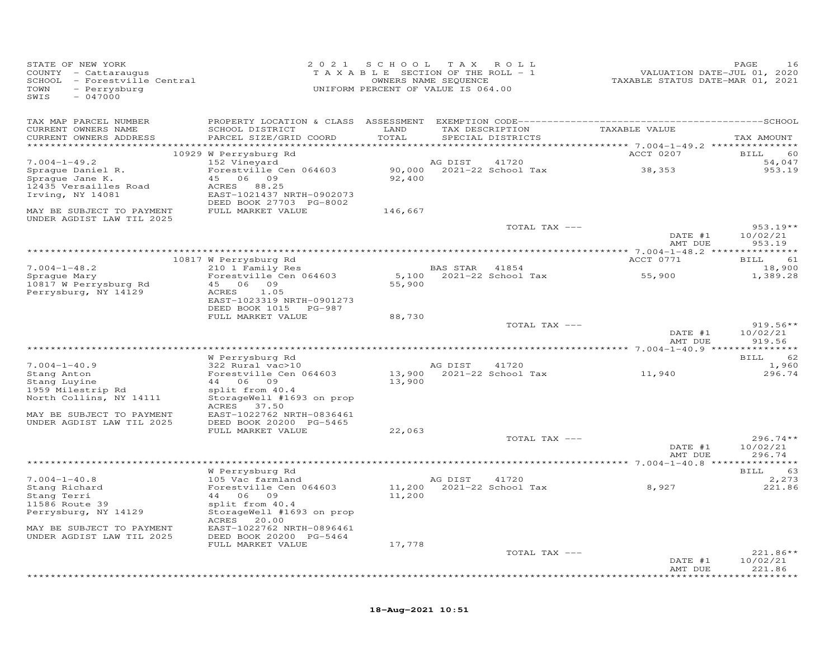| STATE OF NEW YORK<br>COUNTY - Cattaraugus<br>SCHOOL - Forestville Central<br>- Perrysburg<br>TOWN<br>$-047000$<br>SWIS |                                                                                | 2021 SCHOOL<br>TAXABLE SECTION OF THE ROLL - 1<br>UNIFORM PERCENT OF VALUE IS 064.00 | OWNERS NAME SEQUENCE | TAX ROLL                           | VALUATION DATE-JUL 01, 2020<br>TAXABLE STATUS DATE-MAR 01, 2021 | PAGE<br>16                       |
|------------------------------------------------------------------------------------------------------------------------|--------------------------------------------------------------------------------|--------------------------------------------------------------------------------------|----------------------|------------------------------------|-----------------------------------------------------------------|----------------------------------|
| TAX MAP PARCEL NUMBER<br>CURRENT OWNERS NAME<br>CURRENT OWNERS ADDRESS                                                 | SCHOOL DISTRICT<br>PARCEL SIZE/GRID COORD                                      | LAND<br>TOTAL                                                                        |                      | SPECIAL DISTRICTS                  | TAX DESCRIPTION TAXABLE VALUE                                   | TAX AMOUNT                       |
|                                                                                                                        |                                                                                |                                                                                      |                      |                                    |                                                                 |                                  |
| $7.004 - 1 - 49.2$                                                                                                     | 10929 W Perrysburg Rd<br>152 Vineyard                                          |                                                                                      | AG DIST              | 41720                              | ACCT 0207                                                       | 60<br><b>BILL</b><br>54,047      |
| Spraque Daniel R.<br>Spraque Jane K.<br>12435 Versailles Road<br>Irving, NY 14081                                      | Forestville Cen 064603<br>45 06 09<br>ACRES 88.25<br>EAST-1021437 NRTH-0902073 | 92,400                                                                               |                      | 90,000 2021-22 School Tax          | 38,353                                                          | 953.19                           |
| MAY BE SUBJECT TO PAYMENT                                                                                              | DEED BOOK 27703 PG-8002<br>FULL MARKET VALUE                                   | 146,667                                                                              |                      |                                    |                                                                 |                                  |
| UNDER AGDIST LAW TIL 2025                                                                                              |                                                                                |                                                                                      |                      | TOTAL TAX ---                      | DATE #1                                                         | $953.19**$<br>10/02/21           |
|                                                                                                                        |                                                                                |                                                                                      |                      |                                    | AMT DUE                                                         | 953.19                           |
|                                                                                                                        | 10817 W Perrysburg Rd                                                          |                                                                                      |                      |                                    | ACCT 0771                                                       | 61<br>BILL                       |
| $7.004 - 1 - 48.2$                                                                                                     | 210 1 Family Res                                                               |                                                                                      | BAS STAR 41854       |                                    |                                                                 | 18,900                           |
| Spraque Mary<br>10817 W Perrysburg Rd<br>Perrysburg, NY 14129                                                          | Forestville Cen 064603<br>45 06 09<br>1.05<br>ACRES                            | 55,900                                                                               |                      | 5,100 2021-22 School Tax           | 55,900                                                          | 1,389.28                         |
|                                                                                                                        | EAST-1023319 NRTH-0901273<br>DEED BOOK 1015 PG-987<br>FULL MARKET VALUE        | 88,730                                                                               |                      |                                    |                                                                 |                                  |
|                                                                                                                        |                                                                                |                                                                                      |                      | TOTAL TAX ---                      |                                                                 | $919.56**$                       |
|                                                                                                                        |                                                                                |                                                                                      |                      |                                    | DATE #1<br>AMT DUE                                              | 10/02/21<br>919.56               |
|                                                                                                                        |                                                                                |                                                                                      |                      |                                    |                                                                 |                                  |
| $7.004 - 1 - 40.9$                                                                                                     | W Perrysburg Rd<br>$322$ Rural vac>10                                          |                                                                                      | AG DIST              | 41720                              |                                                                 | <b>BILL</b><br>62<br>1,960       |
| Stang Anton<br>Stang Luyine                                                                                            | Forestville Cen 064603<br>44 06 09                                             | 13,900                                                                               |                      | 13,900 2021-22 School Tax          | 11,940                                                          | 296.74                           |
| 1959 Milestrip Rd<br>North Collins, NY 14111                                                                           | split from 40.4<br>StorageWell #1693 on prop<br>ACRES 37.50                    |                                                                                      |                      |                                    |                                                                 |                                  |
| MAY BE SUBJECT TO PAYMENT<br>UNDER AGDIST LAW TIL 2025                                                                 | EAST-1022762 NRTH-0836461<br>DEED BOOK 20200 PG-5465<br>FULL MARKET VALUE      | 22,063                                                                               |                      |                                    |                                                                 |                                  |
|                                                                                                                        |                                                                                |                                                                                      |                      | TOTAL TAX ---                      |                                                                 | $296.74**$                       |
|                                                                                                                        |                                                                                |                                                                                      |                      |                                    | DATE #1<br>AMT DUE                                              | 10/02/21<br>296.74               |
|                                                                                                                        | W Perrysburg Rd                                                                |                                                                                      |                      |                                    |                                                                 | BILL<br>63                       |
| $7.004 - 1 - 40.8$<br>Stang Richard<br>Stang Terri<br>11586 Route 39                                                   | 105 Vac farmland<br>Forestville Cen 064603<br>44 06 09<br>split from 40.4      | 11,200                                                                               | AG DIST              | 41720<br>11,200 2021-22 School Tax | 8,927                                                           | 2,273<br>221.86                  |
| Perrysburg, NY 14129                                                                                                   | StorageWell #1693 on prop<br>ACRES 20.00                                       |                                                                                      |                      |                                    |                                                                 |                                  |
| MAY BE SUBJECT TO PAYMENT<br>UNDER AGDIST LAW TIL 2025                                                                 | EAST-1022762 NRTH-0896461<br>DEED BOOK 20200 PG-5464<br>FULL MARKET VALUE      | 17,778                                                                               |                      |                                    |                                                                 |                                  |
|                                                                                                                        |                                                                                |                                                                                      |                      | TOTAL TAX ---                      | DATE #1<br>AMT DUE                                              | $221.86**$<br>10/02/21<br>221.86 |

\*\*\*\*\*\*\*\*\*\*\*\*\*\*\*\*\*\*\*\*\*\*\*\*\*\*\*\*\*\*\*\*\*\*\*\*\*\*\*\*\*\*\*\*\*\*\*\*\*\*\*\*\*\*\*\*\*\*\*\*\*\*\*\*\*\*\*\*\*\*\*\*\*\*\*\*\*\*\*\*\*\*\*\*\*\*\*\*\*\*\*\*\*\*\*\*\*\*\*\*\*\*\*\*\*\*\*\*\*\*\*\*\*\*\*\*\*\*\*\*\*\*\*\*\*\*\*\*\*\*\*\*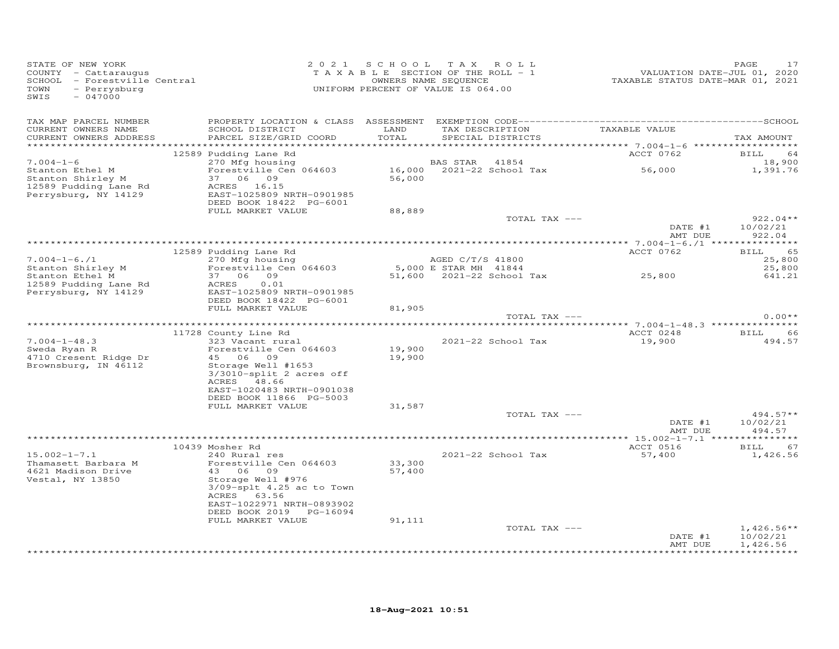| STATE OF NEW YORK<br>COUNTY - Cattaraugus<br>SCHOOL - Forestville Central<br>TOWN<br>- Perrysburg<br>SWIS<br>$-047000$ |                                                                                                                                                                                                                |                                        | 2021 SCHOOL TAX ROLL<br>T A X A B L E SECTION OF THE ROLL - 1<br>OWNERS NAME SEQUENCE<br>UNIFORM PERCENT OF VALUE IS 064.00 |               | VALUATION DATE-JUL 01, 2020<br>TAXABLE STATUS DATE-MAR 01, 2021 | PAGE<br>17             |
|------------------------------------------------------------------------------------------------------------------------|----------------------------------------------------------------------------------------------------------------------------------------------------------------------------------------------------------------|----------------------------------------|-----------------------------------------------------------------------------------------------------------------------------|---------------|-----------------------------------------------------------------|------------------------|
| TAX MAP PARCEL NUMBER<br>CURRENT OWNERS NAME<br>CURRENT OWNERS ADDRESS                                                 | SCHOOL DISTRICT<br>PARCEL SIZE/GRID COORD                                                                                                                                                                      | LAND<br>TOTAL                          | TAX DESCRIPTION<br>SPECIAL DISTRICTS                                                                                        |               | TAXABLE VALUE                                                   | TAX AMOUNT             |
|                                                                                                                        | 12589 Pudding Lane Rd                                                                                                                                                                                          |                                        |                                                                                                                             |               | ACCT 0762                                                       | BILL 64                |
| $7.004 - 1 - 6$<br>Stanton Ethel M<br>Stanton Shirley M<br>12589 Pudding Lane Rd<br>Perrysburg, NY 14129               | 270 Mfg housing<br>Forestville Cen 064603<br>37 06 09<br>ACRES 16.15<br>EAST-1025809 NRTH-0901985                                                                                                              | 56,000                                 | BAS STAR 41854                                                                                                              |               | 16,000 2021-22 School Tax 56,000                                | 18,900<br>1,391.76     |
|                                                                                                                        | DEED BOOK 18422 PG-6001                                                                                                                                                                                        |                                        |                                                                                                                             |               |                                                                 |                        |
|                                                                                                                        | FULL MARKET VALUE                                                                                                                                                                                              | 88,889                                 |                                                                                                                             | TOTAL TAX --- | DATE #1                                                         | $922.04**$<br>10/02/21 |
|                                                                                                                        |                                                                                                                                                                                                                |                                        |                                                                                                                             |               | AMT DUE                                                         | 922.04                 |
|                                                                                                                        |                                                                                                                                                                                                                |                                        |                                                                                                                             |               |                                                                 |                        |
| $7.004 - 1 - 6.71$                                                                                                     | 12589 Pudding Lane Rd<br>$270$ Mfg housing                                                                                                                                                                     |                                        | AGED C/T/S 41800                                                                                                            |               | ACCT 0762                                                       | 65<br>BILL<br>25,800   |
| Stanton Shirley M                                                                                                      | Forestville Cen 064603                                                                                                                                                                                         |                                        | 5,000 E STAR MH 41844                                                                                                       |               |                                                                 | 25,800                 |
| Stanton Ethel M<br>12589 Pudding Lane Rd<br>Perrysburg, NY 14129                                                       | 37 06 09<br>0.01<br>ACRES<br>EAST-1025809 NRTH-0901985<br>DEED BOOK 18422 PG-6001                                                                                                                              |                                        |                                                                                                                             |               | $51,600$ 2021-22 School Tax 25,800                              | 641.21                 |
|                                                                                                                        | FULL MARKET VALUE                                                                                                                                                                                              | 81,905                                 |                                                                                                                             | TOTAL TAX --- |                                                                 | $0.00**$               |
|                                                                                                                        |                                                                                                                                                                                                                |                                        |                                                                                                                             |               |                                                                 |                        |
|                                                                                                                        | 11728 County Line Rd                                                                                                                                                                                           |                                        |                                                                                                                             |               | ACCT 0248                                                       | 66<br>BILL             |
| $7.004 - 1 - 48.3$<br>Sweda Ryan R<br>4710 Cresent Ridge Dr<br>Brownsburg, IN 46112                                    | county wine Rd<br>323 Vacant rural<br>Ecrestiil<br>Forestville Cen 064603<br>45 06 09<br>Storage Well #1653<br>3/3010-split 2 acres off<br>ACRES 48.66<br>EAST-1020483 NRTH-0901038<br>DEED BOOK 11866 PG-5003 | 19,900<br>19,900                       | 2021-22 School Tax                                                                                                          |               | 19,900                                                          | 494.57                 |
|                                                                                                                        | FULL MARKET VALUE                                                                                                                                                                                              | 31,587                                 |                                                                                                                             | TOTAL TAX --- |                                                                 | $494.57**$             |
|                                                                                                                        |                                                                                                                                                                                                                |                                        |                                                                                                                             |               | DATE #1<br>AMT DUE                                              | 10/02/21<br>494.57     |
|                                                                                                                        |                                                                                                                                                                                                                |                                        |                                                                                                                             |               |                                                                 |                        |
| $15.002 - 1 - 7.1$                                                                                                     | 10439 Mosher Rd<br>240 Rural res                                                                                                                                                                               |                                        | 2021-22 School Tax                                                                                                          |               | ACCT 0516<br>57,400                                             | 67<br>BILL<br>1,426.56 |
| Thamasett Barbara M<br>4621 Madison Drive<br>Vestal, NY 13850                                                          | Forestville Cen 064603<br>43 06 09<br>Storage Well #976<br>$3/09$ -splt $4.25$ ac to Town<br>ACRES 63.56<br>EAST-1022971 NRTH-0893902<br>DEED BOOK 2019 PG-16094<br>FULL MARKET VALUE                          | $33,300$<br>57.400<br>57,400<br>91,111 |                                                                                                                             |               |                                                                 |                        |
|                                                                                                                        |                                                                                                                                                                                                                |                                        |                                                                                                                             | TOTAL TAX --- |                                                                 | $1,426.56**$           |
|                                                                                                                        |                                                                                                                                                                                                                |                                        |                                                                                                                             |               | DATE #1<br>AMT DUE                                              | 10/02/21<br>1,426.56   |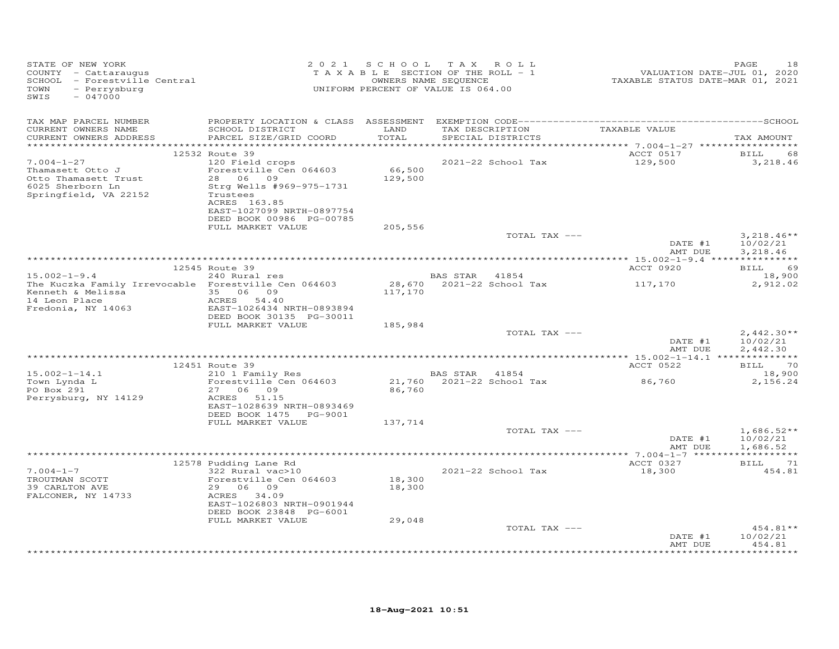| STATE OF NEW YORK<br>COUNTY - Cattaraugus<br>SCHOOL - Forestville Central<br>- Perrysburg<br>TOWN<br>SWIS<br>$-047000$ |                                                                                                               |                   | 2021 SCHOOL TAX ROLL<br>T A X A B L E SECTION OF THE ROLL - 1<br>OWNERS NAME SEQUENCE<br>UNIFORM PERCENT OF VALUE IS 064.00 | t ALUATION DATE-JUL 01, 2020<br>TAXABLE STATUS DATE-MAR 01, 2021 | PAGE<br>18                           |
|------------------------------------------------------------------------------------------------------------------------|---------------------------------------------------------------------------------------------------------------|-------------------|-----------------------------------------------------------------------------------------------------------------------------|------------------------------------------------------------------|--------------------------------------|
| TAX MAP PARCEL NUMBER<br>CURRENT OWNERS NAME<br>CURRENT OWNERS ADDRESS                                                 | SCHOOL DISTRICT LAND<br>PARCEL SIZE/GRID COORD                                                                | TOTAL             | TAX DESCRIPTION TAXABLE VALUE<br>SPECIAL DISTRICTS                                                                          |                                                                  | TAX AMOUNT                           |
|                                                                                                                        | 12532 Route 39                                                                                                |                   |                                                                                                                             | ACCT 0517 BILL                                                   | 68                                   |
| $7.004 - 1 - 27$<br>Thamasett Otto J<br>Otto Thamasett Trust                                                           | 120 Field crops<br>Forestville Cen 064603<br>28 06 09                                                         | 66,500<br>129,500 | 2021-22 School Tax                                                                                                          | 129,500                                                          | 3,218.46                             |
| 6025 Sherborn Ln<br>Springfield, VA 22152                                                                              | Strg Wells #969-975-1731<br>Trustees<br>ACRES 163.85<br>EAST-1027099 NRTH-0897754<br>DEED BOOK 00986 PG-00785 |                   |                                                                                                                             |                                                                  |                                      |
|                                                                                                                        | FULL MARKET VALUE                                                                                             | 205,556           |                                                                                                                             |                                                                  |                                      |
|                                                                                                                        |                                                                                                               |                   | TOTAL TAX ---                                                                                                               | DATE #1<br>AMT DUE                                               | $3,218.46**$<br>10/02/21<br>3,218.46 |
|                                                                                                                        |                                                                                                               |                   |                                                                                                                             |                                                                  |                                      |
| $15.002 - 1 - 9.4$                                                                                                     | 12545 Route 39<br>Route 39<br>240 Rural res                                                                   |                   | BAS STAR 41854                                                                                                              | ACCT 0920                                                        | BILL 69<br>18,900                    |
| The Kuczka Family Irrevocable Forestville Cen 064603                                                                   |                                                                                                               | 117,170           | 28,670  2021-22  School Tax   117,170                                                                                       |                                                                  | 2,912.02                             |
|                                                                                                                        | DEED BOOK 30135 PG-30011<br>FULL MARKET VALUE                                                                 | 185,984           |                                                                                                                             |                                                                  |                                      |
|                                                                                                                        |                                                                                                               |                   | TOTAL TAX ---                                                                                                               |                                                                  | $2,442.30**$                         |
|                                                                                                                        |                                                                                                               |                   |                                                                                                                             | DATE #1<br>AMT DUE                                               | 10/02/21<br>2,442.30                 |
|                                                                                                                        | 12451 Route 39                                                                                                |                   |                                                                                                                             | ACCT 0522                                                        | BILL 70                              |
| $15.002 - 1 - 14.1$                                                                                                    | $210$ 1 Family Res                                                                                            |                   |                                                                                                                             |                                                                  | 18,900                               |
| Town Lynda L<br>PO Box 291<br>Perrysburg, NY 14129                                                                     | Forestville Cen 064603<br>27 06 09<br>ACRES 51.15<br>EAST-1028639 NRTH-0893469<br>DEED BOOK 1475    PG-9001   | 86,760            | BAS STAR 41854<br>21,760 2021-22 School Tax                                                                                 | 86,760                                                           | 2,156.24                             |
|                                                                                                                        | FULL MARKET VALUE                                                                                             | 137,714           |                                                                                                                             |                                                                  |                                      |
|                                                                                                                        |                                                                                                               |                   | TOTAL TAX ---                                                                                                               |                                                                  | $1,686.52**$                         |
|                                                                                                                        |                                                                                                               |                   |                                                                                                                             |                                                                  |                                      |
| $7.004 - 1 - 7$                                                                                                        | 12578 Pudding Lane Rd<br>dowlng mane Ru<br>322 Rural vac>10                                                   | 18,300            | 2021-22 School Tax                                                                                                          | ACCT 0327<br>18,300                                              | BILL 71<br>454.81                    |
| TROUTMAN SCOTT<br>39 CARLTON AVE                                                                                       | Forestville Cen 064603<br>29 06 09                                                                            | 18,300            |                                                                                                                             |                                                                  |                                      |
| FALCONER, NY 14733                                                                                                     | ACRES 34.09<br>EAST-1026803 NRTH-0901944<br>DEED BOOK 23848 PG-6001                                           |                   |                                                                                                                             |                                                                  |                                      |
|                                                                                                                        | FULL MARKET VALUE                                                                                             | 29,048            |                                                                                                                             |                                                                  |                                      |
|                                                                                                                        |                                                                                                               |                   | TOTAL TAX ---                                                                                                               | DATE #1<br>AMT DUE                                               | $454.81**$<br>10/02/21<br>454.81     |
|                                                                                                                        |                                                                                                               |                   |                                                                                                                             |                                                                  |                                      |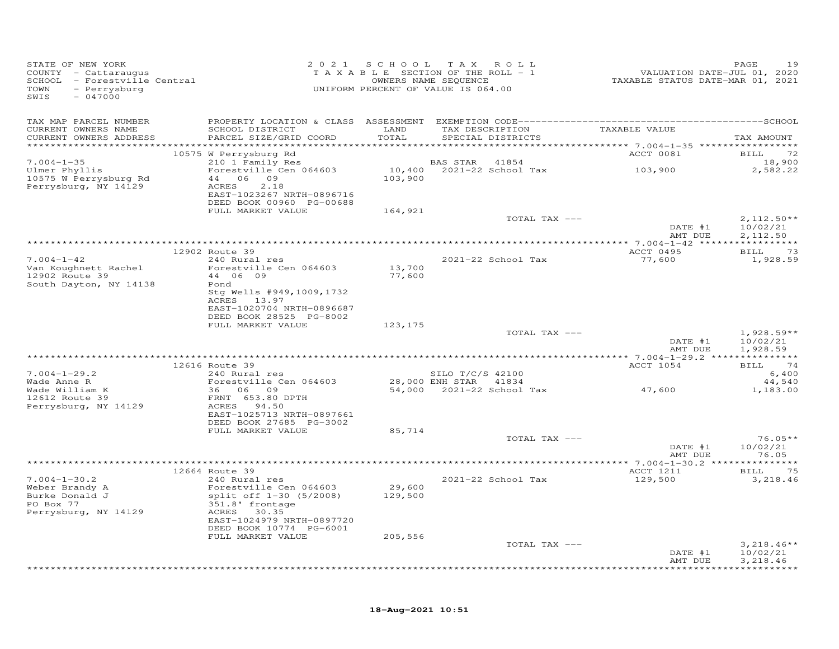| STATE OF NEW YORK<br>COUNTY - Cattaraugus<br>COUNTY - Cattaraugus<br>SCHOOL - Forestyille Central<br>- Perrysburg<br>TOWN<br>SWIS<br>$-047000$ |                                                                                                                                   |                   | 2021 SCHOOL TAX ROLL<br>T A X A B L E SECTION OF THE ROLL - 1<br>OWNERS NAME SEQUENCE<br>UNIFORM PERCENT OF VALUE IS 064.00 | 215<br>7202 ,PALUATION DATE-JUL<br>72020 TAXABLE STATUS DATE-MAR | PAGE<br>19                           |
|------------------------------------------------------------------------------------------------------------------------------------------------|-----------------------------------------------------------------------------------------------------------------------------------|-------------------|-----------------------------------------------------------------------------------------------------------------------------|------------------------------------------------------------------|--------------------------------------|
| TAX MAP PARCEL NUMBER                                                                                                                          |                                                                                                                                   |                   |                                                                                                                             |                                                                  |                                      |
| CURRENT OWNERS NAME<br>CURRENT OWNERS ADDRESS                                                                                                  | SCHOOL DISTRICT<br>PARCEL SIZE/GRID COORD                                                                                         | LAND<br>TOTAL     | TAX DESCRIPTION TAXABLE VALUE<br>SPECIAL DISTRICTS                                                                          |                                                                  | TAX AMOUNT                           |
|                                                                                                                                                | 10575 W Perrysburg Rd                                                                                                             |                   |                                                                                                                             | <b>ACCT 0081</b>                                                 | <b>BILL</b><br>72                    |
| $7.004 - 1 - 35$<br>Ulmer Phyllis<br>10575 W Perrysburg Rd<br>Perrysburg, NY 14129                                                             | $210$ 1 $Fami1y$ Res<br>Forestville Cen 064603<br>44 06 09<br>ACRES<br>2.18<br>EAST-1023267 NRTH-0896716                          | 103,900           | <b>BAS STAR 41854</b><br>$10,400$ 2021-22 School Tax 103,900                                                                |                                                                  | 18,900<br>2,582.22                   |
|                                                                                                                                                | DEED BOOK 00960 PG-00688                                                                                                          |                   |                                                                                                                             |                                                                  |                                      |
|                                                                                                                                                | FULL MARKET VALUE                                                                                                                 | 164,921           | TOTAL TAX ---                                                                                                               | DATE #1                                                          | $2,112.50**$<br>10/02/21             |
|                                                                                                                                                |                                                                                                                                   |                   |                                                                                                                             | AMT DUE                                                          | 2,112.50                             |
|                                                                                                                                                | 12902 Route 39                                                                                                                    |                   |                                                                                                                             | ACCT 0495                                                        | BILL 73                              |
| $7.004 - 1 - 42$<br>Van Koughnett Rachel<br>12902 Route 39                                                                                     | 240 Rural res<br>Forestville Cen 064603<br>44   06   09                                                                           | 13,700<br>77,600  | 2021-22 School Tax                                                                                                          | 77,600                                                           | 1,928.59                             |
| South Dayton, NY 14138                                                                                                                         | Pond<br>Stg Wells #949,1009,1732<br>ACRES 13.97<br>EAST-1020704 NRTH-0896687<br>DEED BOOK 28525 PG-8002                           |                   |                                                                                                                             |                                                                  |                                      |
|                                                                                                                                                | FULL MARKET VALUE                                                                                                                 | 123,175           |                                                                                                                             |                                                                  |                                      |
|                                                                                                                                                |                                                                                                                                   |                   | TOTAL TAX ---                                                                                                               | DATE #1<br>AMT DUE                                               | $1,928.59**$<br>10/02/21<br>1,928.59 |
|                                                                                                                                                |                                                                                                                                   |                   |                                                                                                                             |                                                                  | BILL 74                              |
| $7.004 - 1 - 29.2$                                                                                                                             | 12616 Route 39<br>240 Rural res                                                                                                   |                   | SILO T/C/S 42100                                                                                                            | ACCT 1054                                                        | 6,400                                |
| Wade Anne R<br>Wade William K<br>12612 Route 39                                                                                                | Forestville Cen 064603<br>36 06 09                                                                                                |                   | 28,000 ENH STAR 41834<br>54,000 2021-22 School Tax 47,600                                                                   |                                                                  | 44,540<br>1,183.00                   |
| Perrysburg, NY 14129                                                                                                                           | FRNT 653.80 DPTH<br>ACRES 94.50<br>EAST-1025713 NRTH-0897661                                                                      |                   |                                                                                                                             |                                                                  |                                      |
|                                                                                                                                                | DEED BOOK 27685 PG-3002<br>FULL MARKET VALUE                                                                                      | 85,714            |                                                                                                                             |                                                                  |                                      |
|                                                                                                                                                |                                                                                                                                   |                   | TOTAL TAX ---                                                                                                               |                                                                  | $76.05**$                            |
|                                                                                                                                                |                                                                                                                                   |                   |                                                                                                                             | DATE #1<br>AMT DUE                                               | 10/02/21<br>76.05                    |
|                                                                                                                                                | 12664 Route 39                                                                                                                    |                   |                                                                                                                             | ACCT 1211                                                        | BILL 75                              |
| $7.004 - 1 - 30.2$<br>Weber Brandy A<br>Burke Donald J<br>PO Box 77<br>Perrysburg, NY 14129                                                    | 240 Rural res<br>Forestville Cen 064603<br>split off 1-30 (5/2008)<br>351.8' frontage<br>ACRES 30.35<br>EAST-1024979 NRTH-0897720 | 29,600<br>129,500 | 2021-22 School Tax                                                                                                          | 129,500                                                          | 3,218.46                             |
|                                                                                                                                                | DEED BOOK 10774 PG-6001                                                                                                           |                   |                                                                                                                             |                                                                  |                                      |
|                                                                                                                                                | FULL MARKET VALUE                                                                                                                 | 205,556           | TOTAL TAX ---                                                                                                               | DATE #1                                                          | $3,218.46**$<br>10/02/21             |
|                                                                                                                                                |                                                                                                                                   |                   |                                                                                                                             | AMT DUE                                                          | 3,218.46                             |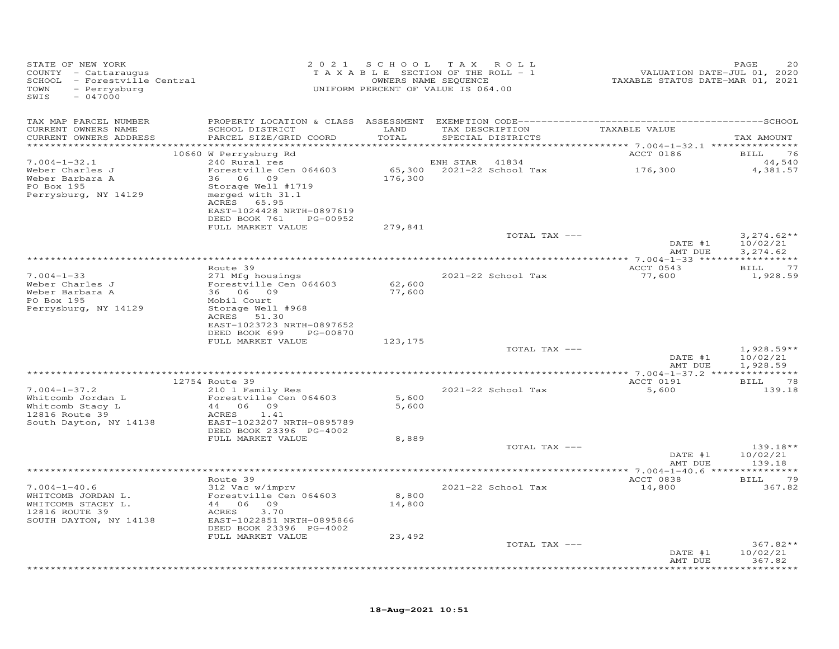| STATE OF NEW YORK<br>COUNTY - Cattaraugus<br>SCHOOL - Forestville Central<br>- Perrysburg<br>TOWN<br>$-047000$<br>SWIS |                                                                                                                                                       |                           | 2021 SCHOOL TAX ROLL<br>TAXABLE SECTION OF THE ROLL - 1<br>OWNERS NAME SEQUENCE<br>UNIFORM PERCENT OF VALUE IS 064.00 | 2020<br>TAXABLE STATUS DATE-JUL 01, 2020<br>TAXABLE STATUS DATE-MAR 01, 2021 | PAGE<br>20                            |
|------------------------------------------------------------------------------------------------------------------------|-------------------------------------------------------------------------------------------------------------------------------------------------------|---------------------------|-----------------------------------------------------------------------------------------------------------------------|------------------------------------------------------------------------------|---------------------------------------|
| TAX MAP PARCEL NUMBER                                                                                                  |                                                                                                                                                       |                           |                                                                                                                       |                                                                              |                                       |
| CURRENT OWNERS NAME<br>CURRENT OWNERS ADDRESS                                                                          | SCHOOL DISTRICT LAND<br>PARCEL SIZE/GRID COORD                                                                                                        | TOTAL                     | TAX DESCRIPTION TAXABLE VALUE<br>SPECIAL DISTRICTS                                                                    |                                                                              | TAX AMOUNT                            |
|                                                                                                                        | 10660 W Perrysburg Rd                                                                                                                                 |                           |                                                                                                                       | ACCT 0186                                                                    | 76<br><b>BILL</b>                     |
| $7.004 - 1 - 32.1$                                                                                                     | 240 Rural res                                                                                                                                         |                           | ENH STAR 41834                                                                                                        |                                                                              | 44,540                                |
| Weber Charles J<br>Weber Barbara A<br>PO Box 195<br>Perrysburg, NY 14129                                               | Forestville Cen 064603<br>36 06 09<br>Storage Well #1719<br>merged with 31.1<br>ACRES 65.95<br>EAST-1024428 NRTH-0897619<br>DEED BOOK 761<br>PG-00952 | 176,300                   | $65,300$ 2021-22 School Tax 176,300                                                                                   |                                                                              | 4,381.57                              |
|                                                                                                                        | FULL MARKET VALUE                                                                                                                                     | 279,841                   |                                                                                                                       |                                                                              |                                       |
|                                                                                                                        |                                                                                                                                                       |                           | TOTAL TAX ---                                                                                                         | DATE #1<br>AMT DUE                                                           | $3,274.62**$<br>10/02/21<br>3,274.62  |
|                                                                                                                        |                                                                                                                                                       |                           |                                                                                                                       |                                                                              |                                       |
|                                                                                                                        | Route 39                                                                                                                                              |                           |                                                                                                                       | ACCT 0543                                                                    | <b>BILL</b><br>77                     |
| $7.004 - 1 - 33$<br>Weber Charles J<br>Weber Barbara A<br>PO Box 195                                                   | 271 Mfg housings<br>Forestville Cen 064603<br>36 06 09<br>Mobil Court                                                                                 | 62,600<br>77,600          | 2021-22 School Tax                                                                                                    | 77,600                                                                       | 1,928.59                              |
| Perrysburg, NY 14129                                                                                                   | Storage Well #968<br>ACRES 51.30<br>EAST-1023723 NRTH-0897652<br>DEED BOOK 699 PG-00870<br>FULL MARKET VALUE                                          | 123,175                   |                                                                                                                       |                                                                              |                                       |
|                                                                                                                        |                                                                                                                                                       |                           | TOTAL TAX ---                                                                                                         | DATE #1<br>AMT DUE                                                           | $1,928.59**$<br>10/02/21<br>1,928.59  |
|                                                                                                                        |                                                                                                                                                       |                           |                                                                                                                       |                                                                              |                                       |
|                                                                                                                        | 12754 Route 39                                                                                                                                        |                           |                                                                                                                       | ACCT 0191                                                                    | <b>BILL</b><br>78                     |
| $7.004 - 1 - 37.2$<br>Whitcomb Jordan L<br>Whitcomb Stacy L<br>12816 Route 39<br>South Dayton, NY 14138                | 210 1 Family Res<br>Forestville Cen 064603<br>Forestviir.<br>44 06 09<br>1.41<br>ACRES 1.41<br>EAST-1023207 NRTH-0895789<br>DEED BOOK 23396 PG-4002   | 5,600<br>5,600            | 2021-22 School Tax                                                                                                    | 5,600                                                                        | 139.18                                |
|                                                                                                                        | FULL MARKET VALUE                                                                                                                                     | 8,889                     |                                                                                                                       |                                                                              |                                       |
|                                                                                                                        |                                                                                                                                                       |                           | TOTAL TAX ---                                                                                                         | DATE #1<br>AMT DUE                                                           | $139.18**$<br>10/02/21<br>139.18      |
|                                                                                                                        |                                                                                                                                                       |                           |                                                                                                                       |                                                                              |                                       |
|                                                                                                                        | Route 39                                                                                                                                              |                           |                                                                                                                       | ACCT 0838                                                                    | BILL 79                               |
| $7.004 - 1 - 40.6$<br>WHITCOMB JORDAN L.<br>WHITCOMB STACEY L.<br>12816 ROUTE 39<br>SOUTH DAYTON, NY 14138             | 312 Vac w/imprv<br>Forestville Cen 064603<br>44 06 09<br>3,70<br>ACRES<br>EAST-1022851 NRTH-0895866<br>DEED BOOK 23396 PG-4002<br>FULL MARKET VALUE   | 8,800<br>14,800<br>23,492 | 2021-22 School Tax                                                                                                    | 14,800                                                                       | 367.82                                |
|                                                                                                                        |                                                                                                                                                       |                           | TOTAL TAX ---                                                                                                         |                                                                              | $367.82**$                            |
|                                                                                                                        |                                                                                                                                                       |                           | **************************************                                                                                | DATE #1<br>AMT DUE                                                           | 10/02/21<br>367.82<br>* * * * * * * * |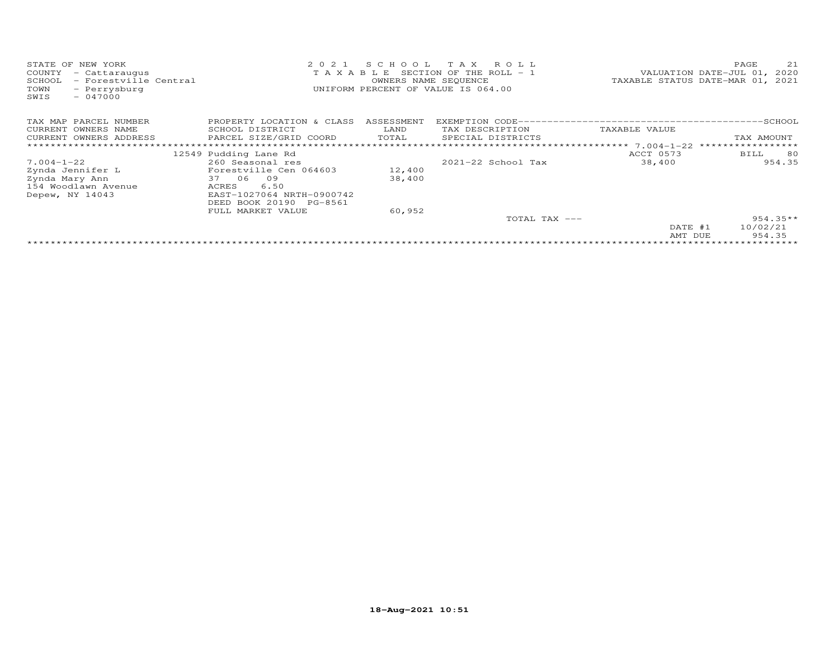| STATE OF<br>NEW YORK<br>COUNTY<br>- Cattaraugus<br>- Forestville Central<br>SCHOOL<br>TOWN<br>- Perrysburg<br>$-047000$<br>SWIS | 2021                      | SCHOOL<br>OWNERS NAME SEQUENCE | T A X<br>R O L L<br>T A X A B L E SECTION OF THE ROLL - 1<br>UNIFORM PERCENT OF VALUE IS 064.00 |               | PAGE<br>21<br>VALUATION DATE-JUL 01, 2020<br>TAXABLE STATUS DATE-MAR 01, 2021 |
|---------------------------------------------------------------------------------------------------------------------------------|---------------------------|--------------------------------|-------------------------------------------------------------------------------------------------|---------------|-------------------------------------------------------------------------------|
| TAX MAP PARCEL NUMBER                                                                                                           | PROPERTY LOCATION & CLASS | ASSESSMENT                     |                                                                                                 |               |                                                                               |
| CURRENT OWNERS NAME                                                                                                             | SCHOOL DISTRICT           | LAND                           | TAX DESCRIPTION                                                                                 | TAXABLE VALUE |                                                                               |
| CURRENT OWNERS ADDRESS                                                                                                          | PARCEL SIZE/GRID COORD    | TOTAL                          | SPECIAL DISTRICTS                                                                               |               | TAX AMOUNT                                                                    |
| *************************                                                                                                       |                           |                                |                                                                                                 |               |                                                                               |
|                                                                                                                                 | 12549 Pudding Lane Rd     |                                |                                                                                                 | ACCT 0573     | 80<br>BILL                                                                    |
| $7.004 - 1 - 22$                                                                                                                | 260 Seasonal res          |                                | $2021 - 22$ School Tax                                                                          | 38,400        | 954.35                                                                        |
| Zynda Jennifer L                                                                                                                | Forestville Cen 064603    | 12,400                         |                                                                                                 |               |                                                                               |
| Zynda Mary Ann                                                                                                                  | 37 06<br>09               | 38,400                         |                                                                                                 |               |                                                                               |
| 154 Woodlawn Avenue                                                                                                             | 6.50<br>ACRES             |                                |                                                                                                 |               |                                                                               |
| Depew, NY 14043                                                                                                                 | EAST-1027064 NRTH-0900742 |                                |                                                                                                 |               |                                                                               |
|                                                                                                                                 | DEED BOOK 20190 PG-8561   |                                |                                                                                                 |               |                                                                               |
|                                                                                                                                 | FULL MARKET VALUE         | 60,952                         |                                                                                                 |               |                                                                               |
|                                                                                                                                 |                           |                                | TOTAL TAX ---                                                                                   |               | $954.35**$                                                                    |
|                                                                                                                                 |                           |                                |                                                                                                 | DATE #1       | 10/02/21                                                                      |
|                                                                                                                                 |                           |                                |                                                                                                 | AMT DUE       | 954.35                                                                        |
|                                                                                                                                 |                           |                                |                                                                                                 |               |                                                                               |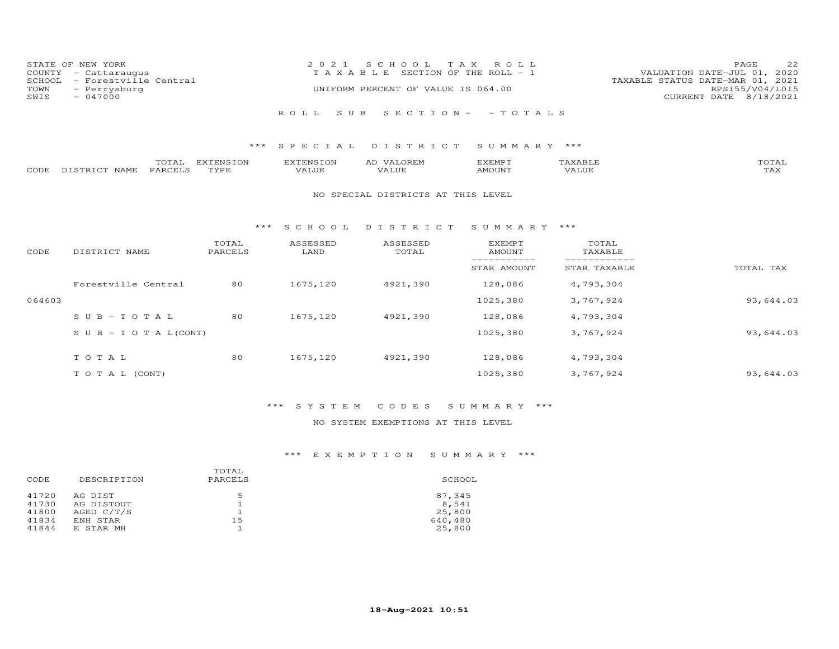| STATE OF NEW YORK<br>COUNTY - Cattaraugus<br>SCHOOL - Forestville Central | 2021 SCHOOL TAX ROLL<br>T A X A B L E SECTION OF THE ROLL - 1 | 22<br>PAGE<br>VALUATION DATE-JUL 01, 2020<br>TAXABLE STATUS DATE-MAR 01, 2021 |
|---------------------------------------------------------------------------|---------------------------------------------------------------|-------------------------------------------------------------------------------|
| TOWN<br>- Perrysburg<br>SWIS<br>$-047000$                                 | UNIFORM PERCENT OF VALUE IS 064.00                            | RPS155/V04/L015<br>CURRENT DATE 8/18/2021                                     |
|                                                                           | ROLL SUB SECTION- - TOTALS                                    |                                                                               |
|                                                                           |                                                               |                                                                               |

|                    | TOTAL   | EXTENSION | <b>EXTENSION</b> | <b>VALOREM</b><br>AD | <i>EXEMPT</i> | 'AXABLF | TOTAL                 |
|--------------------|---------|-----------|------------------|----------------------|---------------|---------|-----------------------|
| CODE DISTRICT NAME | PARCELS | TYPE      | VALUE            | VALUE                | AMOUNT        | VALUE   | $m \times r$<br>r AX. |

#### NO SPECIAL DISTRICTS AT THIS LEVEL

#### \*\*\* S C H O O L D I S T R I C T S U M M A R Y \*\*\*

| CODE   | DISTRICT NAME                    | TOTAL<br>PARCELS | ASSESSED<br>LAND | ASSESSED<br>TOTAL | <b>EXEMPT</b><br>AMOUNT | TOTAL<br>TAXABLE |           |
|--------|----------------------------------|------------------|------------------|-------------------|-------------------------|------------------|-----------|
|        |                                  |                  |                  |                   | STAR AMOUNT             | STAR TAXABLE     | TOTAL TAX |
|        | Forestville Central              | 80               | 1675,120         | 4921,390          | 128,086                 | 4,793,304        |           |
| 064603 |                                  |                  |                  |                   | 1025,380                | 3,767,924        | 93,644.03 |
|        | $SUB - TO T AL$                  | 80               | 1675,120         | 4921,390          | 128,086                 | 4,793,304        |           |
|        | $S \cup B - T \cup T A L (CONT)$ |                  |                  |                   | 1025,380                | 3,767,924        | 93,644.03 |
|        | TOTAL                            | 80               | 1675,120         | 4921,390          | 128,086                 | 4,793,304        |           |
|        | T O T A L (CONT)                 |                  |                  |                   | 1025,380                | 3,767,924        | 93,644.03 |

# \*\*\* S Y S T E M C O D E S S U M M A R Y \*\*\*

## NO SYSTEM EXEMPTIONS AT THIS LEVEL

| CODE  | DESCRIPTION | TOTAL<br>PARCELS | SCHOOL  |
|-------|-------------|------------------|---------|
| 41720 | AG DIST     | .5               | 87,345  |
| 41730 | AG DISTOUT  |                  | 8,541   |
| 41800 | AGED C/T/S  |                  | 25,800  |
| 41834 | ENH STAR    | 15               | 640,480 |
| 41844 | E STAR MH   |                  | 25,800  |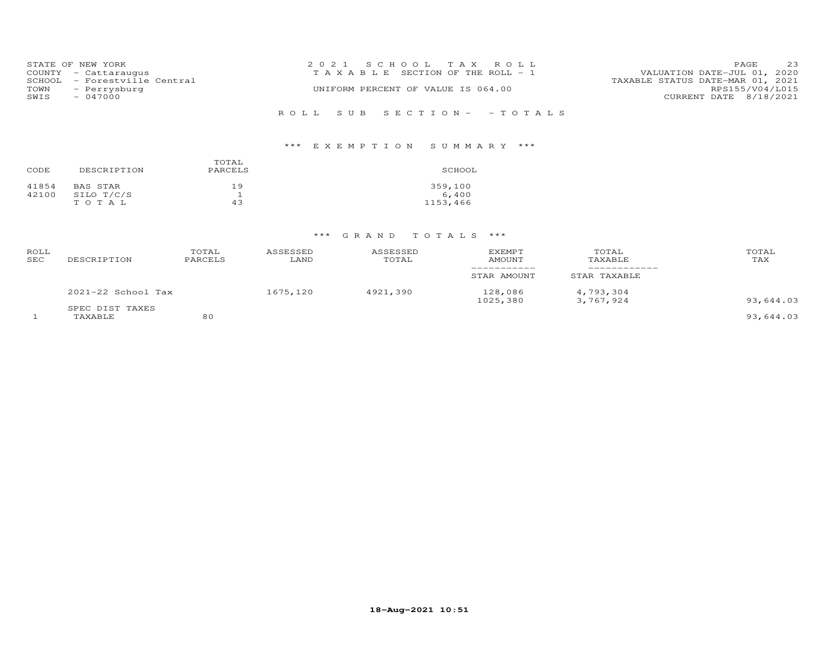|      | STATE OF NEW YORK            | 2021 SCHOOL TAX ROLL                                                 | <b>PAGE</b>     | 23 |
|------|------------------------------|----------------------------------------------------------------------|-----------------|----|
|      | COUNTY - Cattaraugus         | VALUATION DATE-JUL 01, 2020<br>T A X A B L E SECTION OF THE ROLL - 1 |                 |    |
|      | SCHOOL - Forestville Central | TAXABLE STATUS DATE-MAR 01, 2021                                     |                 |    |
|      | TOWN - Perrysburg            | UNIFORM PERCENT OF VALUE IS 064.00                                   | RPS155/V04/L015 |    |
| SWIS | $-047000$                    | CURRENT DATE 8/18/2021                                               |                 |    |
|      |                              |                                                                      |                 |    |
|      |                              | ROLL SUB SECTION- - TOTALS                                           |                 |    |

# \*\*\* E X E M P T I O N S U M M A R Y \*\*\*

| CODE  | DESCRIPTION | TOTAL<br>PARCELS | SCHOOL   |
|-------|-------------|------------------|----------|
| 41854 | BAS STAR    | 19               | 359,100  |
| 42100 | SILO T/C/S  |                  | 6,400    |
|       | TOTAL       | 43               | 1153,466 |

| ROLL<br>SEC | DESCRIPTION                | TOTAL<br>PARCELS | ASSESSED<br>LAND | ASSESSED<br>TOTAL | <b>EXEMPT</b><br><b>AMOUNT</b> | TOTAL<br>TAXABLE       | TOTAL<br>TAX |
|-------------|----------------------------|------------------|------------------|-------------------|--------------------------------|------------------------|--------------|
|             |                            |                  |                  |                   | STAR AMOUNT                    | STAR TAXABLE           |              |
|             | $2021-22$ School Tax       |                  | 1675,120         | 4921,390          | 128,086<br>1025,380            | 4,793,304<br>3,767,924 | 93,644.03    |
|             | SPEC DIST TAXES<br>TAXABLE | 80               |                  |                   |                                |                        | 93,644.03    |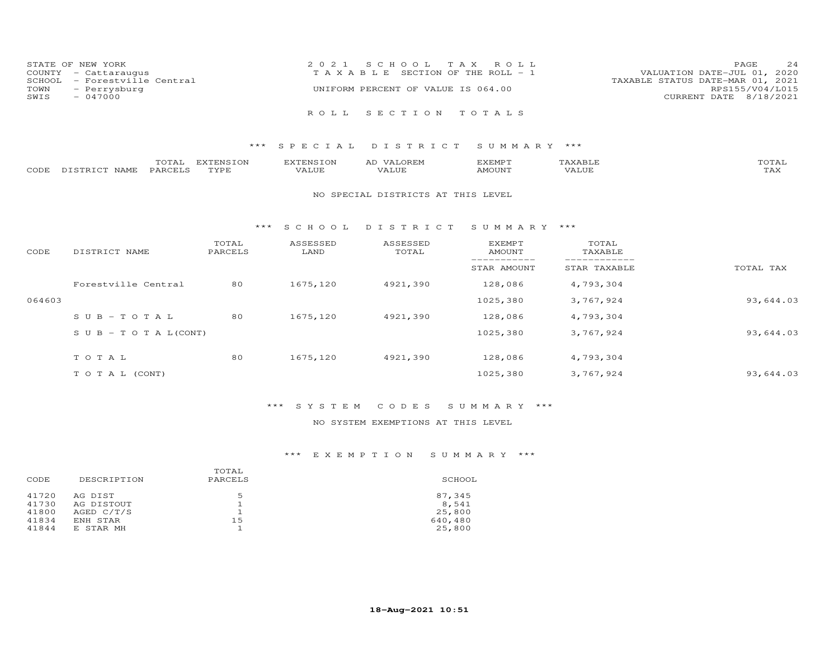|      | STATE OF NEW YORK            | 2021 SCHOOL TAX ROLL                  | PAGE                             | 24 |
|------|------------------------------|---------------------------------------|----------------------------------|----|
|      | COUNTY - Cattaraugus         | T A X A B L E SECTION OF THE ROLL - 1 | VALUATION DATE-JUL 01, 2020      |    |
|      | SCHOOL - Forestville Central |                                       | TAXABLE STATUS DATE-MAR 01, 2021 |    |
| TOWN | - Perrysburg                 | UNIFORM PERCENT OF VALUE IS 064.00    | RPS155/V04/L015                  |    |
| SWIS | $-047000$                    |                                       | CURRENT DATE 8/18/2021           |    |
|      |                              |                                       |                                  |    |
|      |                              | ROLL SECTION TOTALS                   |                                  |    |

|      |                  | $m \wedge m$<br>.uial | <b>DVPDNCTON</b><br>ENS. | EXTENSION | ΑL<br>$\sqrt{ \Delta}$              | <b>GYEMDT</b><br>حبتيت حكات | $n \wedge m \wedge r$ |
|------|------------------|-----------------------|--------------------------|-----------|-------------------------------------|-----------------------------|-----------------------|
| CODE | DISTRICT<br>NAME | <b>PARCELS</b>        | TVDF                     | VALUE     | , <del>,</del> , , , , , ,<br>'Alue | AMOUNT                      | . <i>.</i><br>IAA     |

#### NO SPECIAL DISTRICTS AT THIS LEVEL

#### \*\*\* S C H O O L D I S T R I C T S U M M A R Y \*\*\*

| CODE   | DISTRICT NAME                    | TOTAL<br>PARCELS | ASSESSED<br>LAND | ASSESSED<br>TOTAL | EXEMPT<br>AMOUNT | TOTAL<br>TAXABLE |           |
|--------|----------------------------------|------------------|------------------|-------------------|------------------|------------------|-----------|
|        |                                  |                  |                  |                   | STAR AMOUNT      | STAR TAXABLE     | TOTAL TAX |
|        | Forestville Central              | 80               | 1675,120         | 4921,390          | 128,086          | 4,793,304        |           |
| 064603 |                                  |                  |                  |                   | 1025,380         | 3,767,924        | 93,644.03 |
|        | $SUB-TOTAL$                      | 80               | 1675,120         | 4921,390          | 128,086          | 4,793,304        |           |
|        | $S \cup B - T \cup T A L (CONT)$ |                  |                  |                   | 1025,380         | 3,767,924        | 93,644.03 |
|        | TOTAL                            | 80               | 1675,120         | 4921,390          | 128,086          | 4,793,304        |           |
|        | T O T A L (CONT)                 |                  |                  |                   | 1025,380         | 3,767,924        | 93,644.03 |

## \*\*\* S Y S T E M C O D E S S U M M A R Y \*\*\*

## NO SYSTEM EXEMPTIONS AT THIS LEVEL

| CODE  | DESCRIPTION | TOTAL<br>PARCELS | SCHOOL  |
|-------|-------------|------------------|---------|
| 41720 | AG DIST     | .5               | 87,345  |
| 41730 | AG DISTOUT  |                  | 8,541   |
| 41800 | AGED C/T/S  |                  | 25,800  |
| 41834 | ENH STAR    | 15               | 640,480 |
| 41844 | E STAR MH   |                  | 25,800  |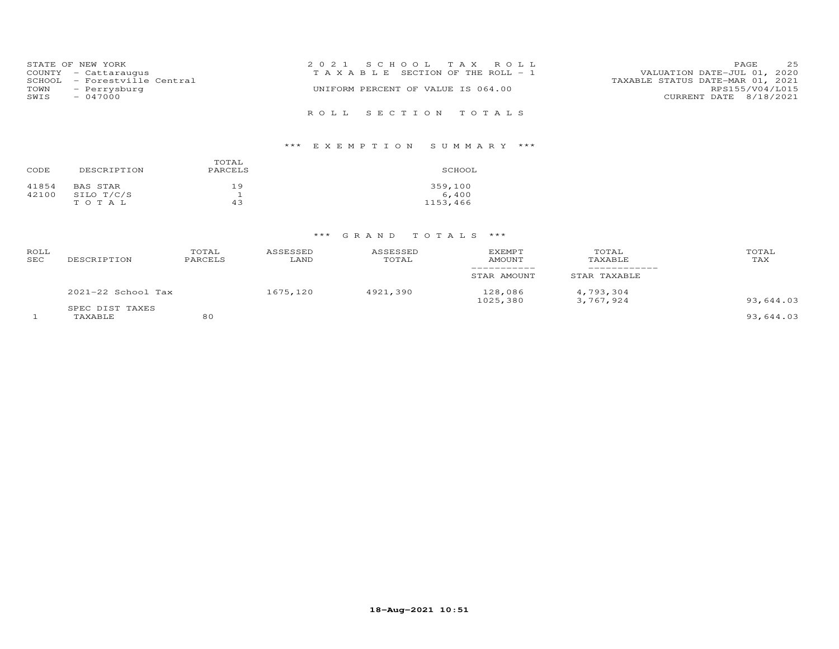|      | STATE OF NEW YORK            | 2021 SCHOOL TAX ROLL                  | PAGE                             | 25              |
|------|------------------------------|---------------------------------------|----------------------------------|-----------------|
|      | COUNTY - Cattaraugus         | T A X A B L E SECTION OF THE ROLL - 1 | VALUATION DATE-JUL 01, 2020      |                 |
|      | SCHOOL - Forestville Central |                                       | TAXABLE STATUS DATE-MAR 01, 2021 |                 |
| TOWN | - Perrysburg                 | UNIFORM PERCENT OF VALUE IS 064.00    |                                  | RPS155/V04/L015 |
| SWIS | $-047000$                    |                                       | CURRENT DATE 8/18/2021           |                 |
|      |                              |                                       |                                  |                 |
|      |                              | ROLL SECTION TOTALS                   |                                  |                 |

# \*\*\* E X E M P T I O N S U M M A R Y \*\*\*

| CODE  | DESCRIPTION | TOTAL<br>PARCELS | SCHOOL   |
|-------|-------------|------------------|----------|
| 41854 | BAS STAR    | 19               | 359,100  |
| 42100 | SILO T/C/S  |                  | 6,400    |
|       | TOTAL       | 43               | 1153,466 |

| ROLL<br>SEC | DESCRIPTION                | TOTAL<br>PARCELS | ASSESSED<br>LAND | ASSESSED<br>TOTAL | <b>EXEMPT</b><br><b>AMOUNT</b> | TOTAL<br>TAXABLE       | TOTAL<br>TAX |
|-------------|----------------------------|------------------|------------------|-------------------|--------------------------------|------------------------|--------------|
|             |                            |                  |                  |                   | STAR AMOUNT                    | STAR TAXABLE           |              |
|             | $2021 - 22$ School Tax     |                  | 1675,120         | 4921,390          | 128,086<br>1025,380            | 4,793,304<br>3,767,924 | 93,644.03    |
|             | SPEC DIST TAXES<br>TAXABLE | 80               |                  |                   |                                |                        | 93,644.03    |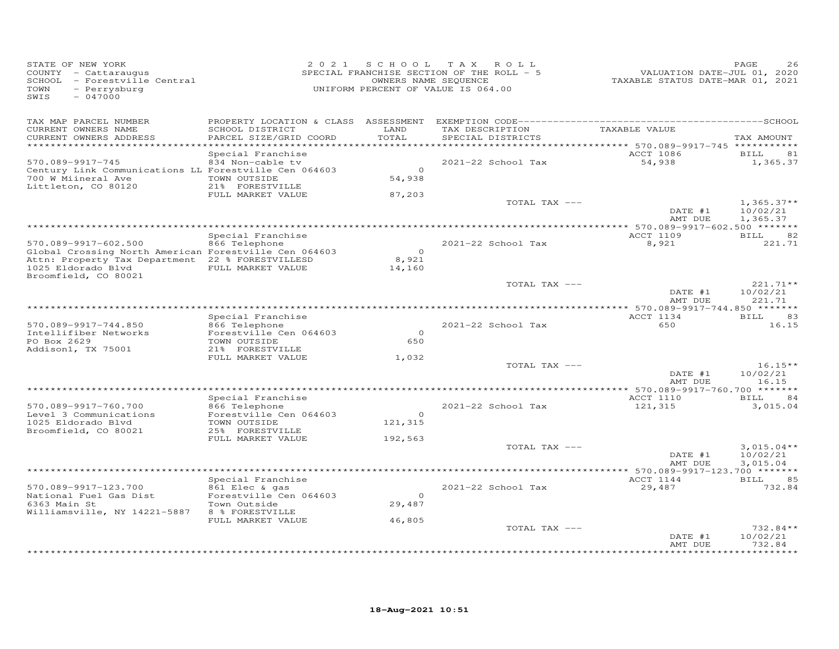| STATE OF NEW YORK<br>COUNTY - Cattaraugus<br>SCHOOL - Forestville Central<br>TOWN<br>- Perrysburg<br>SWIS<br>$-047000$                                                          | 2 0 2 1                                                                                                               | S C H O O L                  | T A X<br>ROLL<br>SPECIAL FRANCHISE SECTION OF THE ROLL - 5<br>OWNERS NAME SEQUENCE<br>UNIFORM PERCENT OF VALUE IS 064.00 | VALUATION DATE-JUL 01, 2020<br>TAXABLE STATUS DATE-MAR 01, 2021 | PAGE<br>26                                    |
|---------------------------------------------------------------------------------------------------------------------------------------------------------------------------------|-----------------------------------------------------------------------------------------------------------------------|------------------------------|--------------------------------------------------------------------------------------------------------------------------|-----------------------------------------------------------------|-----------------------------------------------|
| TAX MAP PARCEL NUMBER<br>CURRENT OWNERS NAME<br>CURRENT OWNERS ADDRESS                                                                                                          | SCHOOL DISTRICT<br>PARCEL SIZE/GRID COORD                                                                             | LAND<br>TOTAL<br>*****       | TAX DESCRIPTION<br>SPECIAL DISTRICTS                                                                                     | TAXABLE VALUE<br>******* 570.089-9917-745 ******                | TAX AMOUNT                                    |
| 570.089-9917-745<br>Century Link Communications LL Forestville Cen 064603<br>700 W Miineral Ave<br>Littleton, CO 80120                                                          | Special Franchise<br>834 Non-cable tv<br>TOWN OUTSIDE<br>21% FORESTVILLE<br>FULL MARKET VALUE                         | $\Omega$<br>54,938<br>87,203 | 2021-22 School Tax                                                                                                       | <b>ACCT 1086</b><br>54,938                                      | <b>BILL</b><br>81<br>1,365.37                 |
|                                                                                                                                                                                 |                                                                                                                       |                              | TOTAL TAX ---                                                                                                            | DATE #1<br>AMT DUE                                              | $1,365.37**$<br>10/02/21<br>1,365.37          |
| 570.089-9917-602.500<br>Global Crossing North American Forestville Cen 064603<br>Attn: Property Tax Department 22 % FORESTVILLESD<br>1025 Eldorado Blvd<br>Broomfield, CO 80021 | Special Franchise<br>866 Telephone<br>FULL MARKET VALUE                                                               | $\Omega$<br>8,921<br>14,160  | 2021-22 School Tax                                                                                                       | ACCT 1109<br>8,921                                              | <b>BILL</b><br>82<br>221.71                   |
|                                                                                                                                                                                 |                                                                                                                       |                              | TOTAL TAX ---                                                                                                            | DATE #1<br>AMT DUE                                              | 221.71**<br>10/02/21<br>221.71                |
| 570.089-9917-744.850<br>Intellifiber Networks<br>PO Box 2629<br>Addison1, TX 75001                                                                                              | Special Franchise<br>866 Telephone<br>Forestville Cen 064603<br>TOWN OUTSIDE<br>21% FORESTVILLE                       | $\Omega$<br>650              | 2021-22 School Tax                                                                                                       | ACCT 1134<br>650                                                | 83<br>BILL<br>16.15                           |
|                                                                                                                                                                                 | FULL MARKET VALUE                                                                                                     | 1,032                        | TOTAL TAX ---                                                                                                            | DATE #1<br>AMT DUE                                              | $16.15**$<br>10/02/21<br>16.15                |
| 570.089-9917-760.700<br>Level 3 Communications<br>1025 Eldorado Blvd<br>Broomfield, CO 80021                                                                                    | Special Franchise<br>866 Telephone<br>Forestville Cen 064603<br>TOWN OUTSIDE<br>25% FORESTVILLE                       | $\Omega$<br>121,315          | 2021-22 School Tax                                                                                                       | ACCT 1110<br>121,315                                            | 84<br>BILL<br>3,015.04                        |
|                                                                                                                                                                                 | FULL MARKET VALUE                                                                                                     | 192,563                      | TOTAL TAX ---                                                                                                            | DATE #1<br>AMT DUE                                              | $3,015.04**$<br>10/02/21<br>3,015.04          |
| 570.089-9917-123.700<br>National Fuel Gas Dist<br>6363 Main St<br>Williamsville, NY 14221-5887                                                                                  | Special Franchise<br>861 Elec & gas<br>Forestville Cen 064603<br>Town Outside<br>8 % FORESTVILLE<br>FULL MARKET VALUE | $\circ$<br>29,487<br>46,805  | 2021-22 School Tax                                                                                                       | ACCT 1144<br>29,487                                             | 85<br>BILL<br>732.84                          |
|                                                                                                                                                                                 |                                                                                                                       |                              | TOTAL TAX ---                                                                                                            | DATE #1<br>AMT DUE                                              | $732.84**$<br>10/02/21<br>732.84<br>********* |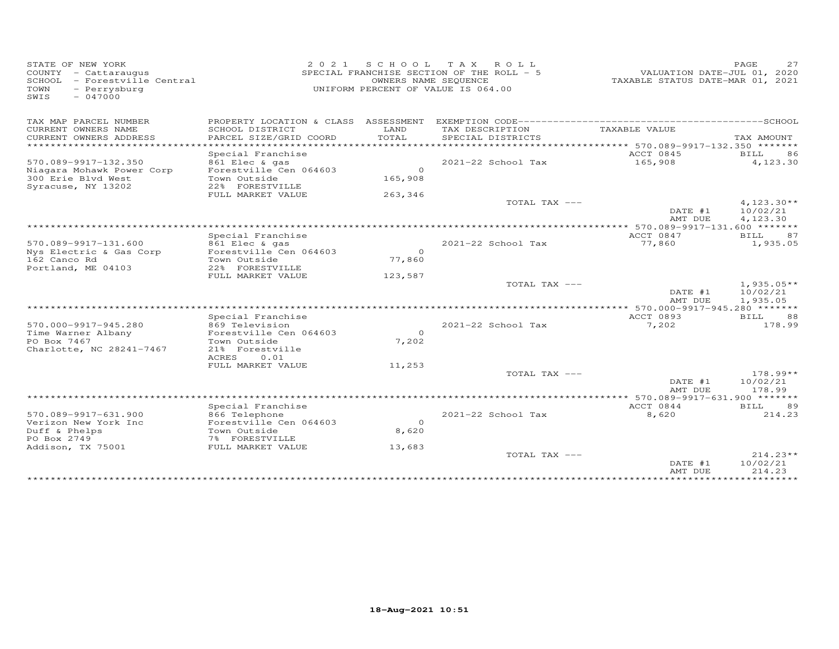| STATE OF NEW YORK<br>COUNTY - Cattaraugus<br>SCHOOL - Forestville Central<br>- Perrysburg<br>TOWN<br>$-047000$<br>SWIS | 2 0 2 1                                                                                                                  | SCHOOL TAX<br>OWNERS NAME SEQUENCE | ROLL<br>SPECIAL FRANCHISE SECTION OF THE ROLL - 5<br>UNIFORM PERCENT OF VALUE IS 064.00 | VALUATION DATE-JUL 01, 2020<br>TAXABLE STATUS DATE-MAR 01, 2021            | PAGE<br>27                           |
|------------------------------------------------------------------------------------------------------------------------|--------------------------------------------------------------------------------------------------------------------------|------------------------------------|-----------------------------------------------------------------------------------------|----------------------------------------------------------------------------|--------------------------------------|
| TAX MAP PARCEL NUMBER                                                                                                  | PROPERTY LOCATION & CLASS ASSESSMENT                                                                                     |                                    |                                                                                         |                                                                            |                                      |
| CURRENT OWNERS NAME<br>CURRENT OWNERS ADDRESS<br>*******************                                                   | SCHOOL DISTRICT<br>PARCEL SIZE/GRID COORD                                                                                | LAND<br>TOTAL<br>*********         | TAX DESCRIPTION<br>SPECIAL DISTRICTS                                                    | TAXABLE VALUE<br>**************************** 570.089-9917-132.350 ******* | TAX AMOUNT                           |
| 570.089-9917-132.350<br>Niagara Mohawk Power Corp<br>300 Erie Blvd West<br>Syracuse, NY 13202                          | Special Franchise<br>861 Elec & gas<br>Forestville Cen 064603<br>Town Outside<br>22% FORESTVILLE                         | $\Omega$<br>165,908                | 2021-22 School Tax                                                                      | ACCT 0845<br>165,908                                                       | 86<br>BILL<br>4,123.30               |
|                                                                                                                        | FULL MARKET VALUE                                                                                                        | 263,346                            | TOTAL TAX ---                                                                           | DATE #1<br>AMT DUE                                                         | $4,123.30**$<br>10/02/21<br>4,123.30 |
|                                                                                                                        |                                                                                                                          |                                    |                                                                                         |                                                                            |                                      |
| 570.089-9917-131.600<br>Nys Electric & Gas Corp<br>162 Canco Rd                                                        | Special Franchise<br>861 Elec & gas<br>Forestville Cen 064603<br>Town Outside                                            | $\Omega$<br>77,860                 | 2021-22 School Tax                                                                      | ACCT 0847<br>77,860                                                        | BILL<br>87<br>1,935.05               |
| Portland, ME 04103                                                                                                     | 22% FORESTVILLE<br>FULL MARKET VALUE                                                                                     | 123,587                            |                                                                                         |                                                                            |                                      |
|                                                                                                                        |                                                                                                                          |                                    | TOTAL TAX ---                                                                           | DATE #1<br>AMT DUE                                                         | $1,935.05**$<br>10/02/21<br>1,935.05 |
|                                                                                                                        |                                                                                                                          |                                    | ************************                                                                | 570.000-9917-945.280 *******                                               |                                      |
| 570.000-9917-945.280<br>Time Warner Albany<br>PO Box 7467<br>Charlotte, NC 28241-7467                                  | Special Franchise<br>869 Television<br>Forestville Cen 064603<br>Town Outside<br>21% Forestville<br><b>ACRES</b><br>0.01 | $\circ$<br>7,202                   | 2021-22 School Tax                                                                      | ACCT 0893<br>7,202                                                         | BILL<br>88<br>178.99                 |
|                                                                                                                        | FULL MARKET VALUE                                                                                                        | 11,253                             |                                                                                         |                                                                            |                                      |
|                                                                                                                        |                                                                                                                          |                                    | TOTAL TAX ---                                                                           | DATE #1<br>AMT DUE                                                         | $178.99**$<br>10/02/21<br>178.99     |
|                                                                                                                        | Special Franchise                                                                                                        |                                    | ************************************                                                    | * 570.089-9917-631.900 *******<br>ACCT 0844                                | 89<br>BILL                           |
| 570.089-9917-631.900<br>Verizon New York Inc<br>Duff & Phelps<br>PO Box 2749                                           | 866 Telephone<br>Forestville Cen 064603<br>Town Outside<br>7% FORESTVILLE                                                | $\Omega$<br>8,620                  | 2021-22 School Tax                                                                      | 8,620                                                                      | 214.23                               |
| Addison, TX 75001                                                                                                      | FULL MARKET VALUE                                                                                                        | 13,683                             | TOTAL TAX ---                                                                           | DATE #1<br>AMT DUE                                                         | $214.23**$<br>10/02/21<br>214.23     |
|                                                                                                                        |                                                                                                                          |                                    |                                                                                         |                                                                            |                                      |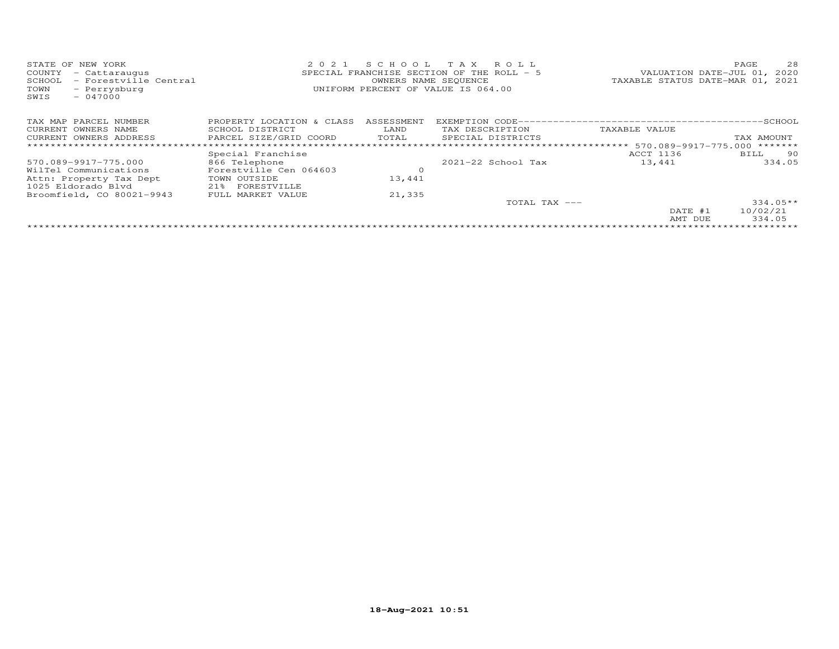| STATE OF NEW YORK                                     | 2 0 2 1                   | SCHOOL TAX                                               | R O L L                                   |               | 28<br>PAGE                  |  |  |  |
|-------------------------------------------------------|---------------------------|----------------------------------------------------------|-------------------------------------------|---------------|-----------------------------|--|--|--|
| COUNTY<br>- Cattaraugus                               |                           |                                                          | SPECIAL FRANCHISE SECTION OF THE ROLL - 5 |               | VALUATION DATE-JUL 01, 2020 |  |  |  |
| - Forestville Central<br>SCHOOL                       |                           | TAXABLE STATUS DATE-MAR 01, 2021<br>OWNERS NAME SEQUENCE |                                           |               |                             |  |  |  |
| TOWN<br>- Perrysburg<br>$-047000$<br>SWIS             |                           |                                                          | UNIFORM PERCENT OF VALUE IS 064.00        |               |                             |  |  |  |
| TAX MAP PARCEL NUMBER                                 | PROPERTY LOCATION & CLASS | ASSESSMENT                                               |                                           |               |                             |  |  |  |
| CURRENT OWNERS NAME                                   | SCHOOL DISTRICT           | LAND                                                     | TAX DESCRIPTION                           | TAXABLE VALUE |                             |  |  |  |
| CURRENT OWNERS ADDRESS<br>*************************** | PARCEL SIZE/GRID COORD    | TOTAL                                                    | SPECIAL DISTRICTS                         |               | TAX AMOUNT<br>*******       |  |  |  |
|                                                       | Special Franchise         |                                                          |                                           | ACCT 1136     | BILL 90                     |  |  |  |
| 570.089-9917-775.000                                  | 866 Telephone             |                                                          | $2021 - 22$ School Tax                    | 13,441        | 334.05                      |  |  |  |
| WilTel Communications                                 | Forestville Cen 064603    | $\circ$                                                  |                                           |               |                             |  |  |  |
| Attn: Property Tax Dept                               | TOWN OUTSIDE              | 13,441                                                   |                                           |               |                             |  |  |  |
| 1025 Eldorado Blyd                                    | 21% FORESTVILLE           |                                                          |                                           |               |                             |  |  |  |
| Broomfield, CO 80021-9943                             | FULL MARKET VALUE         | 21,335                                                   |                                           |               |                             |  |  |  |
|                                                       |                           |                                                          | TOTAL TAX ---                             |               | $334.05**$                  |  |  |  |
|                                                       |                           |                                                          |                                           | DATE #1       | 10/02/21                    |  |  |  |
|                                                       |                           |                                                          |                                           | AMT DUE       | 334.05                      |  |  |  |
|                                                       |                           |                                                          |                                           |               |                             |  |  |  |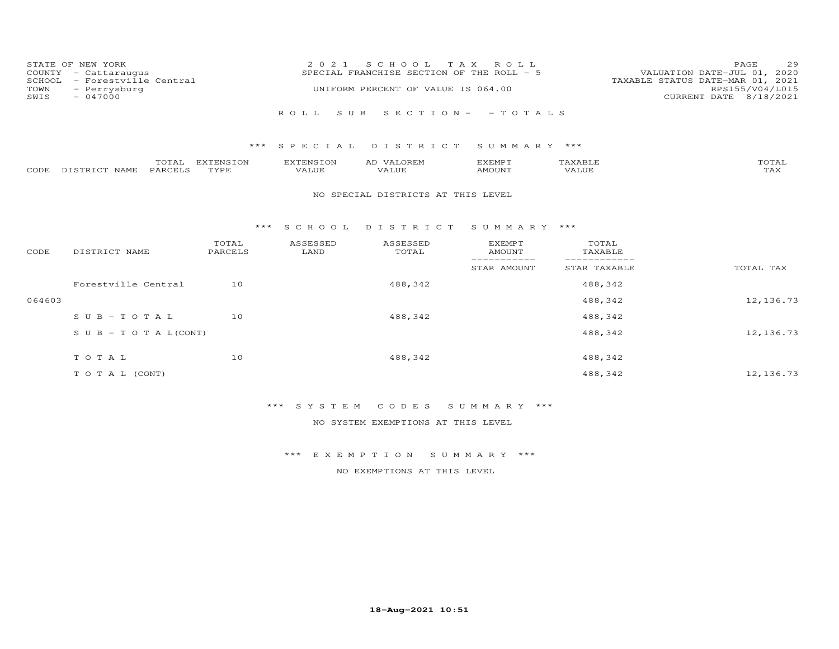| COUNTY<br>SCHOOL<br>TOWN<br>SWIS | STATE OF NEW YORK<br>- Cattaraugus<br>- Forestville Central<br>- Perrysburg<br>$-047000$ |                   | 2 0 2 1                   | S C H O O L<br>SPECIAL FRANCHISE SECTION OF THE ROLL - 5<br>UNIFORM PERCENT OF VALUE IS 064.00 | T A X<br>ROLL                   |                               | 29<br>PAGE<br>VALUATION DATE-JUL 01, 2020<br>TAXABLE STATUS DATE-MAR 01, 2021<br>RPS155/V04/L015<br>CURRENT DATE 8/18/2021 |
|----------------------------------|------------------------------------------------------------------------------------------|-------------------|---------------------------|------------------------------------------------------------------------------------------------|---------------------------------|-------------------------------|----------------------------------------------------------------------------------------------------------------------------|
|                                  |                                                                                          |                   | ROLL<br>S U B             |                                                                                                | $S E C T I O N - - T O T A L S$ |                               |                                                                                                                            |
|                                  |                                                                                          | ***               | SPECIAL                   | DISTRICT                                                                                       | SUMMARY ***                     |                               |                                                                                                                            |
| CODE                             | TOTAL<br>DISTRICT NAME<br>PARCELS                                                        | EXTENSION<br>TYPE | <b>EXTENSION</b><br>VALUE | AD VALOREM<br>VALUE                                                                            | <b>EXEMPT</b><br><b>AMOUNT</b>  | TAXABLE<br>VALUE              | TOTAL<br>TAX                                                                                                               |
|                                  |                                                                                          |                   |                           | NO SPECIAL DISTRICTS AT THIS LEVEL                                                             |                                 |                               |                                                                                                                            |
|                                  |                                                                                          |                   | $***$ SCHOOL              | DISTRICT                                                                                       | SUMMARY ***                     |                               |                                                                                                                            |
| CODE                             | DISTRICT NAME                                                                            | TOTAL<br>PARCELS  | ASSESSED<br>LAND          | ASSESSED<br>TOTAL                                                                              | <b>EXEMPT</b><br><b>AMOUNT</b>  | TOTAL<br>TAXABLE              |                                                                                                                            |
|                                  |                                                                                          |                   |                           |                                                                                                | -----------<br>STAR AMOUNT      | -------------<br>STAR TAXABLE | TOTAL TAX                                                                                                                  |
|                                  | Forestville Central                                                                      | 10                |                           | 488,342                                                                                        |                                 | 488,342                       |                                                                                                                            |
| 064603                           |                                                                                          |                   |                           |                                                                                                |                                 | 488,342                       | 12, 136.73                                                                                                                 |
|                                  | $SUB - TO T AL$                                                                          | 10                |                           | 488,342                                                                                        |                                 | 488,342                       |                                                                                                                            |
|                                  | $S \cup B - T \cup T A L (CONT)$                                                         |                   |                           |                                                                                                |                                 | 488,342                       | 12, 136.73                                                                                                                 |
|                                  | TOTAL                                                                                    | 10                |                           | 488,342                                                                                        |                                 | 488,342                       |                                                                                                                            |
|                                  | TO TAL (CONT)                                                                            |                   |                           |                                                                                                |                                 | 488,342                       | 12,136.73                                                                                                                  |

\*\*\* S Y S T E M C O D E S S U M M A R Y \*\*\*

NO SYSTEM EXEMPTIONS AT THIS LEVEL

\*\*\* E X E M P T I O N S U M M A R Y \*\*\*

NO EXEMPTIONS AT THIS LEVEL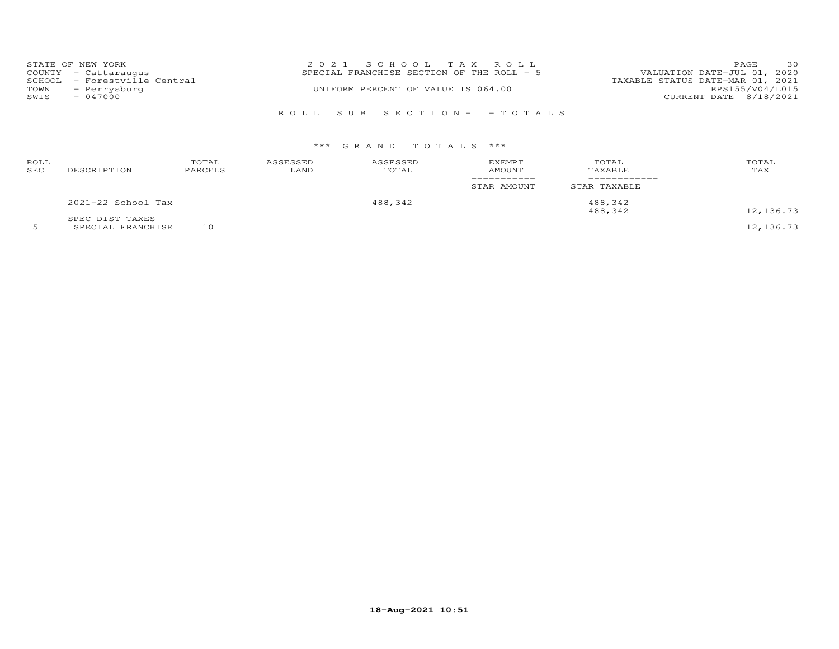|      | STATE OF NEW YORK            | 2021 SCHOOL TAX ROLL                      |                                  | 30<br><b>PAGE</b> |
|------|------------------------------|-------------------------------------------|----------------------------------|-------------------|
|      | COUNTY - Cattaraugus         | SPECIAL FRANCHISE SECTION OF THE ROLL - 5 | VALUATION DATE-JUL 01, 2020      |                   |
|      | SCHOOL - Forestville Central |                                           | TAXABLE STATUS DATE-MAR 01, 2021 |                   |
|      | TOWN - Perrysburg            | UNIFORM PERCENT OF VALUE IS 064.00        |                                  | RPS155/V04/L015   |
| SWIS | $-047000$                    |                                           | CURRENT DATE 8/18/2021           |                   |
|      |                              |                                           |                                  |                   |
|      |                              | ROLL SUB SECTION- - TOTALS                |                                  |                   |

| ROLL<br>SEC | DESCRIPTION        | TOTAL<br>PARCELS | ASSESSED<br>LAND | ASSESSED<br>TOTAL | EXEMPT<br>AMOUNT<br>___________<br>STAR AMOUNT | TOTAL<br>TAXABLE<br>STAR TAXABLE | TOTAL<br>TAX |
|-------------|--------------------|------------------|------------------|-------------------|------------------------------------------------|----------------------------------|--------------|
|             | 2021-22 School Tax |                  |                  | 488,342           |                                                | 488,342                          |              |
|             | SPEC DIST TAXES    |                  |                  |                   |                                                | 488,342                          | 12,136.73    |

5 SPECIAL FRANCHISE 10 12,136.73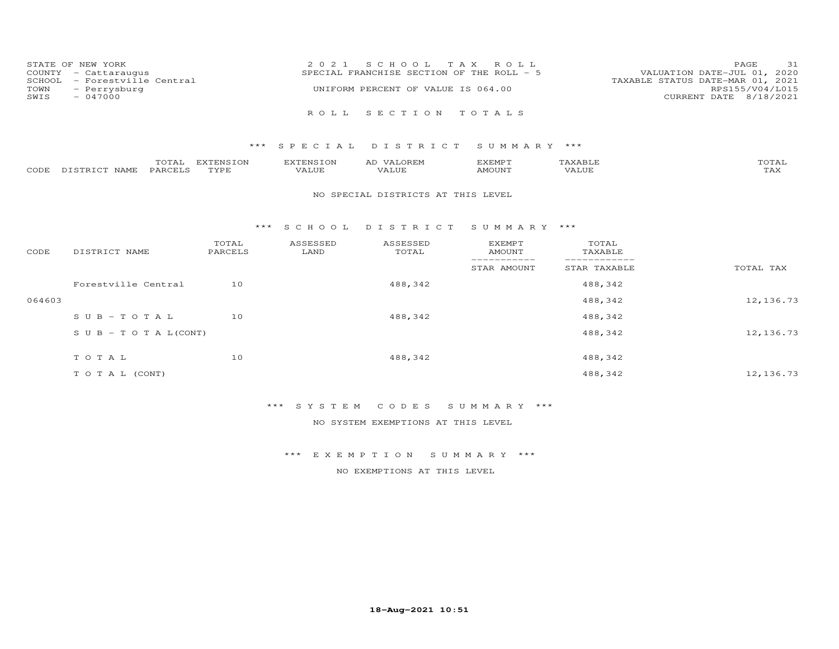| TOWN<br>SWIS | STATE OF NEW YORK<br>COUNTY - Cattaraugus<br>SCHOOL - Forestville Central<br>- Perrysburg<br>$-047000$ | 2021 SCHOOL TAX ROLL<br>SPECIAL FRANCHISE SECTION OF THE ROLL - 5<br>TAXABLE STATUS DATE-MAR 01, 2021<br>UNIFORM PERCENT OF VALUE IS 064.00 | PAGE<br>VALUATION DATE-JUL 01, 2020<br>RPS155/V04/L015<br>CURRENT DATE 8/18/2021 | 31 |
|--------------|--------------------------------------------------------------------------------------------------------|---------------------------------------------------------------------------------------------------------------------------------------------|----------------------------------------------------------------------------------|----|
|              |                                                                                                        | ROLL SECTION TOTALS                                                                                                                         |                                                                                  |    |

|      |               | $m \wedge m \wedge r$<br>JTAI - | EXTENSION | <b>EXTENSION</b> | VALOREM<br>AD | EXEMPT | AXABLE:                | ,, <del>,</del> ,,<br>JTAI. |
|------|---------------|---------------------------------|-----------|------------------|---------------|--------|------------------------|-----------------------------|
| CODE | DISTRICT NAME | <b>PARCELS</b>                  | TVDF      | VALUE            |               | AMOUNT | * * * * * * *<br>'Alul | . <i>.</i><br>IAA           |

#### NO SPECIAL DISTRICTS AT THIS LEVEL

#### \*\*\* S C H O O L D I S T R I C T S U M M A R Y \*\*\*

| CODE   | DISTRICT NAME                    | TOTAL<br>PARCELS | ASSESSED<br>LAND | ASSESSED<br>TOTAL | <b>EXEMPT</b><br>AMOUNT | TOTAL<br>TAXABLE |           |
|--------|----------------------------------|------------------|------------------|-------------------|-------------------------|------------------|-----------|
|        |                                  |                  |                  |                   | STAR AMOUNT             | STAR TAXABLE     | TOTAL TAX |
|        | Forestville Central              | 10               |                  | 488,342           |                         | 488,342          |           |
| 064603 |                                  |                  |                  |                   |                         | 488,342          | 12,136.73 |
|        | $SUB - TO T AL$                  | 10               |                  | 488,342           |                         | 488,342          |           |
|        | $S \cup B - T \cup T A L (CONT)$ |                  |                  |                   |                         | 488,342          | 12,136.73 |
|        | TOTAL                            | 10               |                  | 488,342           |                         | 488,342          |           |
|        | T O T A L (CONT)                 |                  |                  |                   |                         | 488,342          | 12,136.73 |

# \*\*\* S Y S T E M C O D E S S U M M A R Y \*\*\*

NO SYSTEM EXEMPTIONS AT THIS LEVEL

\*\*\* E X E M P T I O N S U M M A R Y \*\*\*

NO EXEMPTIONS AT THIS LEVEL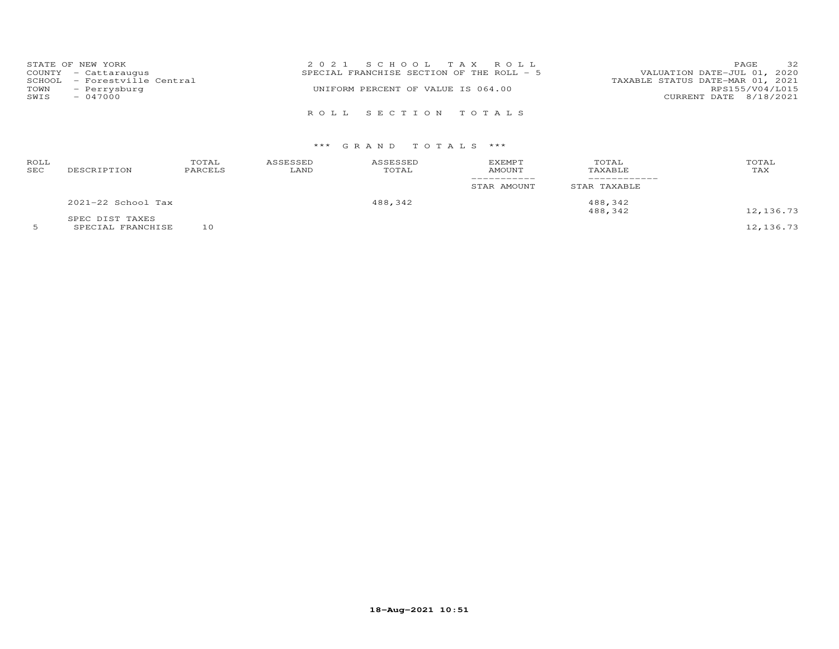|      | STATE OF NEW YORK            | 2021 SCHOOL TAX ROLL                      | PAGE                        | 32 |
|------|------------------------------|-------------------------------------------|-----------------------------|----|
|      | COUNTY - Cattaraugus         | SPECIAL FRANCHISE SECTION OF THE ROLL - 5 | VALUATION DATE-JUL 01, 2020 |    |
|      | SCHOOL - Forestville Central | TAXABLE STATUS DATE-MAR 01, 2021          |                             |    |
| TOWN | - Perrysburg                 | UNIFORM PERCENT OF VALUE IS 064.00        | RPS155/V04/L015             |    |
| SWIS | $-047000$                    |                                           | CURRENT DATE 8/18/2021      |    |
|      |                              |                                           |                             |    |
|      |                              | ROLL SECTION TOTALS                       |                             |    |

| ROLL<br>SEC | DESCRIPTION        | TOTAL<br>PARCELS | ASSESSED<br>LAND | ASSESSED<br>TOTAL | <b>EXEMPT</b><br>AMOUNT<br>STAR AMOUNT | TOTAL<br>TAXABLE<br>STAR TAXABLE | TOTAL<br>TAX |
|-------------|--------------------|------------------|------------------|-------------------|----------------------------------------|----------------------------------|--------------|
|             | 2021-22 School Tax |                  | 488,342          |                   | 488,342                                |                                  |              |
|             | SPEC DIST TAXES    |                  |                  |                   |                                        | 488,342                          | 12,136.73    |

5 SPECIAL FRANCHISE 10 12,136.73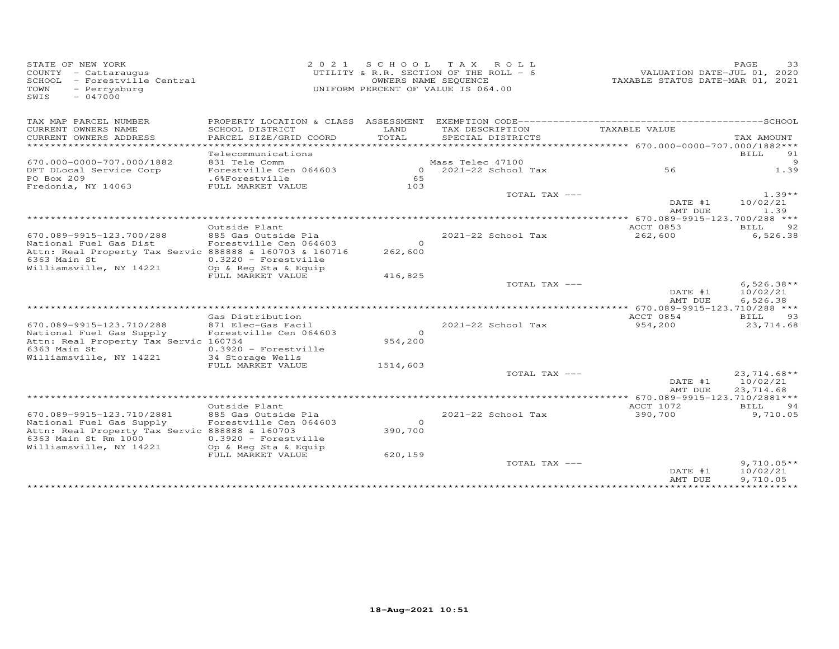| STATE OF NEW YORK<br>COUNTY - Cattaraugus<br>SCHOOL - Forestville Central<br>- Perrysburg<br>TOWN<br>$-047000$<br>SWIS |                                               |               | 2021 SCHOOL TAX ROLL<br>UTILITY & R.R. SECTION OF THE ROLL - 6<br>OWNERS NAME SEQUENCE<br>UNIFORM PERCENT OF VALUE IS 064.00 | VALUATION DATE-JUL 01, 2020<br>TAXABLE STATUS DATE-MAR 01, 2021 | PAGE<br>33               |
|------------------------------------------------------------------------------------------------------------------------|-----------------------------------------------|---------------|------------------------------------------------------------------------------------------------------------------------------|-----------------------------------------------------------------|--------------------------|
| TAX MAP PARCEL NUMBER                                                                                                  |                                               |               |                                                                                                                              |                                                                 |                          |
| CURRENT OWNERS NAME<br>CURRENT OWNERS ADDRESS                                                                          | SCHOOL DISTRICT<br>PARCEL SIZE/GRID COORD     | LAND<br>TOTAL | TAX DESCRIPTION<br>SPECIAL DISTRICTS                                                                                         | TAXABLE VALUE                                                   | TAX AMOUNT               |
| ***********************                                                                                                |                                               |               |                                                                                                                              |                                                                 | 91                       |
| 670.000-0000-707.000/1882                                                                                              | Telecommunications<br>831 Tele Comm           |               | Mass Telec 47100                                                                                                             |                                                                 | <b>BILL</b><br>9         |
| DFT DLocal Service Corp                                                                                                | Forestville Cen 064603                        |               | $0$ 2021-22 School Tax                                                                                                       | 56                                                              | 1.39                     |
| PO Box 209                                                                                                             | .6%Forestville                                | 65            |                                                                                                                              |                                                                 |                          |
| Fredonia, NY 14063                                                                                                     | FULL MARKET VALUE                             | 103           | TOTAL TAX ---                                                                                                                |                                                                 | $1.39**$                 |
|                                                                                                                        |                                               |               |                                                                                                                              | DATE #1<br>AMT DUE                                              | 10/02/21<br>1.39         |
|                                                                                                                        |                                               |               |                                                                                                                              |                                                                 |                          |
|                                                                                                                        | Outside Plant                                 |               |                                                                                                                              | ACCT 0853                                                       | BILL<br>92               |
| 670.089-9915-123.700/288                                                                                               | 885 Gas Outside Pla                           | $\Omega$      | 2021-22 School Tax                                                                                                           | 262,600                                                         | 6,526.38                 |
| National Fuel Gas Dist<br>Attn: Real Property Tax Servic 888888 & 160703 & 160716                                      | Forestville Cen 064603                        | 262,600       |                                                                                                                              |                                                                 |                          |
| 6363 Main St                                                                                                           | $0.3220$ - Forestville                        |               |                                                                                                                              |                                                                 |                          |
| Williamsville, NY 14221                                                                                                | Op & Reg Sta & Equip                          |               |                                                                                                                              |                                                                 |                          |
|                                                                                                                        | FULL MARKET VALUE                             | 416,825       |                                                                                                                              |                                                                 |                          |
|                                                                                                                        |                                               |               | TOTAL TAX ---                                                                                                                | DATE #1                                                         | $6,526.38**$<br>10/02/21 |
|                                                                                                                        |                                               |               |                                                                                                                              | AMT DUE                                                         | 6,526.38                 |
|                                                                                                                        |                                               |               |                                                                                                                              | **** 670.089-9915-123.710/288 ***                               |                          |
|                                                                                                                        | Gas Distribution                              |               |                                                                                                                              | ACCT 0854                                                       | BILL<br>93               |
| 670.089-9915-123.710/288<br>National Fuel Gas Supply                                                                   | 871 Elec-Gas Facil<br>Forestville Cen 064603  | $\Omega$      | 2021-22 School Tax                                                                                                           | 954,200                                                         | 23,714.68                |
| Attn: Real Property Tax Servic 160754                                                                                  |                                               | 954,200       |                                                                                                                              |                                                                 |                          |
| 6363 Main St                                                                                                           | $0.3920$ - Forestville                        |               |                                                                                                                              |                                                                 |                          |
| Williamsville, NY 14221                                                                                                | 34 Storage Wells                              |               |                                                                                                                              |                                                                 |                          |
|                                                                                                                        | FULL MARKET VALUE                             | 1514,603      | TOTAL TAX ---                                                                                                                |                                                                 | $23,714.68**$            |
|                                                                                                                        |                                               |               |                                                                                                                              | DATE #1                                                         | 10/02/21                 |
|                                                                                                                        |                                               |               |                                                                                                                              | AMT DUE                                                         | 23,714.68                |
| ******************************                                                                                         |                                               |               |                                                                                                                              |                                                                 |                          |
|                                                                                                                        | Outside Plant                                 |               |                                                                                                                              | ACCT 1072                                                       | BILL<br>94               |
| 670.089-9915-123.710/2881<br>National Fuel Gas Supply                                                                  | 885 Gas Outside Pla<br>Forestville Cen 064603 | $\Omega$      | 2021-22 School Tax                                                                                                           | 390,700                                                         | 9,710.05                 |
| Attn: Real Property Tax Servic 888888 & 160703                                                                         |                                               | 390,700       |                                                                                                                              |                                                                 |                          |
| 6363 Main St Rm 1000                                                                                                   | $0.3920$ - Forestville                        |               |                                                                                                                              |                                                                 |                          |
| Williamsville, NY 14221                                                                                                | Op & Reg Sta & Equip                          |               |                                                                                                                              |                                                                 |                          |
|                                                                                                                        | FULL MARKET VALUE                             | 620,159       | TOTAL TAX ---                                                                                                                |                                                                 | $9,710.05**$             |
|                                                                                                                        |                                               |               |                                                                                                                              | DATE #1                                                         | 10/02/21                 |
|                                                                                                                        |                                               |               |                                                                                                                              | AMT DUE                                                         | 9,710.05                 |
|                                                                                                                        |                                               |               |                                                                                                                              |                                                                 |                          |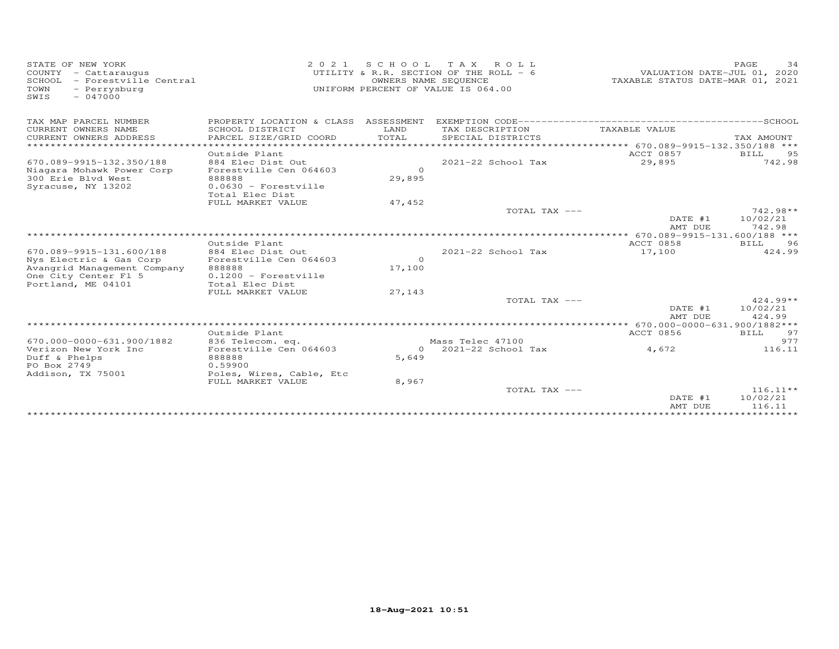| STATE OF NEW YORK<br>COUNTY - Cattaraugus<br>- Forestville Central<br>SCHOOL<br>TOWN<br>- Perrysburg<br>$-047000$<br>SWIS | 2 0 2 1                                                        | SCHOOL             | T A X<br>ROLL<br>UTILITY & R.R. SECTION OF THE ROLL - 6<br>OWNERS NAME SEQUENCE<br>UNIFORM PERCENT OF VALUE IS 064.00 | VALUATION DATE-JUL 01, 2020<br>TAXABLE STATUS DATE-MAR 01, 2021 | PAGE<br>34             |
|---------------------------------------------------------------------------------------------------------------------------|----------------------------------------------------------------|--------------------|-----------------------------------------------------------------------------------------------------------------------|-----------------------------------------------------------------|------------------------|
| TAX MAP PARCEL NUMBER                                                                                                     | PROPERTY LOCATION & CLASS ASSESSMENT                           |                    |                                                                                                                       |                                                                 |                        |
| CURRENT OWNERS NAME<br>CURRENT OWNERS ADDRESS                                                                             | SCHOOL DISTRICT<br>PARCEL SIZE/GRID COORD                      | LAND<br>TOTAL      | TAX DESCRIPTION<br>SPECIAL DISTRICTS                                                                                  | TAXABLE VALUE                                                   | TAX AMOUNT             |
| *********************                                                                                                     | **************************************<br>Outside Plant        |                    |                                                                                                                       | ****************** 670.089-9915-132.350/188 ***<br>ACCT 0857    | BILL<br>95             |
| 670.089-9915-132.350/188<br>Niagara Mohawk Power Corp<br>300 Erie Blvd West                                               | 884 Elec Dist Out<br>Forestville Cen 064603<br>888888          | $\Omega$<br>29,895 | $2021 - 22$ School Tax                                                                                                | 29,895                                                          | 742.98                 |
| Syracuse, NY 13202                                                                                                        | $0.0630$ - Forestville<br>Total Elec Dist<br>FULL MARKET VALUE | 47,452             |                                                                                                                       |                                                                 |                        |
|                                                                                                                           |                                                                |                    | TOTAL TAX ---                                                                                                         |                                                                 | $742.98**$             |
|                                                                                                                           |                                                                |                    |                                                                                                                       | DATE #1                                                         | 10/02/21               |
|                                                                                                                           | ***************************                                    |                    |                                                                                                                       | AMT DUE                                                         | 742.98                 |
|                                                                                                                           | Outside Plant                                                  |                    |                                                                                                                       | ACCT 0858                                                       | 96<br><b>BILL</b>      |
| 670.089-9915-131.600/188<br>Nys Electric & Gas Corp                                                                       | 884 Elec Dist Out<br>Forestville Cen 064603                    | $\Omega$           | $2021-22$ School Tax                                                                                                  | 17,100                                                          | 424.99                 |
| Avangrid Management Company                                                                                               | 888888                                                         | 17,100             |                                                                                                                       |                                                                 |                        |
| One City Center Fl 5                                                                                                      | $0.1200$ - Forestville                                         |                    |                                                                                                                       |                                                                 |                        |
| Portland, ME 04101                                                                                                        | Total Elec Dist<br>FULL MARKET VALUE                           | 27,143             |                                                                                                                       |                                                                 |                        |
|                                                                                                                           |                                                                |                    | TOTAL TAX ---                                                                                                         |                                                                 | $424.99**$             |
|                                                                                                                           |                                                                |                    |                                                                                                                       | DATE #1                                                         | 10/02/21               |
|                                                                                                                           |                                                                |                    |                                                                                                                       | AMT DUE                                                         | 424.99                 |
|                                                                                                                           | Outside Plant                                                  |                    |                                                                                                                       | ** 670.000-0000-631.900/1882***<br><b>ACCT 0856</b>             | BILL<br>97             |
| 670.000-0000-631.900/1882                                                                                                 | 836 Telecom. eq.                                               |                    | Mass Telec 47100                                                                                                      |                                                                 | 977                    |
| Verizon New York Inc                                                                                                      | Forestville Cen 064603                                         | $\Omega$           | 2021-22 School Tax                                                                                                    | 4,672                                                           | 116.11                 |
| Duff & Phelps<br>PO Box 2749                                                                                              | 888888<br>0.59900                                              | 5,649              |                                                                                                                       |                                                                 |                        |
| Addison, TX 75001                                                                                                         | Poles, Wires, Cable, Etc                                       |                    |                                                                                                                       |                                                                 |                        |
|                                                                                                                           | FULL MARKET VALUE                                              | 8,967              |                                                                                                                       |                                                                 |                        |
|                                                                                                                           |                                                                |                    | TOTAL TAX ---                                                                                                         | DATE #1                                                         | $116.11**$<br>10/02/21 |
|                                                                                                                           |                                                                |                    |                                                                                                                       | AMT DUE                                                         | 116.11                 |
|                                                                                                                           |                                                                |                    |                                                                                                                       |                                                                 | ***********            |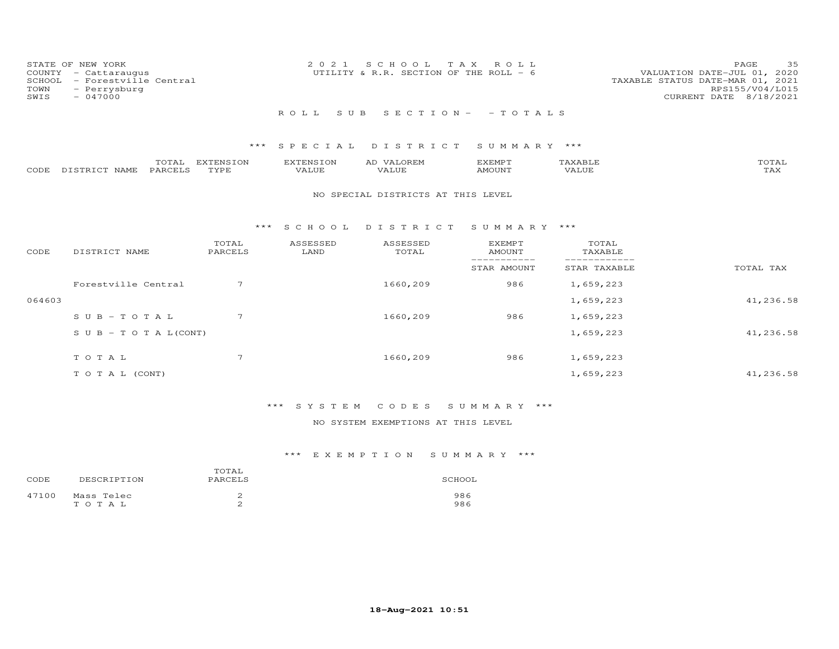| COUNTY<br>SCHOOL<br>TOWN<br>SWIS | STATE OF NEW YORK<br>- Cattaraugus<br>- Forestville Central<br>- Perrysburg<br>$-047000$ |                   | 2 0 2 1                   | S C H O O L<br>T A X<br>UTILITY & R.R. SECTION OF THE ROLL - 6 | ROLL                            |                             | 35<br>PAGE<br>VALUATION DATE-JUL 01, 2020<br>TAXABLE STATUS DATE-MAR 01, 2021<br>RPS155/V04/L015<br>CURRENT DATE 8/18/2021 |
|----------------------------------|------------------------------------------------------------------------------------------|-------------------|---------------------------|----------------------------------------------------------------|---------------------------------|-----------------------------|----------------------------------------------------------------------------------------------------------------------------|
|                                  |                                                                                          |                   | ROLL<br>S U B             |                                                                | $S E C T I O N - - T O T A L S$ |                             |                                                                                                                            |
|                                  |                                                                                          | ***               | SPECIAL                   | DISTRICT                                                       | SUMMARY ***                     |                             |                                                                                                                            |
| CODE                             | TOTAL<br>PARCELS<br>DISTRICT NAME                                                        | EXTENSION<br>TYPE | <b>EXTENSION</b><br>VALUE | AD VALOREM<br>VALUE                                            | <b>EXEMPT</b><br><b>AMOUNT</b>  | TAXABLE<br>VALUE            | TOTAL<br>TAX                                                                                                               |
|                                  |                                                                                          |                   |                           | NO SPECIAL DISTRICTS AT THIS LEVEL                             |                                 |                             |                                                                                                                            |
|                                  |                                                                                          | ***               | S C H O O L               | DISTRICT                                                       | SUMMARY ***                     |                             |                                                                                                                            |
| CODE                             | DISTRICT NAME                                                                            | TOTAL<br>PARCELS  | ASSESSED<br>LAND          | ASSESSED<br>TOTAL                                              | <b>EXEMPT</b><br><b>AMOUNT</b>  | TOTAL<br>TAXABLE            |                                                                                                                            |
|                                  |                                                                                          |                   |                           |                                                                | -----------<br>STAR AMOUNT      | ___________<br>STAR TAXABLE | TOTAL TAX                                                                                                                  |
|                                  | Forestville Central                                                                      | 7                 |                           | 1660,209                                                       | 986                             | 1,659,223                   |                                                                                                                            |
| 064603                           |                                                                                          |                   |                           |                                                                |                                 | 1,659,223                   | 41,236.58                                                                                                                  |
|                                  | $S \cup B - T \cup T A L$                                                                | 7                 |                           | 1660,209                                                       | 986                             | 1,659,223                   |                                                                                                                            |
|                                  | $S \cup B - T \cup T A L (CONT)$                                                         |                   |                           |                                                                |                                 | 1,659,223                   | 41,236.58                                                                                                                  |
|                                  | TOTAL                                                                                    | $\overline{7}$    |                           | 1660,209                                                       | 986                             | 1,659,223                   |                                                                                                                            |

# \*\*\* S Y S T E M C O D E S S U M M A R Y \*\*\*

## NO SYSTEM EXEMPTIONS AT THIS LEVEL

T O T A L (CONT) 41, 236.58

| CODE  | DESCRIPTION         | TOTAL<br>PARCELS | SCHOOL     |
|-------|---------------------|------------------|------------|
| 47100 | Mass Telec<br>тотац |                  | 986<br>986 |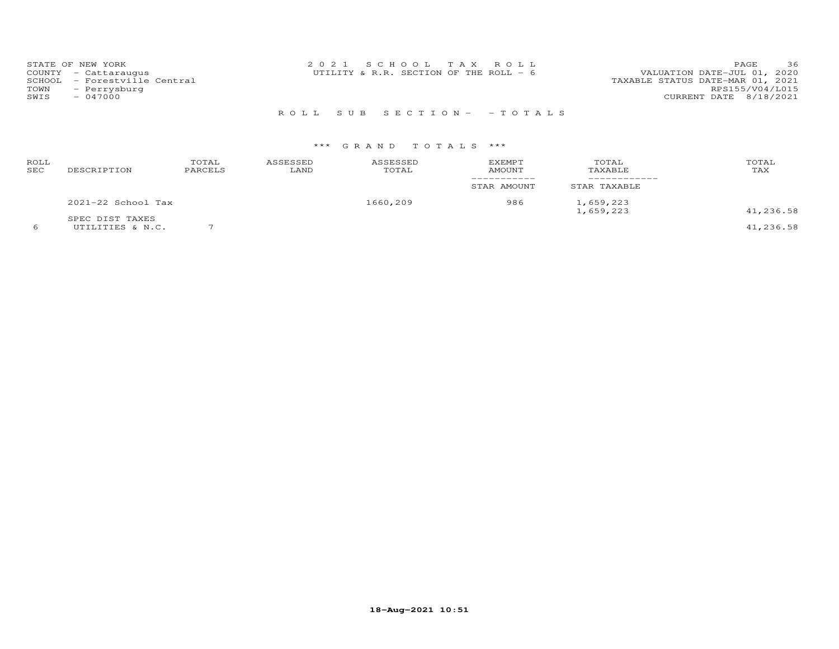| STATE OF NEW YORK            | 2021 SCHOOL TAX ROLL                    | 36<br><b>PAGE</b>                |
|------------------------------|-----------------------------------------|----------------------------------|
| COUNTY - Cattaraugus         | UTILITY & R.R. SECTION OF THE ROLL $-6$ | VALUATION DATE-JUL 01, 2020      |
| SCHOOL - Forestville Central |                                         | TAXABLE STATUS DATE-MAR 01, 2021 |
| TOWN<br>- Perrysburg         |                                         | RPS155/V04/L015                  |
| SWIS<br>$-047000$            |                                         | CURRENT DATE 8/18/2021           |
|                              |                                         |                                  |

# R O L L S U B S E C T I O N - - T O T A L S

# \*\*\* G R A N D T O T A L S \*\*\*

| ROLL<br>SEC | DESCRIPTION                         | TOTAL<br>PARCELS | ASSESSED<br>LAND | ASSESSED<br>TOTAL | <b>EXEMPT</b><br>AMOUNT | TOTAL<br>TAXABLE       | TOTAL<br>TAX |
|-------------|-------------------------------------|------------------|------------------|-------------------|-------------------------|------------------------|--------------|
|             |                                     |                  |                  |                   | STAR AMOUNT             | STAR TAXABLE           |              |
|             | 2021-22 School Tax                  |                  |                  | 1660,209          | 986                     | 1,659,223<br>1,659,223 | 41,236.58    |
|             | SPEC DIST TAXES<br>UTILITIES & N.C. |                  |                  |                   |                         |                        | 41,236.58    |

**18-Aug-2021 10:51**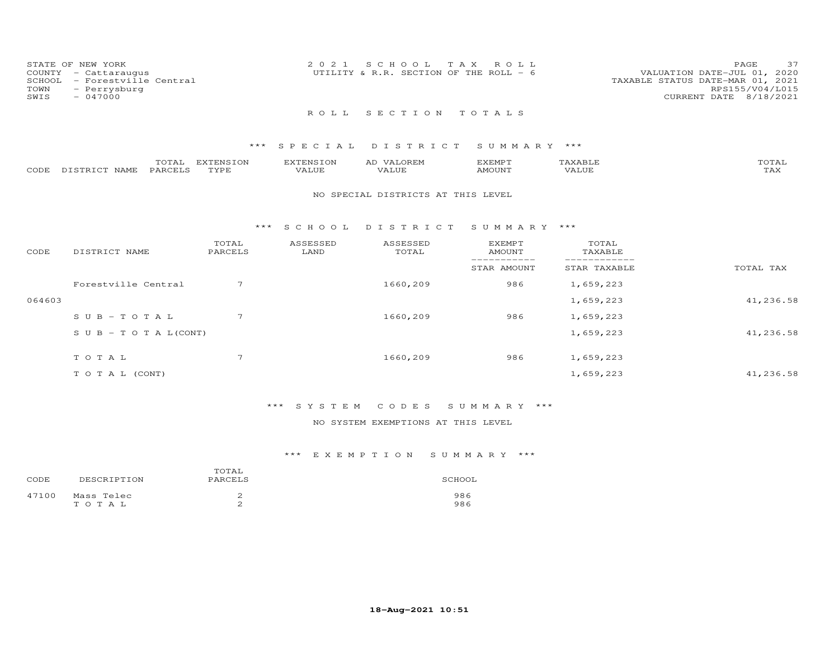| STATE OF NEW YORK            | 2021 SCHOOL TAX ROLL                   | 37<br>PAGE                       |
|------------------------------|----------------------------------------|----------------------------------|
| $COUNTY - Cattarauqus$       | UTILITY & R.R. SECTION OF THE ROLL - 6 | VALUATION DATE-JUL 01, 2020      |
| SCHOOL - Forestville Central |                                        | TAXABLE STATUS DATE-MAR 01, 2021 |
| TOWN<br>- Perrysburg         |                                        | RPS155/V04/L015                  |
| SWIS<br>$-047000$            |                                        | CURRENT DATE 8/18/2021           |
|                              |                                        |                                  |

## R O L L S E C T I O N T O T A L S

## \*\*\* S P E C I A L D I S T R I C T S U M M A R Y \*\*\*

|      |                   | $m \wedge m$ | propose to all<br>EN S | EXTENSION | АL   | EXEMPT | AXABLL" | momm.<br>UIAL       |
|------|-------------------|--------------|------------------------|-----------|------|--------|---------|---------------------|
| CODE | NAME<br>DISTRICT. | _ PARCEII    | TVDI                   | VALUE     | ALUE | NOUNT  | 'ALUE   | $m \times r$<br>⊥ 冖 |

#### NO SPECIAL DISTRICTS AT THIS LEVEL

#### \*\*\* S C H O O L D I S T R I C T S U M M A R Y \*\*\*

| CODE   | DISTRICT NAME                    | TOTAL<br>PARCELS | ASSESSED<br>LAND | ASSESSED<br>TOTAL | <b>EXEMPT</b><br>AMOUNT | TOTAL<br>TAXABLE |           |
|--------|----------------------------------|------------------|------------------|-------------------|-------------------------|------------------|-----------|
|        |                                  |                  |                  |                   | STAR AMOUNT             | STAR TAXABLE     | TOTAL TAX |
|        | Forestville Central              | 7                |                  | 1660,209          | 986                     | 1,659,223        |           |
| 064603 |                                  |                  |                  |                   |                         | 1,659,223        | 41,236.58 |
|        | $SUB - TO T AL$                  | 7                |                  | 1660,209          | 986                     | 1,659,223        |           |
|        | $S \cup B - T \cup T A L (CONT)$ |                  |                  |                   |                         | 1,659,223        | 41,236.58 |
|        | TOTAL                            | 7                |                  | 1660,209          | 986                     | 1,659,223        |           |
|        | T O T A L (CONT)                 |                  |                  |                   |                         | 1,659,223        | 41,236.58 |

## \*\*\* S Y S T E M C O D E S S U M M A R Y \*\*\*

## NO SYSTEM EXEMPTIONS AT THIS LEVEL

| CODE  | DESCRIPTION         | TOTAL<br>PARCELS | SCHOOL     |
|-------|---------------------|------------------|------------|
| 47100 | Mass Telec<br>тотац |                  | 986<br>986 |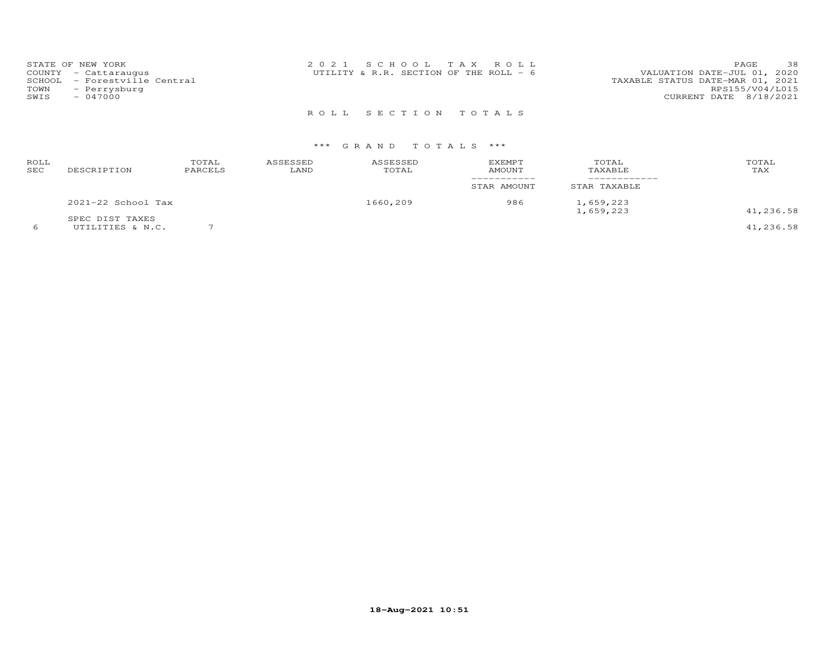| STATE OF NEW YORK<br>COUNTY - Cattaraugus<br>SCHOOL - Forestville Central<br>TOWN<br>- Perrysburg | 2021 SCHOOL TAX ROLL<br>UTILITY & R.R. SECTION OF THE ROLL $-6$ | 38<br>PAGE<br>VALUATION DATE-JUL 01, 2020<br>TAXABLE STATUS DATE-MAR 01, 2021<br>RPS155/V04/L015 |
|---------------------------------------------------------------------------------------------------|-----------------------------------------------------------------|--------------------------------------------------------------------------------------------------|
| SWIS<br>- 047000                                                                                  |                                                                 | CURRENT DATE 8/18/2021                                                                           |

R O L L S E C T I O N T O T A L S

# \*\*\* G R A N D T O T A L S \*\*\*

| ROLL<br>SEC | DESCRIPTION                         | TOTAL<br>PARCELS | ASSESSED<br>LAND | ASSESSED<br>TOTAL | <b>EXEMPT</b><br><b>AMOUNT</b> | TOTAL<br>TAXABLE             | TOTAL<br>TAX |
|-------------|-------------------------------------|------------------|------------------|-------------------|--------------------------------|------------------------------|--------------|
|             |                                     |                  |                  |                   | -----------<br>STAR AMOUNT     | ------------<br>STAR TAXABLE |              |
|             | 2021-22 School Tax                  |                  |                  | 1660,209          | 986                            | 1,659,223<br>1,659,223       | 41,236.58    |
|             | SPEC DIST TAXES<br>UTILITIES & N.C. |                  |                  |                   |                                |                              | 41,236.58    |

**18-Aug-2021 10:51**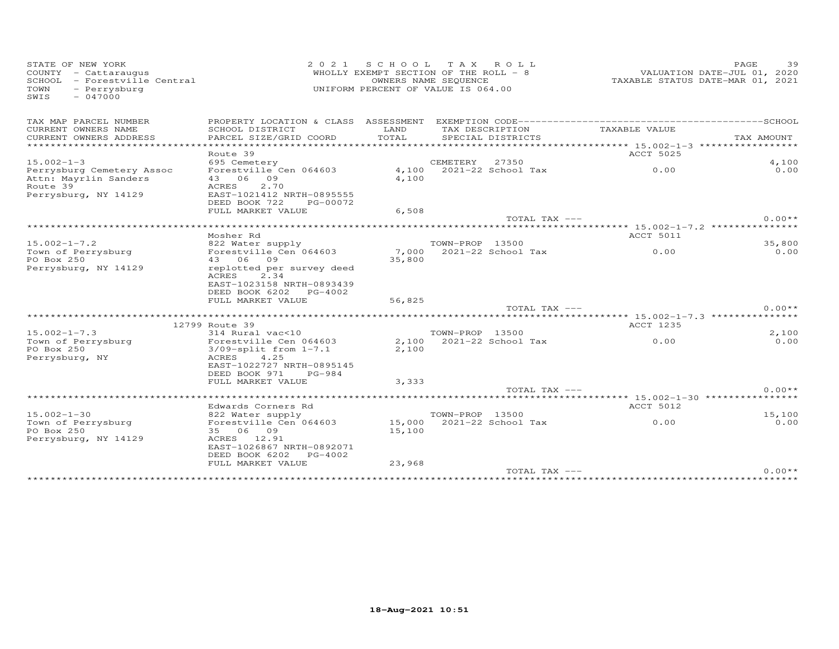| STATE OF NEW YORK<br>COUNTY - Cattaraugus<br>SCHOOL - Forestville Central<br>- Perrysburg<br>TOWN<br>$-047000$<br>SWIS | 2 0 2 1<br>WHOLLY EXEMPT SECTION OF THE ROLL - 8<br>UNIFORM PERCENT OF VALUE IS 064.00 |        | PAGE<br>39<br>VALUATION DATE-JUL 01, 2020<br>TAXABLE STATUS DATE-MAR 01, 2021 |                                 |                                    |
|------------------------------------------------------------------------------------------------------------------------|----------------------------------------------------------------------------------------|--------|-------------------------------------------------------------------------------|---------------------------------|------------------------------------|
| TAX MAP PARCEL NUMBER                                                                                                  |                                                                                        |        |                                                                               |                                 |                                    |
| CURRENT OWNERS NAME                                                                                                    | SCHOOL DISTRICT                                                                        | LAND   | TAX DESCRIPTION                                                               | TAXABLE VALUE                   |                                    |
| CURRENT OWNERS ADDRESS<br>***********************                                                                      | PARCEL SIZE/GRID COORD                                                                 | TOTAL  | SPECIAL DISTRICTS                                                             |                                 | TAX AMOUNT                         |
|                                                                                                                        | Route 39                                                                               |        |                                                                               | <b>ACCT 5025</b>                |                                    |
| $15.002 - 1 - 3$                                                                                                       | 695 Cemetery                                                                           |        | CEMETERY<br>27350                                                             |                                 | 4,100                              |
| Perrysburg Cemetery Assoc                                                                                              | Forestville Cen 064603                                                                 |        | 4,100 2021-22 School Tax                                                      | 0.00                            | 0.00                               |
| Attn: Mayrlin Sanders                                                                                                  | 43 06 09                                                                               | 4,100  |                                                                               |                                 |                                    |
| Route 39                                                                                                               | ACRES<br>2,70                                                                          |        |                                                                               |                                 |                                    |
| Perrysburg, NY 14129                                                                                                   | EAST-1021412 NRTH-0895555                                                              |        |                                                                               |                                 |                                    |
|                                                                                                                        | DEED BOOK 722<br>PG-00072                                                              |        |                                                                               |                                 |                                    |
|                                                                                                                        | FULL MARKET VALUE                                                                      | 6,508  |                                                                               |                                 | $0.00**$                           |
|                                                                                                                        |                                                                                        |        | TOTAL TAX ---                                                                 |                                 |                                    |
|                                                                                                                        | Mosher Rd                                                                              |        |                                                                               | <b>ACCT 5011</b>                |                                    |
| $15.002 - 1 - 7.2$                                                                                                     | 822 Water supply                                                                       |        | TOWN-PROP 13500                                                               |                                 | 35,800                             |
| Town of Perrysburg                                                                                                     | Forestville Cen 064603                                                                 | 7,000  | $2021 - 22$ School Tax                                                        | 0.00                            | 0.00                               |
| PO Box 250                                                                                                             | 43 06<br>09                                                                            | 35,800 |                                                                               |                                 |                                    |
| Perrysburg, NY 14129                                                                                                   | replotted per survey deed                                                              |        |                                                                               |                                 |                                    |
|                                                                                                                        | <b>ACRES</b><br>2.34                                                                   |        |                                                                               |                                 |                                    |
|                                                                                                                        | EAST-1023158 NRTH-0893439                                                              |        |                                                                               |                                 |                                    |
|                                                                                                                        | DEED BOOK 6202<br>PG-4002                                                              |        |                                                                               |                                 |                                    |
|                                                                                                                        | FULL MARKET VALUE                                                                      | 56,825 | TOTAL TAX ---                                                                 |                                 | $0.00**$                           |
|                                                                                                                        | ***********************                                                                |        |                                                                               |                                 | ***** 15.002-1-7.3 *************** |
|                                                                                                                        | 12799 Route 39                                                                         |        |                                                                               | ACCT 1235                       |                                    |
| $15.002 - 1 - 7.3$                                                                                                     | 314 Rural vac<10                                                                       |        | TOWN-PROP 13500                                                               |                                 | 2,100                              |
| Town of Perrysburg                                                                                                     | Forestville Cen 064603                                                                 | 2,100  | 2021-22 School Tax                                                            | 0.00                            | 0.00                               |
| PO Box 250                                                                                                             | $3/09$ -split from $1-7.1$                                                             | 2,100  |                                                                               |                                 |                                    |
| Perrysburg, NY                                                                                                         | <b>ACRES</b><br>4.25                                                                   |        |                                                                               |                                 |                                    |
|                                                                                                                        | EAST-1022727 NRTH-0895145                                                              |        |                                                                               |                                 |                                    |
|                                                                                                                        | DEED BOOK 971<br>PG-984                                                                |        |                                                                               |                                 |                                    |
|                                                                                                                        | FULL MARKET VALUE                                                                      | 3,333  | TOTAL TAX ---                                                                 |                                 | $0.00**$                           |
|                                                                                                                        |                                                                                        |        |                                                                               | ***** 15.002-1-30 ************* |                                    |
|                                                                                                                        | Edwards Corners Rd                                                                     |        |                                                                               | <b>ACCT 5012</b>                |                                    |
| $15.002 - 1 - 30$                                                                                                      | 822 Water supply                                                                       |        | TOWN-PROP 13500                                                               |                                 | 15,100                             |
| Town of Perrysburg                                                                                                     | Forestville Cen 064603                                                                 |        | 15,000 2021-22 School Tax                                                     | 0.00                            | 0.00                               |
| PO Box 250                                                                                                             | 35 06 09                                                                               | 15,100 |                                                                               |                                 |                                    |
| Perrysburg, NY 14129                                                                                                   | ACRES<br>12.91                                                                         |        |                                                                               |                                 |                                    |
|                                                                                                                        | EAST-1026867 NRTH-0892071                                                              |        |                                                                               |                                 |                                    |
|                                                                                                                        | DEED BOOK 6202<br>PG-4002                                                              |        |                                                                               |                                 |                                    |
|                                                                                                                        | FULL MARKET VALUE                                                                      | 23,968 | TOTAL TAX ---                                                                 |                                 | $0.00**$                           |
|                                                                                                                        |                                                                                        |        |                                                                               |                                 |                                    |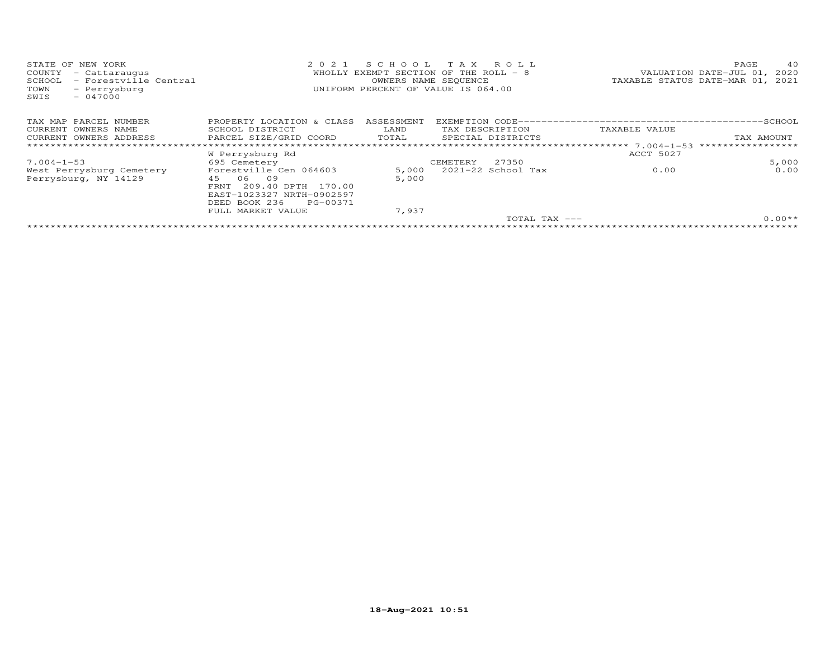| STATE OF NEW YORK<br>COUNTY<br>- Cattaraugus<br>SCHOOL<br>- Forestville Central<br>TOWN<br>- Perrysburg<br>$-047000$<br>SWIS | 2021                                                                                                                                               | S C H O O L<br>WHOLLY EXEMPT SECTION OF THE ROLL $-8$<br>OWNERS NAME SEQUENCE<br>UNIFORM PERCENT OF VALUE IS 064.00 | T A X           | ROLL                   |                                  | TAXABLE STATUS DATE-MAR 01, 2021 | PAGE<br>VALUATION DATE-JUL 01, 2020 | 40       |
|------------------------------------------------------------------------------------------------------------------------------|----------------------------------------------------------------------------------------------------------------------------------------------------|---------------------------------------------------------------------------------------------------------------------|-----------------|------------------------|----------------------------------|----------------------------------|-------------------------------------|----------|
| TAX MAP PARCEL NUMBER                                                                                                        | PROPERTY LOCATION & CLASS                                                                                                                          | ASSESSMENT                                                                                                          |                 |                        |                                  |                                  |                                     |          |
| CURRENT OWNERS NAME                                                                                                          | SCHOOL DISTRICT                                                                                                                                    | LAND                                                                                                                | TAX DESCRIPTION |                        |                                  | TAXABLE VALUE                    |                                     |          |
| CURRENT OWNERS ADDRESS                                                                                                       | PARCEL SIZE/GRID COORD                                                                                                                             | TOTAL<br>SPECIAL DISTRICTS                                                                                          |                 |                        |                                  | TAX AMOUNT                       |                                     |          |
|                                                                                                                              |                                                                                                                                                    | ******************************                                                                                      |                 |                        | ********************* 7.004-1-53 |                                  |                                     |          |
|                                                                                                                              | W Perrysburg Rd                                                                                                                                    |                                                                                                                     |                 |                        |                                  | ACCT 5027                        |                                     |          |
| $7.004 - 1 - 53$                                                                                                             | 695 Cemetery                                                                                                                                       |                                                                                                                     | CEMETERY        | 27350                  |                                  |                                  |                                     | 5,000    |
| West Perrysburg Cemetery<br>Perrysburg, NY 14129                                                                             | Forestville Cen 064603<br>45 06<br>09<br>209.40 DPTH 170.00<br>FRNT<br>EAST-1023327 NRTH-0902597<br>DEED BOOK 236<br>PG-00371<br>FULL MARKET VALUE | 5,000<br>5,000<br>7,937                                                                                             |                 | $2021 - 22$ School Tax |                                  | 0.00                             |                                     | 0.00     |
|                                                                                                                              |                                                                                                                                                    |                                                                                                                     |                 |                        | $TOTAI. TAX ---$                 |                                  |                                     | $0.00**$ |
|                                                                                                                              |                                                                                                                                                    |                                                                                                                     |                 |                        |                                  |                                  |                                     |          |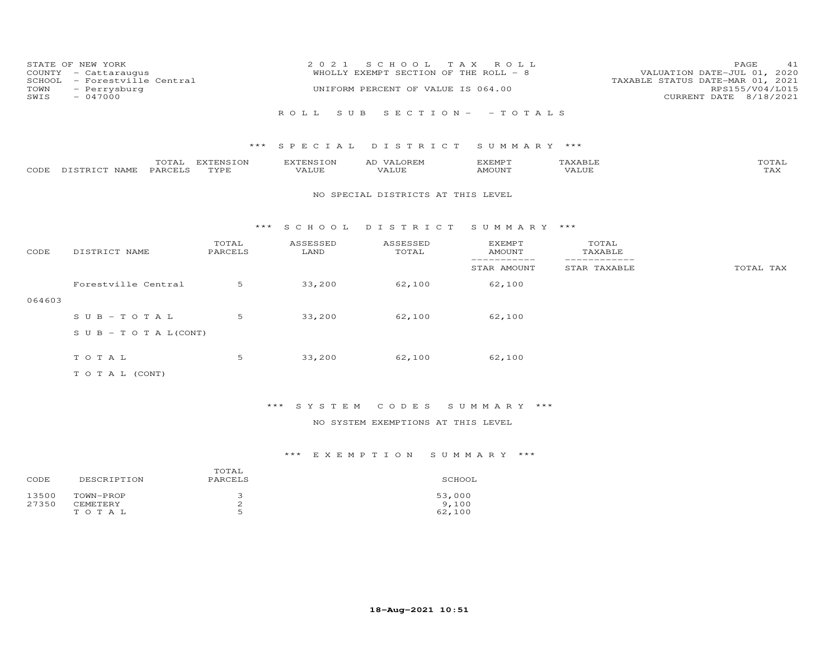| SCHOOL<br>TOWN<br>SWIS | STATE OF NEW YORK<br>COUNTY - Cattaraugus<br>- Forestville Central<br>- Perrysburg<br>$-047000$ |                   | 2 0 2 1                          | S C H O O L<br>WHOLLY EXEMPT SECTION OF THE ROLL - 8<br>UNIFORM PERCENT OF VALUE IS 064.00 | T A X<br>ROLL                   |                               | 41<br>PAGE<br>VALUATION DATE-JUL 01, 2020<br>TAXABLE STATUS DATE-MAR 01, 2021<br>RPS155/V04/L015<br>CURRENT DATE 8/18/2021 |
|------------------------|-------------------------------------------------------------------------------------------------|-------------------|----------------------------------|--------------------------------------------------------------------------------------------|---------------------------------|-------------------------------|----------------------------------------------------------------------------------------------------------------------------|
|                        |                                                                                                 |                   | S U B<br>ROLL.                   |                                                                                            | $S E C T I O N - - T O T A L S$ |                               |                                                                                                                            |
|                        |                                                                                                 | ***               | SPECIAL                          | DISTRICT                                                                                   | SUMMARY ***                     |                               |                                                                                                                            |
| CODE                   | TOTAL<br>PARCELS<br>DISTRICT NAME                                                               | EXTENSION<br>TYPE | <b>EXTENSION</b><br><b>VALUE</b> | AD VALOREM<br><b>VALUE</b>                                                                 | <b>EXEMPT</b><br>AMOUNT         | TAXABLE<br><b>VALUE</b>       | TOTAL<br>TAX                                                                                                               |
|                        |                                                                                                 |                   |                                  | NO SPECIAL DISTRICTS AT THIS LEVEL                                                         |                                 |                               |                                                                                                                            |
|                        |                                                                                                 | $***$             | S C H O O L                      | DISTRICT                                                                                   | SUMMARY ***                     |                               |                                                                                                                            |
| CODE                   | DISTRICT NAME                                                                                   | TOTAL<br>PARCELS  | ASSESSED<br>LAND                 | ASSESSED<br>TOTAL                                                                          | <b>EXEMPT</b><br><b>AMOUNT</b>  | TOTAL<br>TAXABLE              |                                                                                                                            |
|                        |                                                                                                 |                   |                                  |                                                                                            | -----------<br>STAR AMOUNT      | -------------<br>STAR TAXABLE | TOTAL TAX                                                                                                                  |
|                        | Forestville Central                                                                             | 5                 | 33,200                           | 62,100                                                                                     | 62,100                          |                               |                                                                                                                            |
| 064603                 |                                                                                                 |                   |                                  |                                                                                            |                                 |                               |                                                                                                                            |
|                        | $SUB - TO T AL$                                                                                 | 5                 | 33,200                           | 62,100                                                                                     | 62,100                          |                               |                                                                                                                            |
|                        | S U B - T O T A $L$ (CONT)                                                                      |                   |                                  |                                                                                            |                                 |                               |                                                                                                                            |
|                        | TOTAL                                                                                           | 5                 | 33,200                           | 62,100                                                                                     | 62,100                          |                               |                                                                                                                            |
|                        | TO TAL (CONT)                                                                                   |                   |                                  |                                                                                            |                                 |                               |                                                                                                                            |

# \*\*\* S Y S T E M C O D E S S U M M A R Y \*\*\*

## NO SYSTEM EXEMPTIONS AT THIS LEVEL

| CODE           | DESCRIPTION                  | TOTAL<br>PARCELS              | SCHOOL          |
|----------------|------------------------------|-------------------------------|-----------------|
| 13500<br>27350 | TOWN-PROP<br><b>CEMETERY</b> | ت<br>∠                        | 53,000<br>9,100 |
|                | TOTAL                        | $\overline{\phantom{0}}$<br>∽ | 62,100          |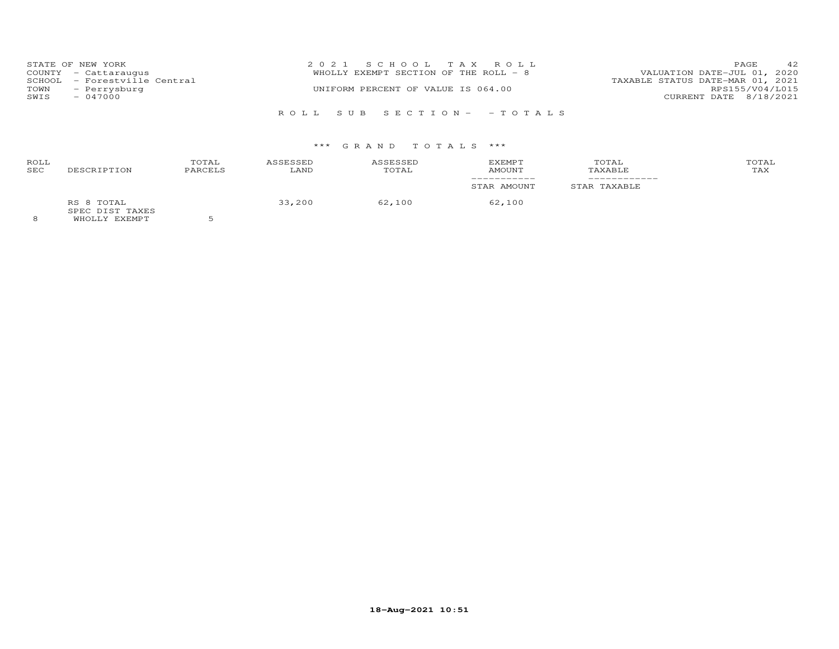|      | STATE OF NEW YORK            | 2021 SCHOOL TAX ROLL                                                 | PAGE                   | 42 |
|------|------------------------------|----------------------------------------------------------------------|------------------------|----|
|      | COUNTY - Cattaraugus         | VALUATION DATE-JUL 01, 2020<br>WHOLLY EXEMPT SECTION OF THE ROLL - 8 |                        |    |
|      | SCHOOL - Forestville Central | TAXABLE STATUS DATE-MAR 01, 2021                                     |                        |    |
| TOWN | - Perrysburg                 | UNIFORM PERCENT OF VALUE IS 064.00                                   | RPS155/V04/L015        |    |
| SWIS | $-047000$                    |                                                                      | CURRENT DATE 8/18/2021 |    |
|      |                              |                                                                      |                        |    |
|      |                              | ROLL SUB SECTION- - TOTALS                                           |                        |    |

| ROLL<br>SEC | DESCRIPTION                                           | TOTAL<br>PARCELS | ASSESSED<br>LAND | ASSESSED<br>TOTAL | <b>EXEMPT</b><br>AMOUNT | TOTAL<br>TAXABLE | TOTAL<br>TAX |
|-------------|-------------------------------------------------------|------------------|------------------|-------------------|-------------------------|------------------|--------------|
|             |                                                       |                  |                  |                   | STAR AMOUNT             | STAR TAXABLE     |              |
|             | RS 8 TOTAL<br>SPEC DIST TAXES<br><b>WUOTIV EVEMBT</b> |                  | 33,200           | 62,100            | 62,100                  |                  |              |

8 WHOLLY EXEMPT 5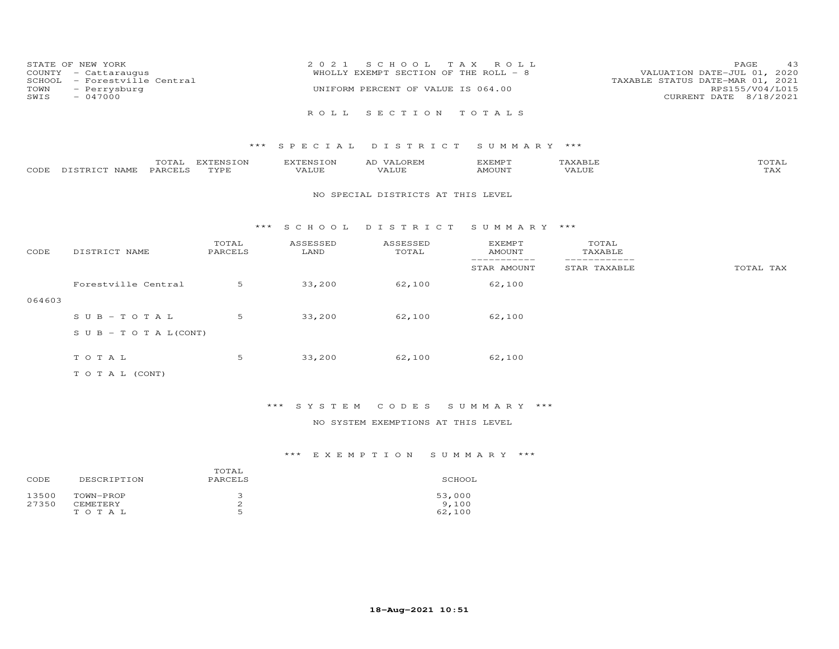| STATE OF NEW YORK            | 2021 SCHOOL TAX ROLL                  | -43<br><b>PAGE</b>               |
|------------------------------|---------------------------------------|----------------------------------|
| COUNTY - Cattaraugus         | WHOLLY EXEMPT SECTION OF THE ROLL - 8 | VALUATION DATE-JUL 01, 2020      |
| SCHOOL - Forestville Central |                                       | TAXABLE STATUS DATE-MAR 01, 2021 |
| TOWN - Perrysburg            | UNIFORM PERCENT OF VALUE IS 064.00    | RPS155/V04/L015                  |
| SWIS<br>$-047000$            |                                       | CURRENT DATE 8/18/2021           |
|                              |                                       |                                  |
|                              | ROLL SECTION TOTALS                   |                                  |

|      |                          | $m \wedge m$<br>TAT<br>$\sim$ | EXTENSION | ∡ CENCTO ** | KEMP 1                               |     | $m \wedge m \wedge n$<br>UTAL |
|------|--------------------------|-------------------------------|-----------|-------------|--------------------------------------|-----|-------------------------------|
| CODE | NAME.<br>$T \cap T$<br>. | PARCELS                       | TVDF      | .           | 35027377<br>$\overline{\mathcal{M}}$ | 7 A | ∟ ∠−∡∡ ∢                      |

#### NO SPECIAL DISTRICTS AT THIS LEVEL

#### \*\*\* S C H O O L D I S T R I C T S U M M A R Y \*\*\*

| CODE   | DISTRICT NAME                    | TOTAL<br>PARCELS | ASSESSED<br>LAND | ASSESSED<br>TOTAL | <b>EXEMPT</b><br><b>AMOUNT</b> | TOTAL<br>TAXABLE |           |
|--------|----------------------------------|------------------|------------------|-------------------|--------------------------------|------------------|-----------|
|        |                                  |                  |                  |                   | STAR AMOUNT                    | STAR TAXABLE     | TOTAL TAX |
|        | Forestville Central              | 5                | 33,200           | 62,100            | 62,100                         |                  |           |
| 064603 |                                  |                  |                  |                   |                                |                  |           |
|        | $SUB - TO T AL$                  | 5                | 33,200           | 62,100            | 62,100                         |                  |           |
|        | $S \cup B - T \cup T A L (CONT)$ |                  |                  |                   |                                |                  |           |
|        |                                  |                  |                  |                   |                                |                  |           |
|        | TOTAL                            | 5                | 33,200           | 62,100            | 62,100                         |                  |           |
|        | T O T A L (CONT)                 |                  |                  |                   |                                |                  |           |

# \*\*\* S Y S T E M C O D E S S U M M A R Y \*\*\*

## NO SYSTEM EXEMPTIONS AT THIS LEVEL

| CODE           | DESCRIPTION     | TOTAL<br>PARCELS | SCHOOL |
|----------------|-----------------|------------------|--------|
| 13500<br>27350 | TOWN-PROP       |                  | 53,000 |
|                | <b>CEMETERY</b> | ∠                | 9,100  |
|                | TOTAL           | ς                | 62,100 |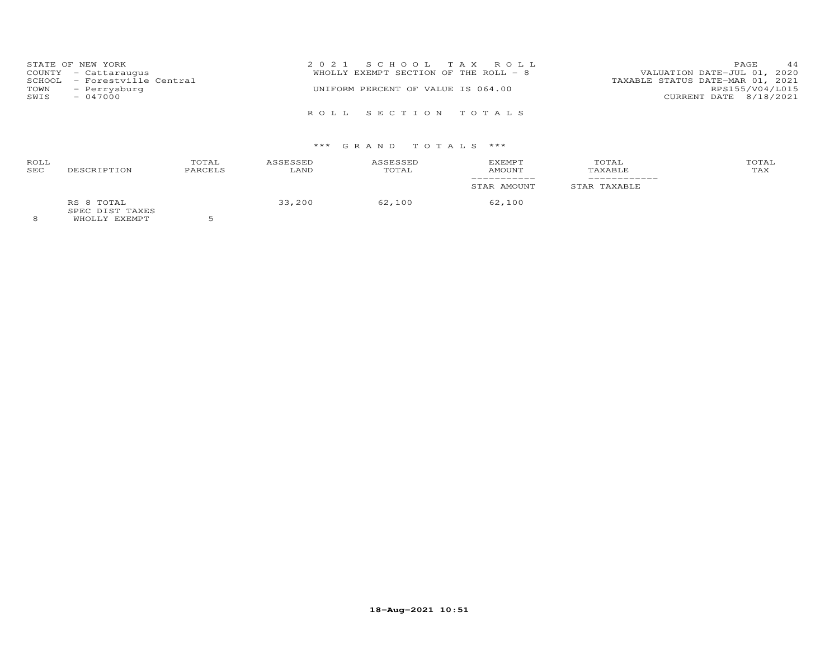| TOWN<br>SWIS | STATE OF NEW YORK<br>COUNTY - Cattaraugus<br>SCHOOL - Forestville Central<br>- Perrysburg<br>$-047000$ | 2021 SCHOOL TAX ROLL<br>WHOLLY EXEMPT SECTION OF THE ROLL - 8<br>UNIFORM PERCENT OF VALUE IS 064.00 | 44<br>PAGE.<br>VALUATION DATE-JUL 01, 2020<br>TAXABLE STATUS DATE-MAR 01, 2021<br>RPS155/V04/L015<br>CURRENT DATE 8/18/2021 |
|--------------|--------------------------------------------------------------------------------------------------------|-----------------------------------------------------------------------------------------------------|-----------------------------------------------------------------------------------------------------------------------------|
|              |                                                                                                        | ROLL SECTION TOTALS                                                                                 |                                                                                                                             |

| ROLL<br><b>SEC</b> | DESCRIPTION                   | TOTAL<br>PARCELS | <b>ASSESSED</b><br>LAND | ASSESSED<br>TOTAL | <b>EXEMPT</b><br>AMOUNT | TOTAL<br>TAXABLE | TOTAL<br>TAX |
|--------------------|-------------------------------|------------------|-------------------------|-------------------|-------------------------|------------------|--------------|
|                    |                               |                  |                         |                   | STAR AMOUNT             | STAR TAXABLE     |              |
|                    | RS 8 TOTAL<br>SPEC DIST TAXES | $-$              | 33,200                  | 62,100            | 62,100                  |                  |              |

8 WHOLLY EXEMPT 5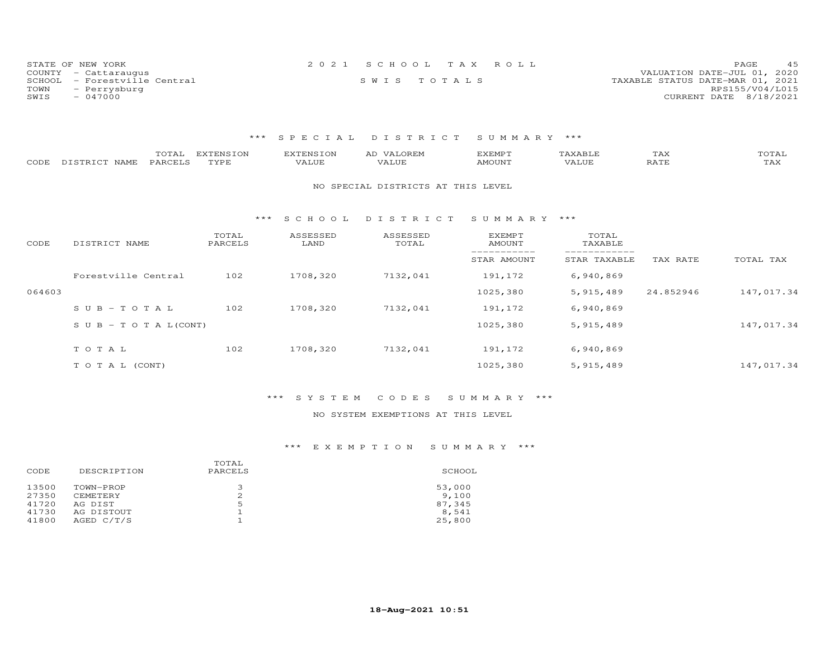| STATE OF NEW YORK            | 2021 SCHOOL TAX ROLL | 45<br>PAGE                       |
|------------------------------|----------------------|----------------------------------|
| COUNTY - Cattaraugus         |                      | VALUATION DATE-JUL 01, 2020      |
| SCHOOL - Forestville Central | SWIS TOTALS          | TAXABLE STATUS DATE-MAR 01, 2021 |
| TOWN<br>- Perrysburg         |                      | RPS155/V04/L015                  |
| SWIS<br>$-047000$            |                      | CURRENT DATE 8/18/2021           |

| CODE   | TOTAL<br>PARCELS<br>DISTRICT NAME | <b>EXTENSION</b><br>TYPE | <b>EXTENSION</b><br>VALUE | AD VALOREM<br>VALUE                | <b>EXEMPT</b><br>AMOUNT        | TAXABLE<br>VALUE | TAX<br>RATE | TOTAL<br>TAX |
|--------|-----------------------------------|--------------------------|---------------------------|------------------------------------|--------------------------------|------------------|-------------|--------------|
|        |                                   |                          |                           | NO SPECIAL DISTRICTS AT THIS LEVEL |                                |                  |             |              |
|        |                                   | ***                      | S C H O O L               | DISTRICT                           | SUMMARY ***                    |                  |             |              |
| CODE   | DISTRICT NAME                     | TOTAL<br>PARCELS         | ASSESSED<br>LAND          | ASSESSED<br>TOTAL                  | <b>EXEMPT</b><br><b>AMOUNT</b> | TOTAL<br>TAXABLE |             |              |
|        |                                   |                          |                           |                                    | STAR AMOUNT                    | STAR TAXABLE     | TAX RATE    | TOTAL TAX    |
|        | Forestville Central               | 102                      | 1708,320                  | 7132,041                           | 191,172                        | 6,940,869        |             |              |
| 064603 |                                   |                          |                           |                                    | 1025,380                       | 5, 915, 489      | 24.852946   | 147,017.34   |
|        | $SUB - TO T AL$                   | 102                      | 1708,320                  | 7132,041                           | 191,172                        | 6,940,869        |             |              |
|        | $S \cup B - T \cup T A L (CONT)$  |                          |                           |                                    | 1025,380                       | 5, 915, 489      |             | 147,017.34   |
|        | TOTAL                             | 102                      | 1708,320                  | 7132,041                           | 191,172                        | 6,940,869        |             |              |
|        | TO TAL (CONT)                     |                          |                           |                                    | 1025,380                       | 5, 915, 489      |             | 147,017.34   |

## \*\*\* S Y S T E M C O D E S S U M M A R Y \*\*\*

## NO SYSTEM EXEMPTIONS AT THIS LEVEL

| DESCRIPTION<br>CODE                                                                                              | TOTAL<br>PARCELS | SCHOOL                                       |
|------------------------------------------------------------------------------------------------------------------|------------------|----------------------------------------------|
| 13500<br>TOWN-PROP<br>27350<br><b>CEMETERY</b><br>41720<br>AG DIST<br>41730<br>AG DISTOUT<br>AGED C/T/S<br>41800 | 2<br>5           | 53,000<br>9,100<br>87,345<br>8,541<br>25,800 |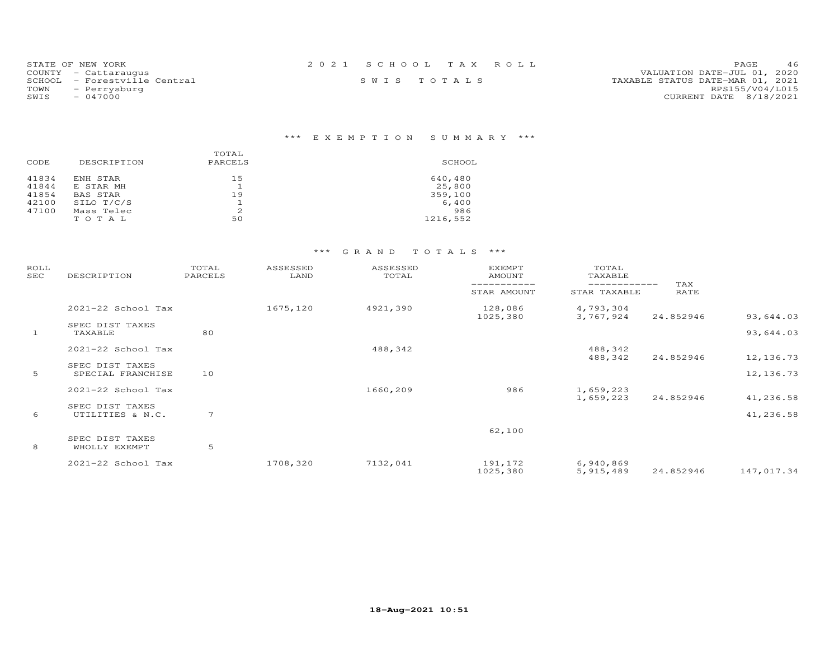| STATE OF NEW YORK            | 2021 SCHOOL TAX ROLL |  | 46<br>PAGE                       |
|------------------------------|----------------------|--|----------------------------------|
| COUNTY - Cattaraugus         |                      |  | VALUATION DATE-JUL 01, 2020      |
| SCHOOL - Forestville Central | SWIS TOTALS          |  | TAXABLE STATUS DATE-MAR 01, 2021 |
| TOWN<br>- Perrysburg         |                      |  | RPS155/V04/L015                  |
| SWIS<br>- 047000             |                      |  | CURRENT DATE 8/18/2021           |

# \*\*\* E X E M P T I O N S U M M A R Y \*\*\*

|       |             | TOTAL   |          |
|-------|-------------|---------|----------|
| CODE  | DESCRIPTION | PARCELS | SCHOOL   |
| 41834 | ENH STAR    | 15      | 640,480  |
| 41844 | E STAR MH   | ᆂ       | 25,800   |
| 41854 | BAS STAR    | 19      | 359,100  |
| 42100 | SILO T/C/S  | ᅩ       | 6,400    |
| 47100 | Mass Telec  | 2       | 986      |
|       | TOTAL       | 50      | 1216,552 |

| ROLL<br>SEC  | DESCRIPTION                          | TOTAL<br>PARCELS | ASSESSED<br>LAND | ASSESSED<br>TOTAL | EXEMPT<br>AMOUNT    |                              |             |            |
|--------------|--------------------------------------|------------------|------------------|-------------------|---------------------|------------------------------|-------------|------------|
|              |                                      |                  |                  |                   | STAR AMOUNT         | ------------<br>STAR TAXABLE | TAX<br>RATE |            |
|              | 2021-22 School Tax                   |                  | 1675,120         | 4921,390          | 128,086<br>1025,380 | 4,793,304<br>3,767,924       | 24.852946   | 93,644.03  |
| $\mathbf{1}$ | SPEC DIST TAXES<br>TAXABLE           | 80               |                  |                   |                     |                              |             | 93,644.03  |
|              | 2021-22 School Tax                   |                  |                  | 488,342           |                     | 488,342<br>488,342           | 24.852946   | 12, 136.73 |
| 5            | SPEC DIST TAXES<br>SPECIAL FRANCHISE | 10               |                  |                   |                     |                              |             | 12,136.73  |
|              | 2021-22 School Tax                   |                  |                  | 1660,209          | 986                 | 1,659,223<br>1,659,223       | 24.852946   | 41,236.58  |
| 6            | SPEC DIST TAXES<br>UTILITIES & N.C.  | 7                |                  |                   |                     |                              |             | 41,236.58  |
| 8            | SPEC DIST TAXES<br>WHOLLY EXEMPT     | 5                |                  |                   | 62,100              |                              |             |            |
|              | 2021-22 School Tax                   |                  | 1708,320         | 7132,041          | 191,172<br>1025,380 | 6,940,869<br>5, 915, 489     | 24.852946   | 147,017.34 |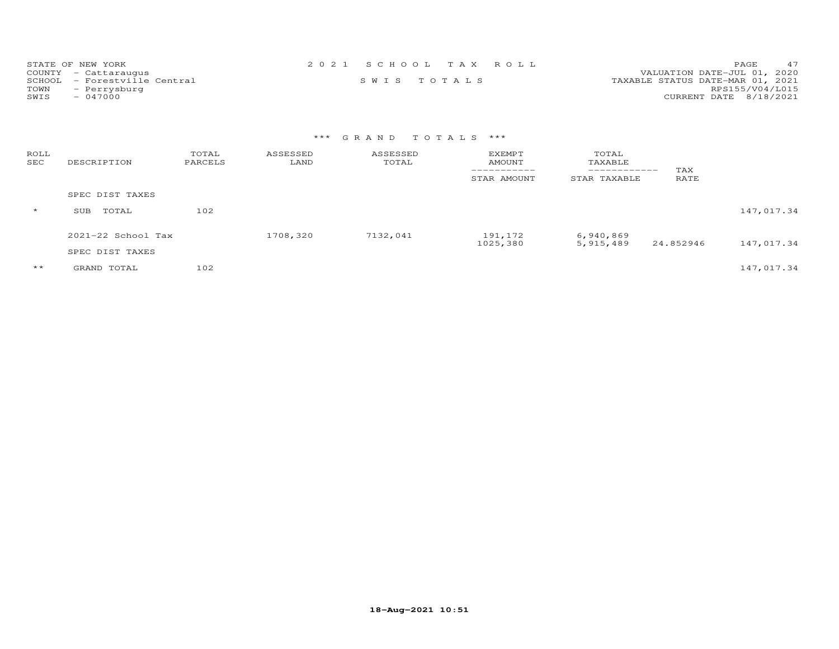| STATE OF NEW YORK            | 2021 SCHOOL TAX ROLL | 47<br><b>PAGE</b>                |
|------------------------------|----------------------|----------------------------------|
| COUNTY - Cattaraugus         |                      | VALUATION DATE-JUL 01, 2020      |
| SCHOOL - Forestville Central | SWIS TOTALS          | TAXABLE STATUS DATE-MAR 01, 2021 |
| TOWN<br>- Perrysburg         |                      | RPS155/V04/L015                  |
| - 047000<br>SWIS             |                      | CURRENT DATE 8/18/2021           |

| ROLL<br>SEC  | DESCRIPTION            | TOTAL<br>PARCELS | ASSESSED<br>LAND | ASSESSED<br>TOTAL | <b>EXEMPT</b><br>AMOUNT<br>STAR AMOUNT | TOTAL<br>TAXABLE<br>------------<br>STAR TAXABLE | TAX<br>RATE |            |
|--------------|------------------------|------------------|------------------|-------------------|----------------------------------------|--------------------------------------------------|-------------|------------|
|              | SPEC DIST TAXES        |                  |                  |                   |                                        |                                                  |             |            |
| $\star$      | TOTAL<br>SUB           | 102              |                  |                   |                                        |                                                  |             | 147,017.34 |
|              | $2021 - 22$ School Tax |                  | 1708,320         | 7132,041          | 191,172<br>1025,380                    | 6,940,869<br>5,915,489                           | 24.852946   | 147,017.34 |
|              | SPEC DIST TAXES        |                  |                  |                   |                                        |                                                  |             |            |
| $\star\star$ | GRAND TOTAL            | 102              |                  |                   |                                        |                                                  |             | 147,017.34 |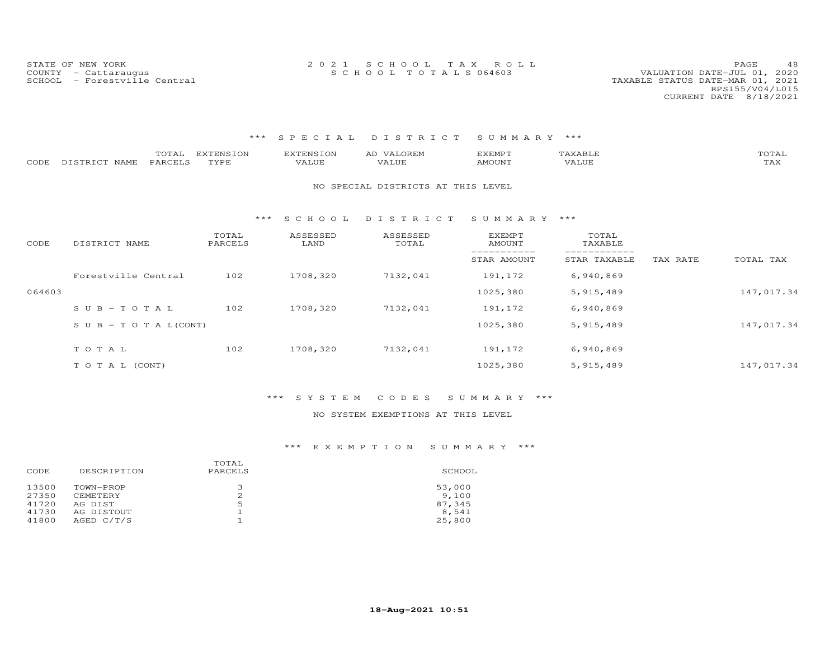| STATE OF NEW YORK    | 2021 SCHOOL TAX ROLL |  | PAGE                        |  |
|----------------------|----------------------|--|-----------------------------|--|
| COUNTY - Cattaraugus | SCHOOL TOTALS 064603 |  | VALUATION DATE-JUL 01, 2020 |  |

| CODE   | TOTAL<br>PARCELS<br>DISTRICT NAME | <b>EXTENSION</b><br>TYPE | <b>EXTENSION</b><br>VALUE | AD VALOREM<br>VALUE                | <b>EXEMPT</b><br>AMOUNT | TAXABLE<br>VALUE |          | TOTAL<br>TAX |
|--------|-----------------------------------|--------------------------|---------------------------|------------------------------------|-------------------------|------------------|----------|--------------|
|        |                                   |                          |                           | NO SPECIAL DISTRICTS AT THIS LEVEL |                         |                  |          |              |
|        |                                   | ***                      | S C H O O L               | DISTRICT                           | SUMMARY ***             |                  |          |              |
| CODE   | DISTRICT NAME                     | TOTAL<br>PARCELS         | ASSESSED<br>LAND          | ASSESSED<br>TOTAL                  | EXEMPT<br>AMOUNT        | TOTAL<br>TAXABLE |          |              |
|        |                                   |                          |                           |                                    | STAR AMOUNT             | STAR TAXABLE     | TAX RATE | TOTAL TAX    |
|        | Forestville Central               | 102                      | 1708,320                  | 7132,041                           | 191,172                 | 6,940,869        |          |              |
| 064603 |                                   |                          |                           |                                    | 1025,380                | 5, 915, 489      |          | 147,017.34   |
|        | $S \cup B - TO T A L$             | 102                      | 1708,320                  | 7132,041                           | 191,172                 | 6,940,869        |          |              |
|        | S U B - T O T A $L$ (CONT)        |                          |                           |                                    | 1025,380                | 5, 915, 489      |          | 147,017.34   |
|        | TOTAL                             | 102                      | 1708,320                  | 7132,041                           | 191,172                 | 6,940,869        |          |              |
|        | TO TAL (CONT)                     |                          |                           |                                    | 1025,380                | 5, 915, 489      |          | 147,017.34   |

#### \*\*\* S Y S T E M C O D E S S U M M A R Y \*\*\*

#### NO SYSTEM EXEMPTIONS AT THIS LEVEL

| DESCRIPTION     | TOTAL<br>PARCELS | SCHOOL |
|-----------------|------------------|--------|
| TOWN-PROP       | З                | 53,000 |
| <b>CEMETERY</b> | 2                | 9,100  |
| AG DIST         | 5                | 87,345 |
| AG DISTOUT      |                  | 8,541  |
| AGED C/T/S      |                  | 25,800 |
|                 |                  |        |